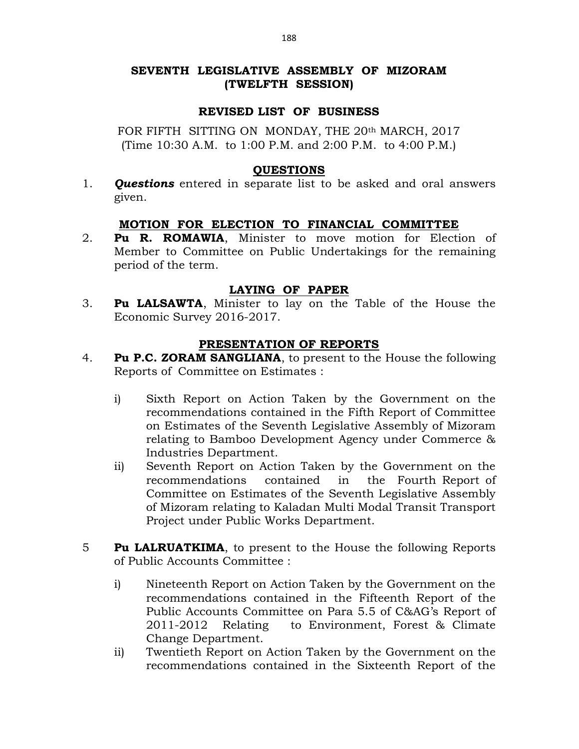# SEVENTH LEGISLATIVE ASSEMBLY OF MIZORAM (TWELFTH SESSION)

### REVISED LIST OF BUSINESS

FOR FIFTH SITTING ON MONDAY, THE 20th MARCH, 2017 (Time 10:30 A.M. to 1:00 P.M. and 2:00 P.M. to 4:00 P.M.)

#### QUESTIONS

1. **Ouestions** entered in separate list to be asked and oral answers given.

### MOTION FOR ELECTION TO FINANCIAL COMMITTEE

2. Pu R. ROMAWIA, Minister to move motion for Election of Member to Committee on Public Undertakings for the remaining period of the term.

#### LAYING OF PAPER

3. Pu LALSAWTA, Minister to lay on the Table of the House the Economic Survey 2016-2017.

### PRESENTATION OF REPORTS

- 4. Pu P.C. ZORAM SANGLIANA, to present to the House the following Reports of Committee on Estimates :
	- i) Sixth Report on Action Taken by the Government on the recommendations contained in the Fifth Report of Committee on Estimates of the Seventh Legislative Assembly of Mizoram relating to Bamboo Development Agency under Commerce & Industries Department.
	- ii) Seventh Report on Action Taken by the Government on the recommendations contained in the Fourth Report of Committee on Estimates of the Seventh Legislative Assembly of Mizoram relating to Kaladan Multi Modal Transit Transport Project under Public Works Department.
- **Fu LALRUATKIMA,** to present to the House the following Reports of Public Accounts Committee :
	- i) Nineteenth Report on Action Taken by the Government on the recommendations contained in the Fifteenth Report of the Public Accounts Committee on Para 5.5 of C&AG's Report of 2011-2012 Relating to Environment, Forest & Climate Change Department.
	- ii) Twentieth Report on Action Taken by the Government on the recommendations contained in the Sixteenth Report of the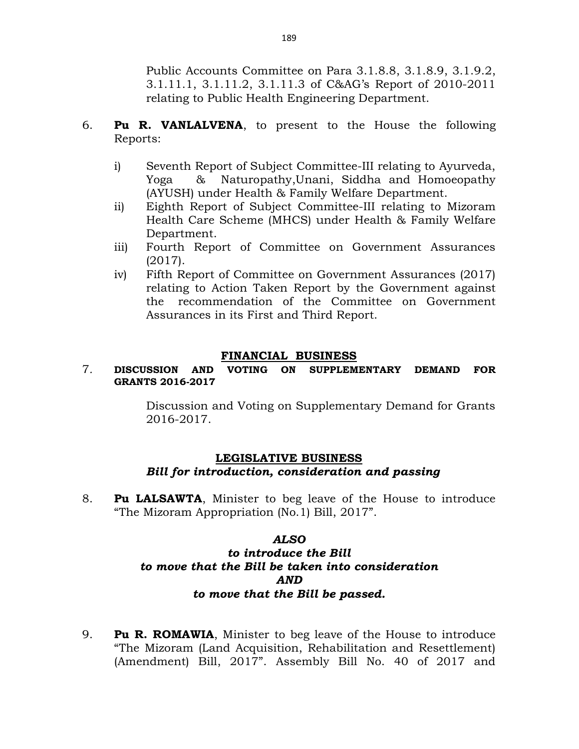Public Accounts Committee on Para 3.1.8.8, 3.1.8.9, 3.1.9.2, 3.1.11.1, 3.1.11.2, 3.1.11.3 of C&AG's Report of 2010-2011 relating to Public Health Engineering Department.

- 6. Pu R. VANLALVENA, to present to the House the following Reports:
	- i) Seventh Report of Subject Committee-III relating to Ayurveda, Yoga & Naturopathy,Unani, Siddha and Homoeopathy (AYUSH) under Health & Family Welfare Department.
	- ii) Eighth Report of Subject Committee-III relating to Mizoram Health Care Scheme (MHCS) under Health & Family Welfare Department.
	- iii) Fourth Report of Committee on Government Assurances (2017).
	- iv) Fifth Report of Committee on Government Assurances (2017) relating to Action Taken Report by the Government against the recommendation of the Committee on Government Assurances in its First and Third Report.

# FINANCIAL BUSINESS

# 7. DISCUSSION AND VOTING ON SUPPLEMENTARY DEMAND FOR GRANTS 2016-2017

 Discussion and Voting on Supplementary Demand for Grants 2016-2017.

# LEGISLATIVE BUSINESS Bill for introduction, consideration and passing

8. Pu LALSAWTA, Minister to beg leave of the House to introduce "The Mizoram Appropriation (No.1) Bill, 2017".

### ALSO

# to introduce the Bill to move that the Bill be taken into consideration AND to move that the Bill be passed.

9. **Pu R. ROMAWIA,** Minister to beg leave of the House to introduce "The Mizoram (Land Acquisition, Rehabilitation and Resettlement) (Amendment) Bill, 2017". Assembly Bill No. 40 of 2017 and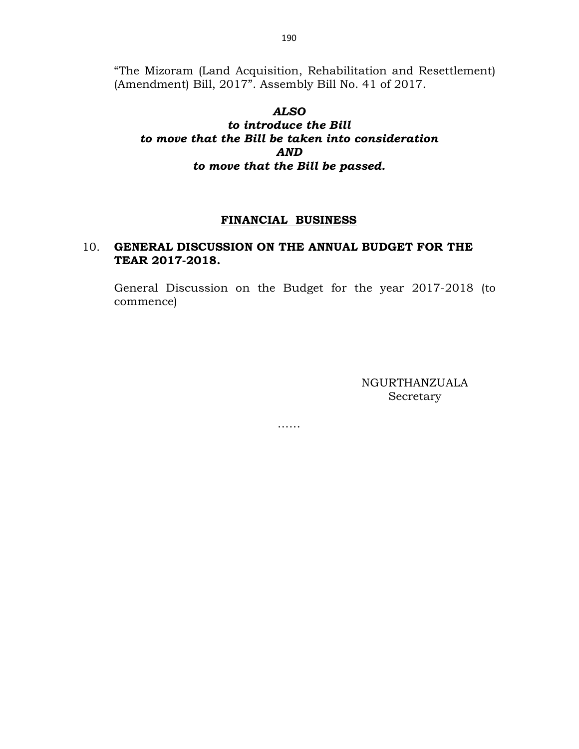"The Mizoram (Land Acquisition, Rehabilitation and Resettlement) (Amendment) Bill, 2017". Assembly Bill No. 41 of 2017.

# ALSO to introduce the Bill to move that the Bill be taken into consideration AND to move that the Bill be passed.

### FINANCIAL BUSINESS

# 10. GENERAL DISCUSSION ON THE ANNUAL BUDGET FOR THE TEAR 2017-2018.

 General Discussion on the Budget for the year 2017-2018 (to commence)

……

NGURTHANZUALA Secretary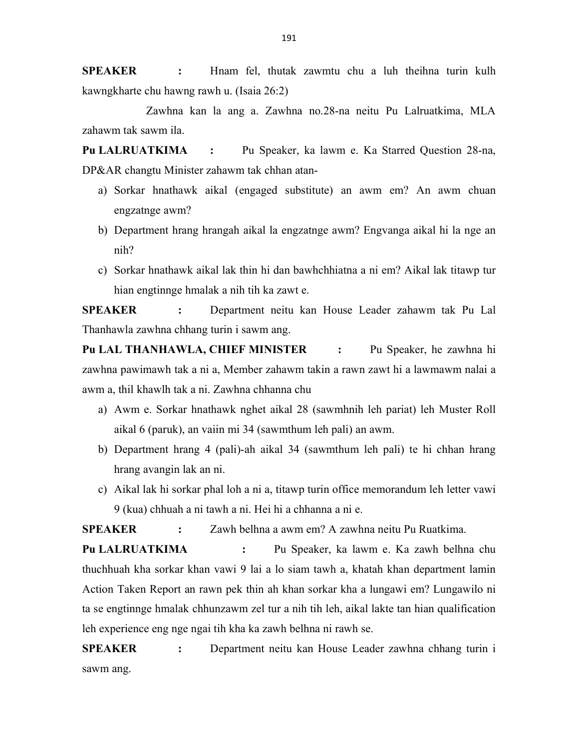SPEAKER : Hnam fel, thutak zawmtu chu a luh theihna turin kulh kawngkharte chu hawng rawh u. (Isaia 26:2)

 Zawhna kan la ang a. Zawhna no.28-na neitu Pu Lalruatkima, MLA zahawm tak sawm ila.

Pu LALRUATKIMA : Pu Speaker, ka lawm e. Ka Starred Question 28-na, DP&AR changtu Minister zahawm tak chhan atan-

- a) Sorkar hnathawk aikal (engaged substitute) an awm em? An awm chuan engzatnge awm?
- b) Department hrang hrangah aikal la engzatnge awm? Engvanga aikal hi la nge an nih?
- c) Sorkar hnathawk aikal lak thin hi dan bawhchhiatna a ni em? Aikal lak titawp tur hian engtinnge hmalak a nih tih ka zawt e.

SPEAKER : Department neitu kan House Leader zahawm tak Pu Lal Thanhawla zawhna chhang turin i sawm ang.

Pu LAL THANHAWLA, CHIEF MINISTER : Pu Speaker, he zawhna hi zawhna pawimawh tak a ni a, Member zahawm takin a rawn zawt hi a lawmawm nalai a awm a, thil khawlh tak a ni. Zawhna chhanna chu

- a) Awm e. Sorkar hnathawk nghet aikal 28 (sawmhnih leh pariat) leh Muster Roll aikal 6 (paruk), an vaiin mi 34 (sawmthum leh pali) an awm.
- b) Department hrang 4 (pali)-ah aikal 34 (sawmthum leh pali) te hi chhan hrang hrang avangin lak an ni.
- c) Aikal lak hi sorkar phal loh a ni a, titawp turin office memorandum leh letter vawi 9 (kua) chhuah a ni tawh a ni. Hei hi a chhanna a ni e.

SPEAKER : Zawh belhna a awm em? A zawhna neitu Pu Ruatkima.

Pu LALRUATKIMA : Pu Speaker, ka lawm e. Ka zawh belhna chu thuchhuah kha sorkar khan vawi 9 lai a lo siam tawh a, khatah khan department lamin Action Taken Report an rawn pek thin ah khan sorkar kha a lungawi em? Lungawilo ni ta se engtinnge hmalak chhunzawm zel tur a nih tih leh, aikal lakte tan hian qualification leh experience eng nge ngai tih kha ka zawh belhna ni rawh se.

SPEAKER : Department neitu kan House Leader zawhna chhang turin i sawm ang.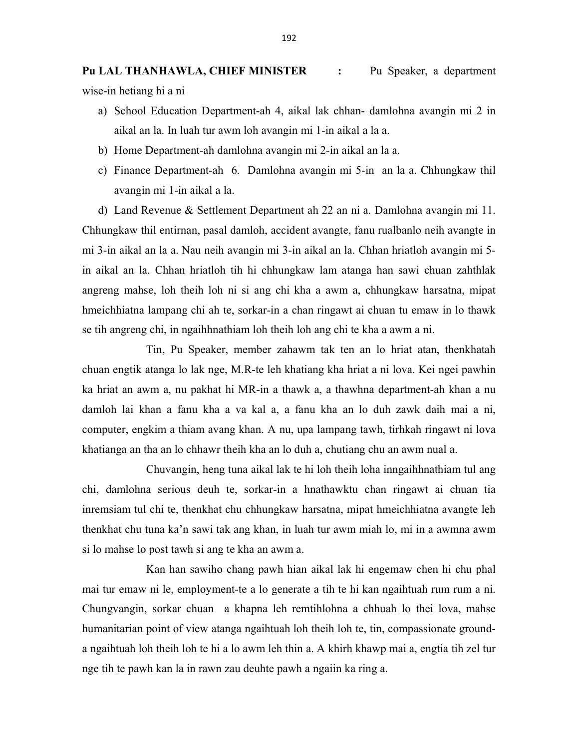Pu LAL THANHAWLA, CHIEF MINISTER : Pu Speaker, a department wise-in hetiang hi a ni

- a) School Education Department-ah 4, aikal lak chhan- damlohna avangin mi 2 in aikal an la. In luah tur awm loh avangin mi 1-in aikal a la a.
- b) Home Department-ah damlohna avangin mi 2-in aikal an la a.
- c) Finance Department-ah 6. Damlohna avangin mi 5-in an la a. Chhungkaw thil avangin mi 1-in aikal a la.

d) Land Revenue & Settlement Department ah 22 an ni a. Damlohna avangin mi 11. Chhungkaw thil entirnan, pasal damloh, accident avangte, fanu rualbanlo neih avangte in mi 3-in aikal an la a. Nau neih avangin mi 3-in aikal an la. Chhan hriatloh avangin mi 5 in aikal an la. Chhan hriatloh tih hi chhungkaw lam atanga han sawi chuan zahthlak angreng mahse, loh theih loh ni si ang chi kha a awm a, chhungkaw harsatna, mipat hmeichhiatna lampang chi ah te, sorkar-in a chan ringawt ai chuan tu emaw in lo thawk se tih angreng chi, in ngaihhnathiam loh theih loh ang chi te kha a awm a ni.

 Tin, Pu Speaker, member zahawm tak ten an lo hriat atan, thenkhatah chuan engtik atanga lo lak nge, M.R-te leh khatiang kha hriat a ni lova. Kei ngei pawhin ka hriat an awm a, nu pakhat hi MR-in a thawk a, a thawhna department-ah khan a nu damloh lai khan a fanu kha a va kal a, a fanu kha an lo duh zawk daih mai a ni, computer, engkim a thiam avang khan. A nu, upa lampang tawh, tirhkah ringawt ni lova khatianga an tha an lo chhawr theih kha an lo duh a, chutiang chu an awm nual a.

 Chuvangin, heng tuna aikal lak te hi loh theih loha inngaihhnathiam tul ang chi, damlohna serious deuh te, sorkar-in a hnathawktu chan ringawt ai chuan tia inremsiam tul chi te, thenkhat chu chhungkaw harsatna, mipat hmeichhiatna avangte leh thenkhat chu tuna ka'n sawi tak ang khan, in luah tur awm miah lo, mi in a awmna awm si lo mahse lo post tawh si ang te kha an awm a.

 Kan han sawiho chang pawh hian aikal lak hi engemaw chen hi chu phal mai tur emaw ni le, employment-te a lo generate a tih te hi kan ngaihtuah rum rum a ni. Chungvangin, sorkar chuan a khapna leh remtihlohna a chhuah lo thei lova, mahse humanitarian point of view atanga ngaihtuah loh theih loh te, tin, compassionate grounda ngaihtuah loh theih loh te hi a lo awm leh thin a. A khirh khawp mai a, engtia tih zel tur nge tih te pawh kan la in rawn zau deuhte pawh a ngaiin ka ring a.

192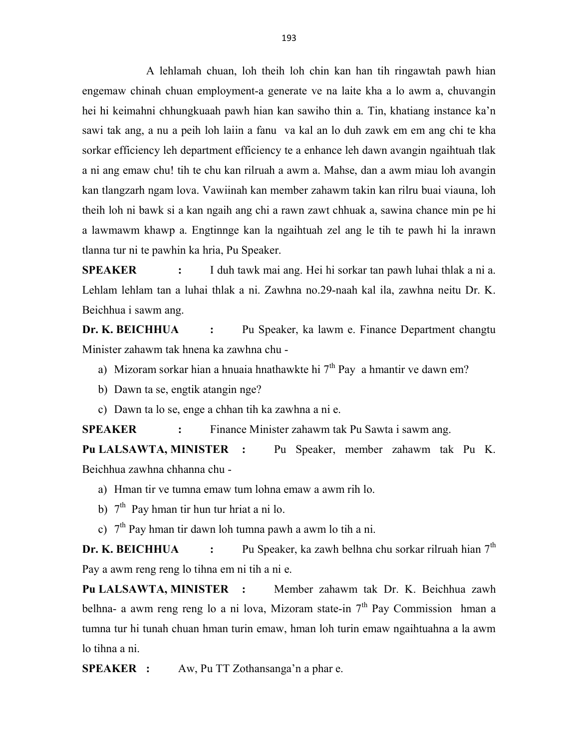A lehlamah chuan, loh theih loh chin kan han tih ringawtah pawh hian engemaw chinah chuan employment-a generate ve na laite kha a lo awm a, chuvangin hei hi keimahni chhungkuaah pawh hian kan sawiho thin a. Tin, khatiang instance ka'n sawi tak ang, a nu a peih loh laiin a fanu va kal an lo duh zawk em em ang chi te kha sorkar efficiency leh department efficiency te a enhance leh dawn avangin ngaihtuah tlak a ni ang emaw chu! tih te chu kan rilruah a awm a. Mahse, dan a awm miau loh avangin kan tlangzarh ngam lova. Vawiinah kan member zahawm takin kan rilru buai viauna, loh theih loh ni bawk si a kan ngaih ang chi a rawn zawt chhuak a, sawina chance min pe hi a lawmawm khawp a. Engtinnge kan la ngaihtuah zel ang le tih te pawh hi la inrawn tlanna tur ni te pawhin ka hria, Pu Speaker.

SPEAKER : I duh tawk mai ang. Hei hi sorkar tan pawh luhai thlak a ni a. Lehlam lehlam tan a luhai thlak a ni. Zawhna no.29-naah kal ila, zawhna neitu Dr. K. Beichhua i sawm ang.

Dr. K. BEICHHUA : Pu Speaker, ka lawm e. Finance Department changtu Minister zahawm tak hnena ka zawhna chu -

- a) Mizoram sorkar hian a hnuaia hnathawkte hi  $7<sup>th</sup>$  Pay a hmantir ve dawn em?
- b) Dawn ta se, engtik atangin nge?
- c) Dawn ta lo se, enge a chhan tih ka zawhna a ni e.

SPEAKER : Finance Minister zahawm tak Pu Sawta i sawm ang.

Pu LALSAWTA, MINISTER : Pu Speaker, member zahawm tak Pu K. Beichhua zawhna chhanna chu -

- a) Hman tir ve tumna emaw tum lohna emaw a awm rih lo.
- b)  $7<sup>th</sup>$  Pay hman tir hun tur hriat a ni lo.
- c)  $7<sup>th</sup>$  Pay hman tir dawn loh tumna pawh a awm lo tih a ni.

**Dr. K. BEICHHUA** : Pu Speaker, ka zawh belhna chu sorkar rilruah hian  $7<sup>th</sup>$ Pay a awm reng reng lo tihna em ni tih a ni e.

Pu LALSAWTA, MINISTER : Member zahawm tak Dr. K. Beichhua zawh belhna- a awm reng reng lo a ni lova, Mizoram state-in  $7<sup>th</sup>$  Pay Commission hman a tumna tur hi tunah chuan hman turin emaw, hman loh turin emaw ngaihtuahna a la awm lo tihna a ni.

SPEAKER : Aw, Pu TT Zothansanga'n a phar e.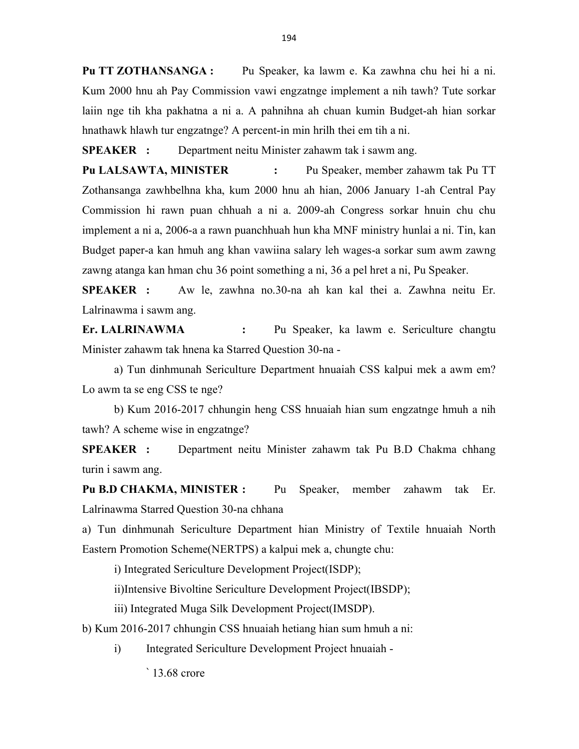Pu TT ZOTHANSANGA : Pu Speaker, ka lawm e. Ka zawhna chu hei hi a ni. Kum 2000 hnu ah Pay Commission vawi engzatnge implement a nih tawh? Tute sorkar laiin nge tih kha pakhatna a ni a. A pahnihna ah chuan kumin Budget-ah hian sorkar hnathawk hlawh tur engzatnge? A percent-in min hrilh thei em tih a ni.

SPEAKER : Department neitu Minister zahawm tak i sawm ang.

Pu LALSAWTA, MINISTER : Pu Speaker, member zahawm tak Pu TT Zothansanga zawhbelhna kha, kum 2000 hnu ah hian, 2006 January 1-ah Central Pay Commission hi rawn puan chhuah a ni a. 2009-ah Congress sorkar hnuin chu chu implement a ni a, 2006-a a rawn puanchhuah hun kha MNF ministry hunlai a ni. Tin, kan Budget paper-a kan hmuh ang khan vawiina salary leh wages-a sorkar sum awm zawng zawng atanga kan hman chu 36 point something a ni, 36 a pel hret a ni, Pu Speaker.

SPEAKER : Aw le, zawhna no.30-na ah kan kal thei a. Zawhna neitu Er. Lalrinawma i sawm ang.

Er. LALRINAWMA : Pu Speaker, ka lawm e. Sericulture changtu Minister zahawm tak hnena ka Starred Question 30-na -

 a) Tun dinhmunah Sericulture Department hnuaiah CSS kalpui mek a awm em? Lo awm ta se eng CSS te nge?

 b) Kum 2016-2017 chhungin heng CSS hnuaiah hian sum engzatnge hmuh a nih tawh? A scheme wise in engzatnge?

SPEAKER : Department neitu Minister zahawm tak Pu B.D Chakma chhang turin i sawm ang.

Pu B.D CHAKMA, MINISTER : Pu Speaker, member zahawm tak Er. Lalrinawma Starred Question 30-na chhana

a) Tun dinhmunah Sericulture Department hian Ministry of Textile hnuaiah North Eastern Promotion Scheme(NERTPS) a kalpui mek a, chungte chu:

i) Integrated Sericulture Development Project(ISDP);

ii)Intensive Bivoltine Sericulture Development Project(IBSDP);

iii) Integrated Muga Silk Development Project(IMSDP).

b) Kum 2016-2017 chhungin CSS hnuaiah hetiang hian sum hmuh a ni:

i) Integrated Sericulture Development Project hnuaiah -

` 13.68 crore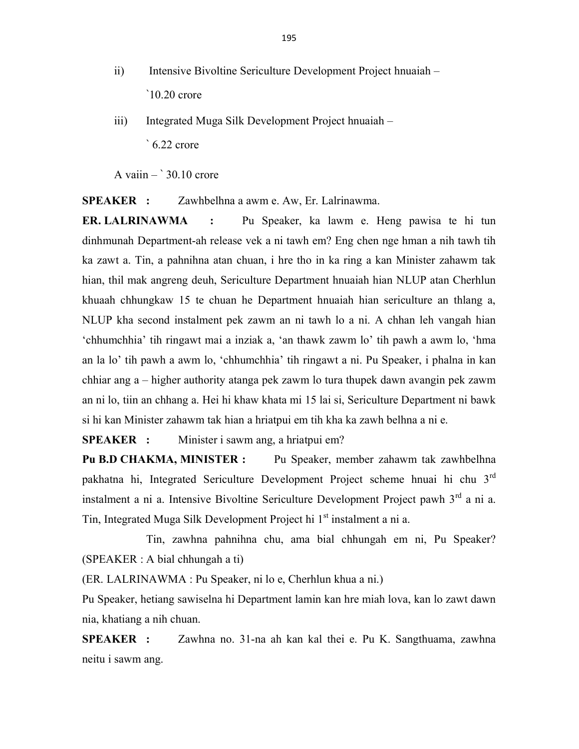- ii) Intensive Bivoltine Sericulture Development Project hnuaiah `10.20 crore
- iii) Integrated Muga Silk Development Project hnuaiah ` 6.22 crore

A vaiin  $-$  30.10 crore

SPEAKER : Zawhbelhna a awm e. Aw, Er. Lalrinawma.

ER. LALRINAWMA : Pu Speaker, ka lawm e. Heng pawisa te hi tun dinhmunah Department-ah release vek a ni tawh em? Eng chen nge hman a nih tawh tih ka zawt a. Tin, a pahnihna atan chuan, i hre tho in ka ring a kan Minister zahawm tak hian, thil mak angreng deuh, Sericulture Department hnuaiah hian NLUP atan Cherhlun khuaah chhungkaw 15 te chuan he Department hnuaiah hian sericulture an thlang a, NLUP kha second instalment pek zawm an ni tawh lo a ni. A chhan leh vangah hian 'chhumchhia' tih ringawt mai a inziak a, 'an thawk zawm lo' tih pawh a awm lo, 'hma an la lo' tih pawh a awm lo, 'chhumchhia' tih ringawt a ni. Pu Speaker, i phalna in kan chhiar ang a – higher authority atanga pek zawm lo tura thupek dawn avangin pek zawm an ni lo, tiin an chhang a. Hei hi khaw khata mi 15 lai si, Sericulture Department ni bawk si hi kan Minister zahawm tak hian a hriatpui em tih kha ka zawh belhna a ni e.

SPEAKER : Minister i sawm ang, a hriatpui em?

Pu B.D CHAKMA, MINISTER : Pu Speaker, member zahawm tak zawhbelhna pakhatna hi, Integrated Sericulture Development Project scheme hnuai hi chu 3rd instalment a ni a. Intensive Bivoltine Sericulture Development Project pawh 3<sup>rd</sup> a ni a. Tin, Integrated Muga Silk Development Project hi 1<sup>st</sup> instalment a ni a.

 Tin, zawhna pahnihna chu, ama bial chhungah em ni, Pu Speaker? (SPEAKER : A bial chhungah a ti)

(ER. LALRINAWMA : Pu Speaker, ni lo e, Cherhlun khua a ni.)

Pu Speaker, hetiang sawiselna hi Department lamin kan hre miah lova, kan lo zawt dawn nia, khatiang a nih chuan.

SPEAKER : Zawhna no. 31-na ah kan kal thei e. Pu K. Sangthuama, zawhna neitu i sawm ang.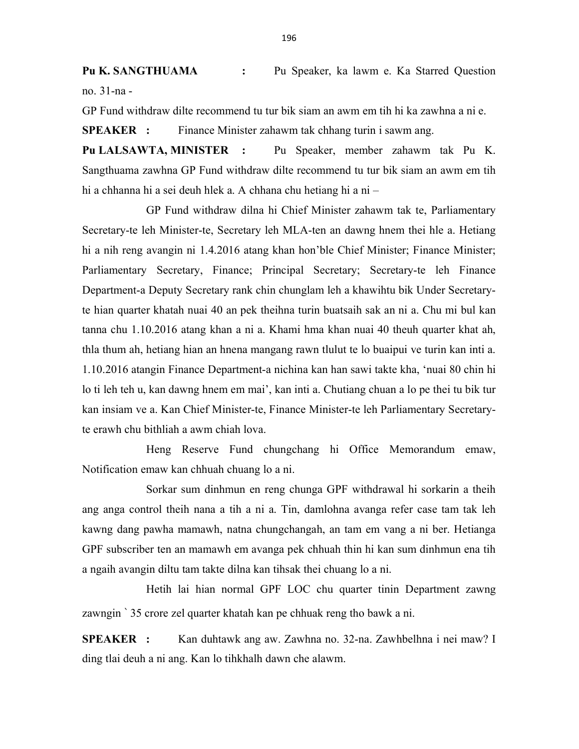Pu K. SANGTHUAMA : Pu Speaker, ka lawm e. Ka Starred Question no. 31-na -

GP Fund withdraw dilte recommend tu tur bik siam an awm em tih hi ka zawhna a ni e.

SPEAKER : Finance Minister zahawm tak chhang turin i sawm ang.

Pu LALSAWTA, MINISTER : Pu Speaker, member zahawm tak Pu K. Sangthuama zawhna GP Fund withdraw dilte recommend tu tur bik siam an awm em tih hi a chhanna hi a sei deuh hlek a. A chhana chu hetiang hi a ni –

 GP Fund withdraw dilna hi Chief Minister zahawm tak te, Parliamentary Secretary-te leh Minister-te, Secretary leh MLA-ten an dawng hnem thei hle a. Hetiang hi a nih reng avangin ni 1.4.2016 atang khan hon'ble Chief Minister; Finance Minister; Parliamentary Secretary, Finance; Principal Secretary; Secretary-te leh Finance Department-a Deputy Secretary rank chin chunglam leh a khawihtu bik Under Secretaryte hian quarter khatah nuai 40 an pek theihna turin buatsaih sak an ni a. Chu mi bul kan tanna chu 1.10.2016 atang khan a ni a. Khami hma khan nuai 40 theuh quarter khat ah, thla thum ah, hetiang hian an hnena mangang rawn tlulut te lo buaipui ve turin kan inti a. 1.10.2016 atangin Finance Department-a nichina kan han sawi takte kha, 'nuai 80 chin hi lo ti leh teh u, kan dawng hnem em mai', kan inti a. Chutiang chuan a lo pe thei tu bik tur kan insiam ve a. Kan Chief Minister-te, Finance Minister-te leh Parliamentary Secretaryte erawh chu bithliah a awm chiah lova.

 Heng Reserve Fund chungchang hi Office Memorandum emaw, Notification emaw kan chhuah chuang lo a ni.

 Sorkar sum dinhmun en reng chunga GPF withdrawal hi sorkarin a theih ang anga control theih nana a tih a ni a. Tin, damlohna avanga refer case tam tak leh kawng dang pawha mamawh, natna chungchangah, an tam em vang a ni ber. Hetianga GPF subscriber ten an mamawh em avanga pek chhuah thin hi kan sum dinhmun ena tih a ngaih avangin diltu tam takte dilna kan tihsak thei chuang lo a ni.

 Hetih lai hian normal GPF LOC chu quarter tinin Department zawng zawngin ` 35 crore zel quarter khatah kan pe chhuak reng tho bawk a ni.

SPEAKER : Kan duhtawk ang aw. Zawhna no. 32-na. Zawhbelhna i nei maw? I ding tlai deuh a ni ang. Kan lo tihkhalh dawn che alawm.

196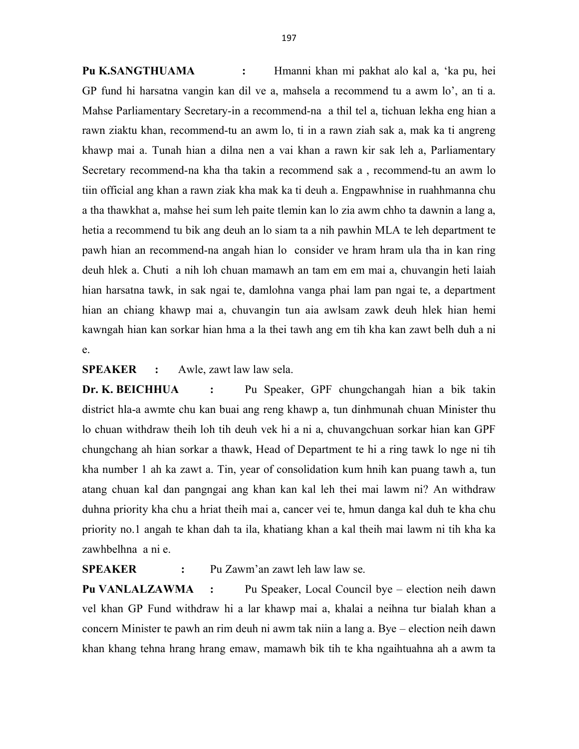Pu K.SANGTHUAMA : Hmanni khan mi pakhat alo kal a, 'ka pu, hei GP fund hi harsatna vangin kan dil ve a, mahsela a recommend tu a awm lo', an ti a. Mahse Parliamentary Secretary-in a recommend-na a thil tel a, tichuan lekha eng hian a rawn ziaktu khan, recommend-tu an awm lo, ti in a rawn ziah sak a, mak ka ti angreng khawp mai a. Tunah hian a dilna nen a vai khan a rawn kir sak leh a, Parliamentary Secretary recommend-na kha tha takin a recommend sak a , recommend-tu an awm lo tiin official ang khan a rawn ziak kha mak ka ti deuh a. Engpawhnise in ruahhmanna chu a tha thawkhat a, mahse hei sum leh paite tlemin kan lo zia awm chho ta dawnin a lang a, hetia a recommend tu bik ang deuh an lo siam ta a nih pawhin MLA te leh department te pawh hian an recommend-na angah hian lo consider ve hram hram ula tha in kan ring deuh hlek a. Chuti a nih loh chuan mamawh an tam em em mai a, chuvangin heti laiah hian harsatna tawk, in sak ngai te, damlohna vanga phai lam pan ngai te, a department hian an chiang khawp mai a, chuvangin tun aia awlsam zawk deuh hlek hian hemi kawngah hian kan sorkar hian hma a la thei tawh ang em tih kha kan zawt belh duh a ni e.

SPEAKER : Awle, zawt law law sela.

Dr. K. BEICHHUA : Pu Speaker, GPF chungchangah hian a bik takin district hla-a awmte chu kan buai ang reng khawp a, tun dinhmunah chuan Minister thu lo chuan withdraw theih loh tih deuh vek hi a ni a, chuvangchuan sorkar hian kan GPF chungchang ah hian sorkar a thawk, Head of Department te hi a ring tawk lo nge ni tih kha number 1 ah ka zawt a. Tin, year of consolidation kum hnih kan puang tawh a, tun atang chuan kal dan pangngai ang khan kan kal leh thei mai lawm ni? An withdraw duhna priority kha chu a hriat theih mai a, cancer vei te, hmun danga kal duh te kha chu priority no.1 angah te khan dah ta ila, khatiang khan a kal theih mai lawm ni tih kha ka zawhbelhna a ni e.

SPEAKER : Pu Zawm'an zawt leh law law se.

Pu VANLALZAWMA : Pu Speaker, Local Council bye – election neih dawn vel khan GP Fund withdraw hi a lar khawp mai a, khalai a neihna tur bialah khan a concern Minister te pawh an rim deuh ni awm tak niin a lang a. Bye – election neih dawn khan khang tehna hrang hrang emaw, mamawh bik tih te kha ngaihtuahna ah a awm ta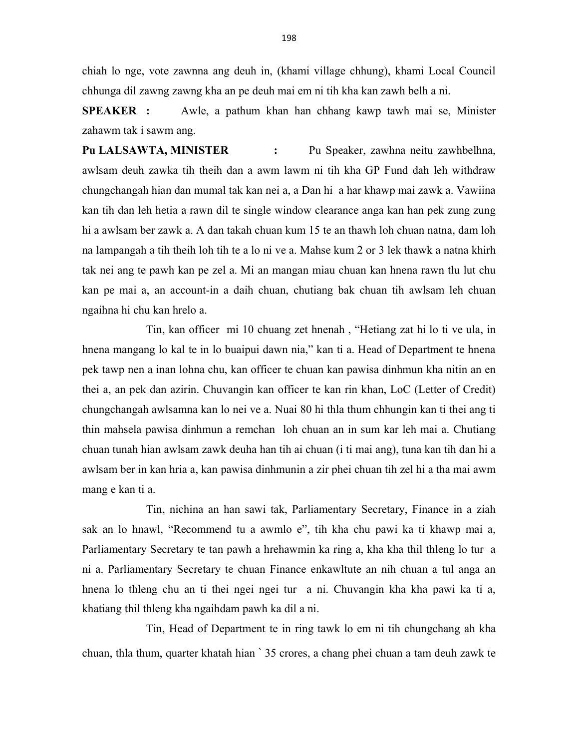chiah lo nge, vote zawnna ang deuh in, (khami village chhung), khami Local Council chhunga dil zawng zawng kha an pe deuh mai em ni tih kha kan zawh belh a ni.

SPEAKER : Awle, a pathum khan han chhang kawp tawh mai se, Minister zahawm tak i sawm ang.

Pu LALSAWTA, MINISTER : Pu Speaker, zawhna neitu zawhbelhna, awlsam deuh zawka tih theih dan a awm lawm ni tih kha GP Fund dah leh withdraw chungchangah hian dan mumal tak kan nei a, a Dan hi a har khawp mai zawk a. Vawiina kan tih dan leh hetia a rawn dil te single window clearance anga kan han pek zung zung hi a awlsam ber zawk a. A dan takah chuan kum 15 te an thawh loh chuan natna, dam loh na lampangah a tih theih loh tih te a lo ni ve a. Mahse kum 2 or 3 lek thawk a natna khirh tak nei ang te pawh kan pe zel a. Mi an mangan miau chuan kan hnena rawn tlu lut chu kan pe mai a, an account-in a daih chuan, chutiang bak chuan tih awlsam leh chuan ngaihna hi chu kan hrelo a.

 Tin, kan officer mi 10 chuang zet hnenah , "Hetiang zat hi lo ti ve ula, in hnena mangang lo kal te in lo buaipui dawn nia," kan ti a. Head of Department te hnena pek tawp nen a inan lohna chu, kan officer te chuan kan pawisa dinhmun kha nitin an en thei a, an pek dan azirin. Chuvangin kan officer te kan rin khan, LoC (Letter of Credit) chungchangah awlsamna kan lo nei ve a. Nuai 80 hi thla thum chhungin kan ti thei ang ti thin mahsela pawisa dinhmun a remchan loh chuan an in sum kar leh mai a. Chutiang chuan tunah hian awlsam zawk deuha han tih ai chuan (i ti mai ang), tuna kan tih dan hi a awlsam ber in kan hria a, kan pawisa dinhmunin a zir phei chuan tih zel hi a tha mai awm mang e kan ti a.

 Tin, nichina an han sawi tak, Parliamentary Secretary, Finance in a ziah sak an lo hnawl, "Recommend tu a awmlo e", tih kha chu pawi ka ti khawp mai a, Parliamentary Secretary te tan pawh a hrehawmin ka ring a, kha kha thil thleng lo tur a ni a. Parliamentary Secretary te chuan Finance enkawltute an nih chuan a tul anga an hnena lo thleng chu an ti thei ngei ngei tur a ni. Chuvangin kha kha pawi ka ti a, khatiang thil thleng kha ngaihdam pawh ka dil a ni.

 Tin, Head of Department te in ring tawk lo em ni tih chungchang ah kha chuan, thla thum, quarter khatah hian ` 35 crores, a chang phei chuan a tam deuh zawk te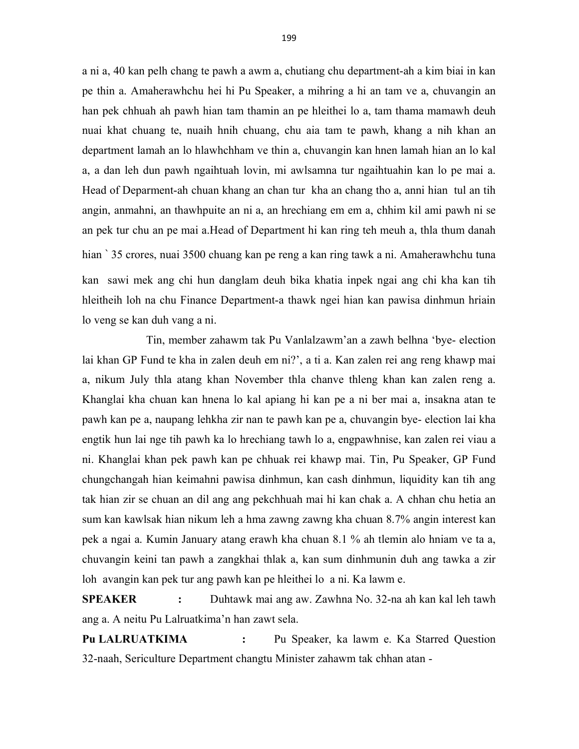a ni a, 40 kan pelh chang te pawh a awm a, chutiang chu department-ah a kim biai in kan pe thin a. Amaherawhchu hei hi Pu Speaker, a mihring a hi an tam ve a, chuvangin an han pek chhuah ah pawh hian tam thamin an pe hleithei lo a, tam thama mamawh deuh nuai khat chuang te, nuaih hnih chuang, chu aia tam te pawh, khang a nih khan an department lamah an lo hlawhchham ve thin a, chuvangin kan hnen lamah hian an lo kal a, a dan leh dun pawh ngaihtuah lovin, mi awlsamna tur ngaihtuahin kan lo pe mai a. Head of Deparment-ah chuan khang an chan tur kha an chang tho a, anni hian tul an tih angin, anmahni, an thawhpuite an ni a, an hrechiang em em a, chhim kil ami pawh ni se an pek tur chu an pe mai a.Head of Department hi kan ring teh meuh a, thla thum danah hian ` 35 crores, nuai 3500 chuang kan pe reng a kan ring tawk a ni. Amaherawhchu tuna kan sawi mek ang chi hun danglam deuh bika khatia inpek ngai ang chi kha kan tih hleitheih loh na chu Finance Department-a thawk ngei hian kan pawisa dinhmun hriain lo veng se kan duh vang a ni.

 Tin, member zahawm tak Pu Vanlalzawm'an a zawh belhna 'bye- election lai khan GP Fund te kha in zalen deuh em ni?', a ti a. Kan zalen rei ang reng khawp mai a, nikum July thla atang khan November thla chanve thleng khan kan zalen reng a. Khanglai kha chuan kan hnena lo kal apiang hi kan pe a ni ber mai a, insakna atan te pawh kan pe a, naupang lehkha zir nan te pawh kan pe a, chuvangin bye- election lai kha engtik hun lai nge tih pawh ka lo hrechiang tawh lo a, engpawhnise, kan zalen rei viau a ni. Khanglai khan pek pawh kan pe chhuak rei khawp mai. Tin, Pu Speaker, GP Fund chungchangah hian keimahni pawisa dinhmun, kan cash dinhmun, liquidity kan tih ang tak hian zir se chuan an dil ang ang pekchhuah mai hi kan chak a. A chhan chu hetia an sum kan kawlsak hian nikum leh a hma zawng zawng kha chuan 8.7% angin interest kan pek a ngai a. Kumin January atang erawh kha chuan 8.1 % ah tlemin alo hniam ve ta a, chuvangin keini tan pawh a zangkhai thlak a, kan sum dinhmunin duh ang tawka a zir loh avangin kan pek tur ang pawh kan pe hleithei lo a ni. Ka lawm e.

SPEAKER : Duhtawk mai ang aw. Zawhna No. 32-na ah kan kal leh tawh ang a. A neitu Pu Lalruatkima'n han zawt sela.

Pu LALRUATKIMA : Pu Speaker, ka lawm e. Ka Starred Question 32-naah, Sericulture Department changtu Minister zahawm tak chhan atan -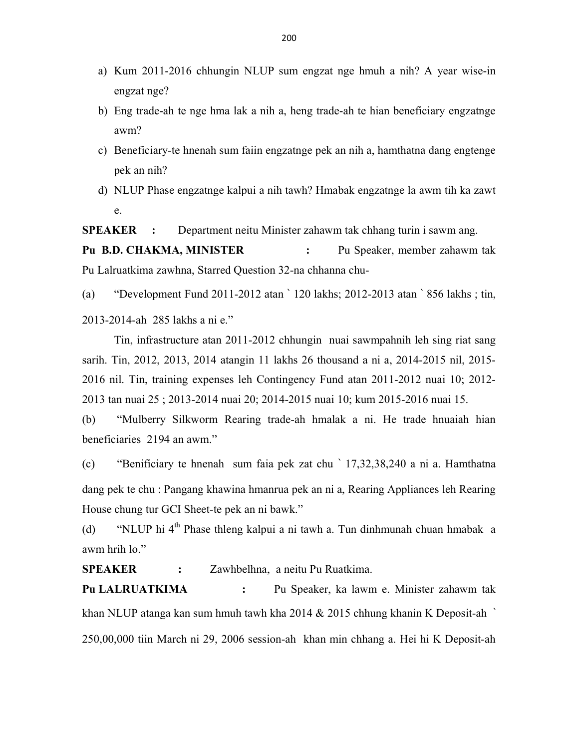- a) Kum 2011-2016 chhungin NLUP sum engzat nge hmuh a nih? A year wise-in engzat nge?
- b) Eng trade-ah te nge hma lak a nih a, heng trade-ah te hian beneficiary engzatnge awm?
- c) Beneficiary-te hnenah sum faiin engzatnge pek an nih a, hamthatna dang engtenge pek an nih?
- d) NLUP Phase engzatnge kalpui a nih tawh? Hmabak engzatnge la awm tih ka zawt e.

SPEAKER : Department neitu Minister zahawm tak chhang turin i sawm ang.

Pu B.D. CHAKMA, MINISTER : Pu Speaker, member zahawm tak Pu Lalruatkima zawhna, Starred Question 32-na chhanna chu-

(a) "Development Fund 2011-2012 atan ` 120 lakhs; 2012-2013 atan ` 856 lakhs ; tin, 2013-2014-ah 285 lakhs a ni e."

 Tin, infrastructure atan 2011-2012 chhungin nuai sawmpahnih leh sing riat sang sarih. Tin, 2012, 2013, 2014 atangin 11 lakhs 26 thousand a ni a, 2014-2015 nil, 2015- 2016 nil. Tin, training expenses leh Contingency Fund atan 2011-2012 nuai 10; 2012- 2013 tan nuai 25 ; 2013-2014 nuai 20; 2014-2015 nuai 10; kum 2015-2016 nuai 15.

(b) "Mulberry Silkworm Rearing trade-ah hmalak a ni. He trade hnuaiah hian beneficiaries 2194 an awm."

(c) "Benificiary te hnenah sum faia pek zat chu ` 17,32,38,240 a ni a. Hamthatna dang pek te chu : Pangang khawina hmanrua pek an ni a, Rearing Appliances leh Rearing House chung tur GCI Sheet-te pek an ni bawk."

(d) "NLUP hi 4<sup>th</sup> Phase thleng kalpui a ni tawh a. Tun dinhmunah chuan hmabak a awm hrih lo."

SPEAKER : Zawhbelhna, a neitu Pu Ruatkima.

Pu LALRUATKIMA : Pu Speaker, ka lawm e. Minister zahawm tak khan NLUP atanga kan sum hmuh tawh kha 2014 & 2015 chhung khanin K Deposit-ah ` 250,00,000 tiin March ni 29, 2006 session-ah khan min chhang a. Hei hi K Deposit-ah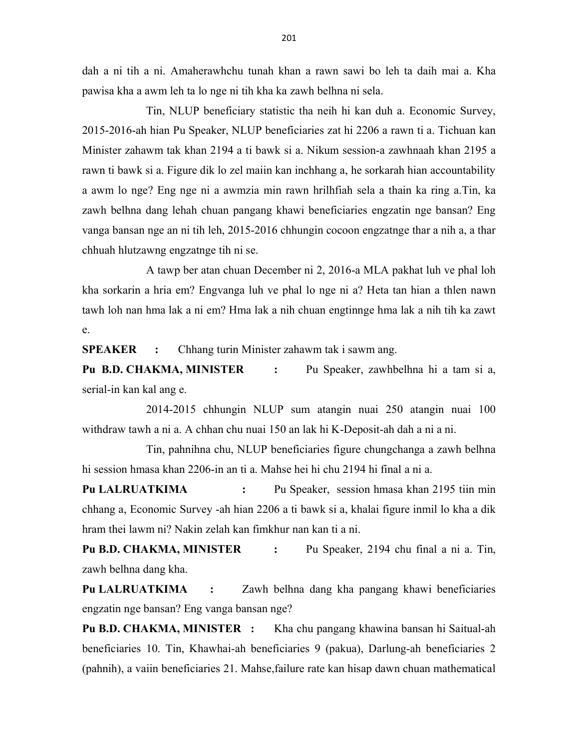dah a ni tih a ni. Amaherawhchu tunah khan a rawn sawi bo leh ta daih mai a. Kha pawisa kha a awm leh ta lo nge ni tih kha ka zawh belhna ni sela.

 Tin, NLUP beneficiary statistic tha neih hi kan duh a. Economic Survey, 2015-2016-ah hian Pu Speaker, NLUP beneficiaries zat hi 2206 a rawn ti a. Tichuan kan Minister zahawm tak khan 2194 a ti bawk si a. Nikum session-a zawhnaah khan 2195 a rawn ti bawk si a. Figure dik lo zel maiin kan inchhang a, he sorkarah hian accountability a awm lo nge? Eng nge ni a awmzia min rawn hrilhfiah sela a thain ka ring a.Tin, ka zawh belhna dang lehah chuan pangang khawi beneficiaries engzatin nge bansan? Eng vanga bansan nge an ni tih leh, 2015-2016 chhungin cocoon engzatnge thar a nih a, a thar chhuah hlutzawng engzatnge tih ni se.

 A tawp ber atan chuan December ni 2, 2016-a MLA pakhat luh ve phal loh kha sorkarin a hria em? Engvanga luh ve phal lo nge ni a? Heta tan hian a thlen nawn tawh loh nan hma lak a ni em? Hma lak a nih chuan engtinnge hma lak a nih tih ka zawt e.

SPEAKER : Chhang turin Minister zahawm tak i sawm ang.

Pu B.D. CHAKMA, MINISTER : Pu Speaker, zawhbelhna hi a tam si a, serial-in kan kal ang e.

 2014-2015 chhungin NLUP sum atangin nuai 250 atangin nuai 100 withdraw tawh a ni a. A chhan chu nuai 150 an lak hi K-Deposit-ah dah a ni a ni.

 Tin, pahnihna chu, NLUP beneficiaries figure chungchanga a zawh belhna hi session hmasa khan 2206-in an ti a. Mahse hei hi chu 2194 hi final a ni a.

Pu LALRUATKIMA : Pu Speaker, session hmasa khan 2195 tiin min chhang a, Economic Survey -ah hian 2206 a ti bawk si a, khalai figure inmil lo kha a dik hram thei lawm ni? Nakin zelah kan fimkhur nan kan ti a ni.

Pu B.D. CHAKMA, MINISTER : Pu Speaker, 2194 chu final a ni a. Tin, zawh belhna dang kha.

Pu LALRUATKIMA : Zawh belhna dang kha pangang khawi beneficiaries engzatin nge bansan? Eng vanga bansan nge?

Pu B.D. CHAKMA, MINISTER : Kha chu pangang khawina bansan hi Saitual-ah beneficiaries 10. Tin, Khawhai-ah beneficiaries 9 (pakua), Darlung-ah beneficiaries 2 (pahnih), a vaiin beneficiaries 21. Mahse,failure rate kan hisap dawn chuan mathematical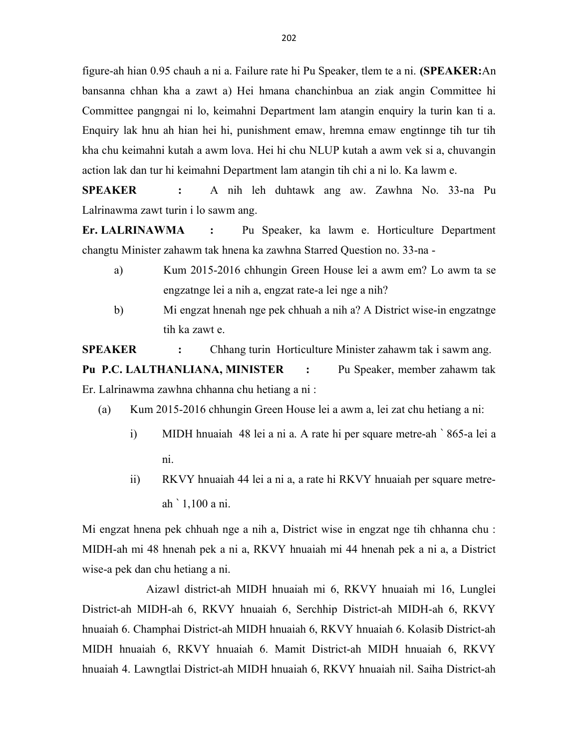figure-ah hian 0.95 chauh a ni a. Failure rate hi Pu Speaker, tlem te a ni. (SPEAKER:An bansanna chhan kha a zawt a) Hei hmana chanchinbua an ziak angin Committee hi Committee pangngai ni lo, keimahni Department lam atangin enquiry la turin kan ti a. Enquiry lak hnu ah hian hei hi, punishment emaw, hremna emaw engtinnge tih tur tih kha chu keimahni kutah a awm lova. Hei hi chu NLUP kutah a awm vek si a, chuvangin action lak dan tur hi keimahni Department lam atangin tih chi a ni lo. Ka lawm e.

SPEAKER : A nih leh duhtawk ang aw. Zawhna No. 33-na Pu Lalrinawma zawt turin i lo sawm ang.

Er. LALRINAWMA : Pu Speaker, ka lawm e. Horticulture Department changtu Minister zahawm tak hnena ka zawhna Starred Question no. 33-na -

- a) Kum 2015-2016 chhungin Green House lei a awm em? Lo awm ta se engzatnge lei a nih a, engzat rate-a lei nge a nih?
- b) Mi engzat hnenah nge pek chhuah a nih a? A District wise-in engzatnge tih ka zawt e.

SPEAKER : Chhang turin Horticulture Minister zahawm tak i sawm ang.

Pu P.C. LALTHANLIANA, MINISTER : Pu Speaker, member zahawm tak Er. Lalrinawma zawhna chhanna chu hetiang a ni :

- (a) Kum 2015-2016 chhungin Green House lei a awm a, lei zat chu hetiang a ni:
	- i) MIDH hnuaiah 48 lei a ni a. A rate hi per square metre-ah ` 865-a lei a ni.
	- ii) RKVY hnuaiah 44 lei a ni a, a rate hi RKVY hnuaiah per square metreah ` 1,100 a ni.

Mi engzat hnena pek chhuah nge a nih a, District wise in engzat nge tih chhanna chu : MIDH-ah mi 48 hnenah pek a ni a, RKVY hnuaiah mi 44 hnenah pek a ni a, a District wise-a pek dan chu hetiang a ni.

 Aizawl district-ah MIDH hnuaiah mi 6, RKVY hnuaiah mi 16, Lunglei District-ah MIDH-ah 6, RKVY hnuaiah 6, Serchhip District-ah MIDH-ah 6, RKVY hnuaiah 6. Champhai District-ah MIDH hnuaiah 6, RKVY hnuaiah 6. Kolasib District-ah MIDH hnuaiah 6, RKVY hnuaiah 6. Mamit District-ah MIDH hnuaiah 6, RKVY hnuaiah 4. Lawngtlai District-ah MIDH hnuaiah 6, RKVY hnuaiah nil. Saiha District-ah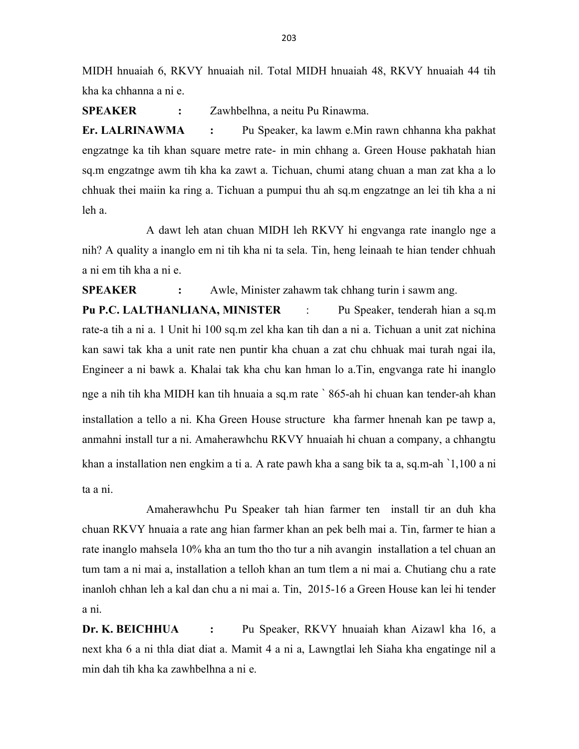MIDH hnuaiah 6, RKVY hnuaiah nil. Total MIDH hnuaiah 48, RKVY hnuaiah 44 tih kha ka chhanna a ni e.

SPEAKER : Zawhbelhna, a neitu Pu Rinawma.

Er. LALRINAWMA : Pu Speaker, ka lawm e.Min rawn chhanna kha pakhat engzatnge ka tih khan square metre rate- in min chhang a. Green House pakhatah hian sq.m engzatnge awm tih kha ka zawt a. Tichuan, chumi atang chuan a man zat kha a lo chhuak thei maiin ka ring a. Tichuan a pumpui thu ah sq.m engzatnge an lei tih kha a ni leh a.

 A dawt leh atan chuan MIDH leh RKVY hi engvanga rate inanglo nge a nih? A quality a inanglo em ni tih kha ni ta sela. Tin, heng leinaah te hian tender chhuah a ni em tih kha a ni e.

SPEAKER : Awle, Minister zahawm tak chhang turin i sawm ang.

Pu P.C. LALTHANLIANA, MINISTER : Pu Speaker, tenderah hian a sq.m rate-a tih a ni a. 1 Unit hi 100 sq.m zel kha kan tih dan a ni a. Tichuan a unit zat nichina kan sawi tak kha a unit rate nen puntir kha chuan a zat chu chhuak mai turah ngai ila, Engineer a ni bawk a. Khalai tak kha chu kan hman lo a.Tin, engvanga rate hi inanglo nge a nih tih kha MIDH kan tih hnuaia a sq.m rate ` 865-ah hi chuan kan tender-ah khan installation a tello a ni. Kha Green House structure kha farmer hnenah kan pe tawp a, anmahni install tur a ni. Amaherawhchu RKVY hnuaiah hi chuan a company, a chhangtu khan a installation nen engkim a ti a. A rate pawh kha a sang bik ta a, sq.m-ah `1,100 a ni ta a ni.

 Amaherawhchu Pu Speaker tah hian farmer ten install tir an duh kha chuan RKVY hnuaia a rate ang hian farmer khan an pek belh mai a. Tin, farmer te hian a rate inanglo mahsela 10% kha an tum tho tho tur a nih avangin installation a tel chuan an tum tam a ni mai a, installation a telloh khan an tum tlem a ni mai a. Chutiang chu a rate inanloh chhan leh a kal dan chu a ni mai a. Tin, 2015-16 a Green House kan lei hi tender a ni.

Dr. K. BEICHHUA : Pu Speaker, RKVY hnuaiah khan Aizawl kha 16, a next kha 6 a ni thla diat diat a. Mamit 4 a ni a, Lawngtlai leh Siaha kha engatinge nil a min dah tih kha ka zawhbelhna a ni e.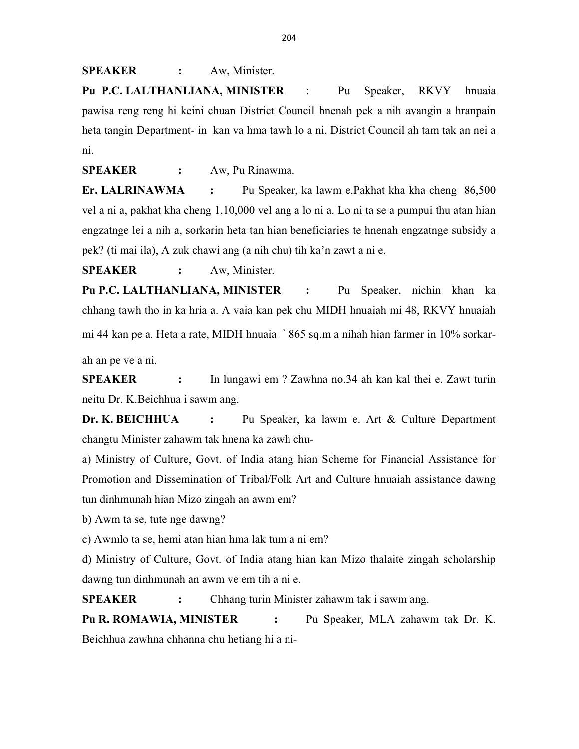SPEAKER : Aw, Minister.

Pu P.C. LALTHANLIANA, MINISTER : Pu Speaker, RKVY hnuaia pawisa reng reng hi keini chuan District Council hnenah pek a nih avangin a hranpain heta tangin Department- in kan va hma tawh lo a ni. District Council ah tam tak an nei a ni.

SPEAKER : Aw. Pu Rinawma.

Er. LALRINAWMA : Pu Speaker, ka lawm e.Pakhat kha kha cheng 86,500 vel a ni a, pakhat kha cheng 1,10,000 vel ang a lo ni a. Lo ni ta se a pumpui thu atan hian engzatnge lei a nih a, sorkarin heta tan hian beneficiaries te hnenah engzatnge subsidy a pek? (ti mai ila), A zuk chawi ang (a nih chu) tih ka'n zawt a ni e.

SPEAKER : Aw, Minister.

Pu P.C. LALTHANLIANA, MINISTER : Pu Speaker, nichin khan ka chhang tawh tho in ka hria a. A vaia kan pek chu MIDH hnuaiah mi 48, RKVY hnuaiah mi 44 kan pe a. Heta a rate, MIDH hnuaia ` 865 sq.m a nihah hian farmer in 10% sorkarah an pe ve a ni.

SPEAKER : In lungawi em ? Zawhna no.34 ah kan kal thei e. Zawt turin neitu Dr. K.Beichhua i sawm ang.

Dr. K. BEICHHUA : Pu Speaker, ka lawm e. Art & Culture Department changtu Minister zahawm tak hnena ka zawh chu-

a) Ministry of Culture, Govt. of India atang hian Scheme for Financial Assistance for Promotion and Dissemination of Tribal/Folk Art and Culture hnuaiah assistance dawng tun dinhmunah hian Mizo zingah an awm em?

b) Awm ta se, tute nge dawng?

c) Awmlo ta se, hemi atan hian hma lak tum a ni em?

d) Ministry of Culture, Govt. of India atang hian kan Mizo thalaite zingah scholarship dawng tun dinhmunah an awm ve em tih a ni e.

SPEAKER : Chhang turin Minister zahawm tak i sawm ang.

Pu R. ROMAWIA, MINISTER : Pu Speaker, MLA zahawm tak Dr. K. Beichhua zawhna chhanna chu hetiang hi a ni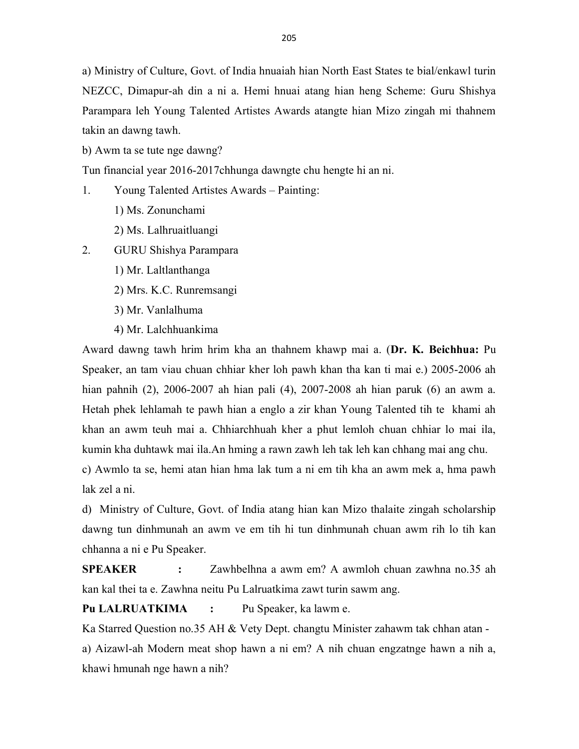a) Ministry of Culture, Govt. of India hnuaiah hian North East States te bial/enkawl turin NEZCC, Dimapur-ah din a ni a. Hemi hnuai atang hian heng Scheme: Guru Shishya Parampara leh Young Talented Artistes Awards atangte hian Mizo zingah mi thahnem takin an dawng tawh.

b) Awm ta se tute nge dawng?

Tun financial year 2016-2017chhunga dawngte chu hengte hi an ni.

- 1. Young Talented Artistes Awards Painting:
	- 1) Ms. Zonunchami
	- 2) Ms. Lalhruaitluangi
- 2. GURU Shishya Parampara
	- 1) Mr. Laltlanthanga
	- 2) Mrs. K.C. Runremsangi
	- 3) Mr. Vanlalhuma
	- 4) Mr. Lalchhuankima

Award dawng tawh hrim hrim kha an thahnem khawp mai a. (Dr. K. Beichhua: Pu Speaker, an tam viau chuan chhiar kher loh pawh khan tha kan ti mai e.) 2005-2006 ah hian pahnih (2), 2006-2007 ah hian pali (4), 2007-2008 ah hian paruk (6) an awm a. Hetah phek lehlamah te pawh hian a englo a zir khan Young Talented tih te khami ah khan an awm teuh mai a. Chhiarchhuah kher a phut lemloh chuan chhiar lo mai ila, kumin kha duhtawk mai ila.An hming a rawn zawh leh tak leh kan chhang mai ang chu.

c) Awmlo ta se, hemi atan hian hma lak tum a ni em tih kha an awm mek a, hma pawh lak zel a ni.

d) Ministry of Culture, Govt. of India atang hian kan Mizo thalaite zingah scholarship dawng tun dinhmunah an awm ve em tih hi tun dinhmunah chuan awm rih lo tih kan chhanna a ni e Pu Speaker.

SPEAKER : Zawhbelhna a awm em? A awmloh chuan zawhna no.35 ah kan kal thei ta e. Zawhna neitu Pu Lalruatkima zawt turin sawm ang.

Pu LALRUATKIMA : Pu Speaker, ka lawm e.

Ka Starred Question no.35 AH & Vety Dept. changtu Minister zahawm tak chhan atan a) Aizawl-ah Modern meat shop hawn a ni em? A nih chuan engzatnge hawn a nih a, khawi hmunah nge hawn a nih?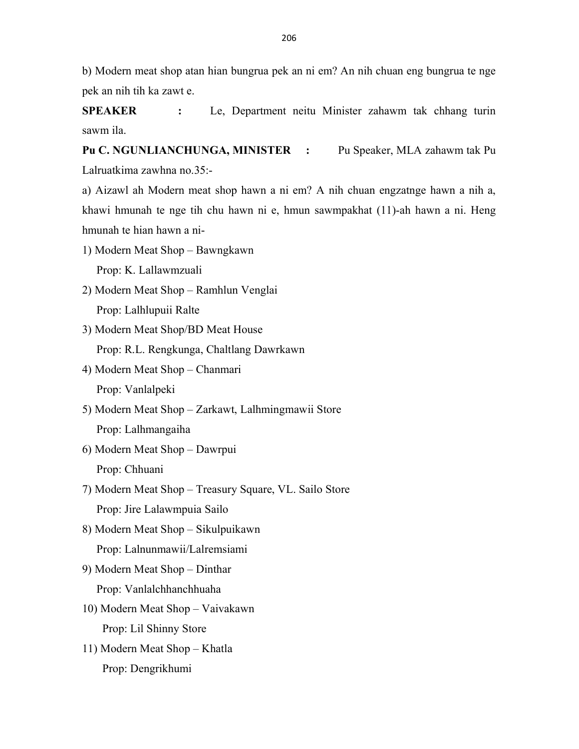b) Modern meat shop atan hian bungrua pek an ni em? An nih chuan eng bungrua te nge pek an nih tih ka zawt e.

SPEAKER : Le, Department neitu Minister zahawm tak chhang turin sawm ila.

Pu C. NGUNLIANCHUNGA, MINISTER : Pu Speaker, MLA zahawm tak Pu Lalruatkima zawhna no.35:-

a) Aizawl ah Modern meat shop hawn a ni em? A nih chuan engzatnge hawn a nih a, khawi hmunah te nge tih chu hawn ni e, hmun sawmpakhat (11)-ah hawn a ni. Heng hmunah te hian hawn a ni-

- 1) Modern Meat Shop Bawngkawn Prop: K. Lallawmzuali
- 2) Modern Meat Shop Ramhlun Venglai Prop: Lalhlupuii Ralte
- 3) Modern Meat Shop/BD Meat House Prop: R.L. Rengkunga, Chaltlang Dawrkawn
- 4) Modern Meat Shop Chanmari Prop: Vanlalpeki
- 5) Modern Meat Shop Zarkawt, Lalhmingmawii Store Prop: Lalhmangaiha
- 6) Modern Meat Shop Dawrpui Prop: Chhuani
- 7) Modern Meat Shop Treasury Square, VL. Sailo Store Prop: Jire Lalawmpuia Sailo
- 8) Modern Meat Shop Sikulpuikawn Prop: Lalnunmawii/Lalremsiami
- 9) Modern Meat Shop Dinthar Prop: Vanlalchhanchhuaha
- 10) Modern Meat Shop Vaivakawn Prop: Lil Shinny Store
- 11) Modern Meat Shop Khatla Prop: Dengrikhumi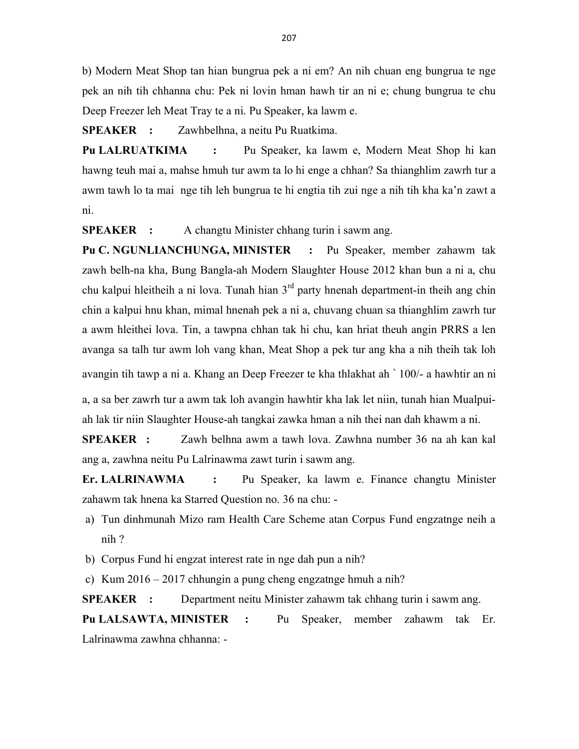b) Modern Meat Shop tan hian bungrua pek a ni em? An nih chuan eng bungrua te nge pek an nih tih chhanna chu: Pek ni lovin hman hawh tir an ni e; chung bungrua te chu Deep Freezer leh Meat Tray te a ni. Pu Speaker, ka lawm e.

SPEAKER : Zawhbelhna, a neitu Pu Ruatkima.

Pu LALRUATKIMA : Pu Speaker, ka lawm e, Modern Meat Shop hi kan hawng teuh mai a, mahse hmuh tur awm ta lo hi enge a chhan? Sa thianghlim zawrh tur a awm tawh lo ta mai nge tih leh bungrua te hi engtia tih zui nge a nih tih kha ka'n zawt a ni.

SPEAKER : A changtu Minister chhang turin i sawm ang.

Pu C. NGUNLIANCHUNGA, MINISTER : Pu Speaker, member zahawm tak zawh belh-na kha, Bung Bangla-ah Modern Slaughter House 2012 khan bun a ni a, chu chu kalpui hleitheih a ni lova. Tunah hian  $3<sup>rd</sup>$  party hnenah department-in theih ang chin chin a kalpui hnu khan, mimal hnenah pek a ni a, chuvang chuan sa thianghlim zawrh tur a awm hleithei lova. Tin, a tawpna chhan tak hi chu, kan hriat theuh angin PRRS a len avanga sa talh tur awm loh vang khan, Meat Shop a pek tur ang kha a nih theih tak loh avangin tih tawp a ni a. Khang an Deep Freezer te kha thlakhat ah ` 100/- a hawhtir an ni

a, a sa ber zawrh tur a awm tak loh avangin hawhtir kha lak let niin, tunah hian Mualpuiah lak tir niin Slaughter House-ah tangkai zawka hman a nih thei nan dah khawm a ni.

SPEAKER : Zawh belhna awm a tawh lova. Zawhna number 36 na ah kan kal ang a, zawhna neitu Pu Lalrinawma zawt turin i sawm ang.

Er. LALRINAWMA : Pu Speaker, ka lawm e. Finance changtu Minister zahawm tak hnena ka Starred Question no. 36 na chu: -

- a) Tun dinhmunah Mizo ram Health Care Scheme atan Corpus Fund engzatnge neih a nih ?
- b) Corpus Fund hi engzat interest rate in nge dah pun a nih?
- c) Kum 2016 2017 chhungin a pung cheng engzatnge hmuh a nih?

SPEAKER : Department neitu Minister zahawm tak chhang turin i sawm ang.

Pu LALSAWTA, MINISTER : Pu Speaker, member zahawm tak Er. Lalrinawma zawhna chhanna: -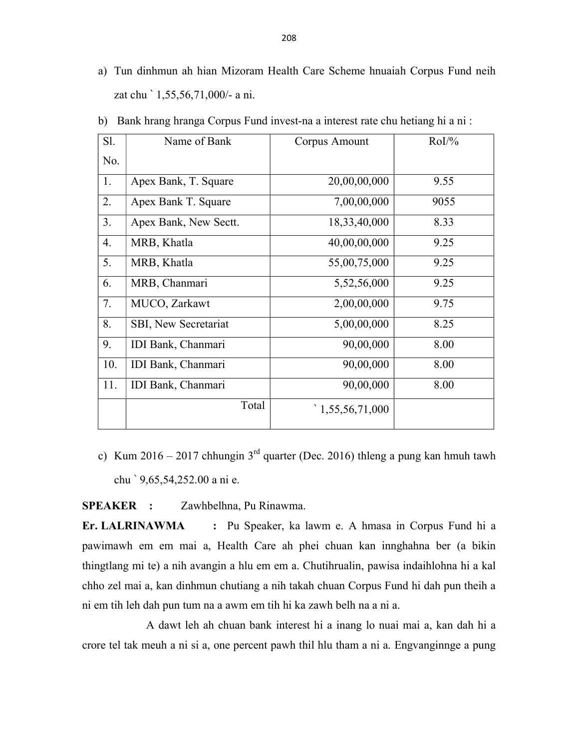a) Tun dinhmun ah hian Mizoram Health Care Scheme hnuaiah Corpus Fund neih zat chu ` 1,55,56,71,000/- a ni.

| Sl. | Name of Bank          | Corpus Amount  | $RoI\frac{9}{6}$ |
|-----|-----------------------|----------------|------------------|
| No. |                       |                |                  |
| 1.  | Apex Bank, T. Square  | 20,00,00,000   | 9.55             |
| 2.  | Apex Bank T. Square   | 7,00,00,000    | 9055             |
| 3.  | Apex Bank, New Sectt. | 18,33,40,000   | 8.33             |
| 4.  | MRB, Khatla           | 40,00,00,000   | 9.25             |
| 5.  | MRB, Khatla           | 55,00,75,000   | 9.25             |
| 6.  | MRB, Chanmari         | 5,52,56,000    | 9.25             |
| 7.  | MUCO, Zarkawt         | 2,00,00,000    | 9.75             |
| 8.  | SBI, New Secretariat  | 5,00,00,000    | 8.25             |
| 9.  | IDI Bank, Chanmari    | 90,00,000      | 8.00             |
| 10. | IDI Bank, Chanmari    | 90,00,000      | 8.00             |
| 11. | IDI Bank, Chanmari    | 90,00,000      | 8.00             |
|     | Total                 | 1,55,56,71,000 |                  |

b) Bank hrang hranga Corpus Fund invest-na a interest rate chu hetiang hi a ni :

c) Kum 2016 – 2017 chhungin  $3<sup>rd</sup>$  quarter (Dec. 2016) thleng a pung kan hmuh tawh chu ` 9,65,54,252.00 a ni e.

SPEAKER : Zawhbelhna, Pu Rinawma.

Er. LALRINAWMA : Pu Speaker, ka lawm e. A hmasa in Corpus Fund hi a pawimawh em em mai a, Health Care ah phei chuan kan innghahna ber (a bikin thingtlang mi te) a nih avangin a hlu em em a. Chutihrualin, pawisa indaihlohna hi a kal chho zel mai a, kan dinhmun chutiang a nih takah chuan Corpus Fund hi dah pun theih a ni em tih leh dah pun tum na a awm em tih hi ka zawh belh na a ni a.

 A dawt leh ah chuan bank interest hi a inang lo nuai mai a, kan dah hi a crore tel tak meuh a ni si a, one percent pawh thil hlu tham a ni a. Engvanginnge a pung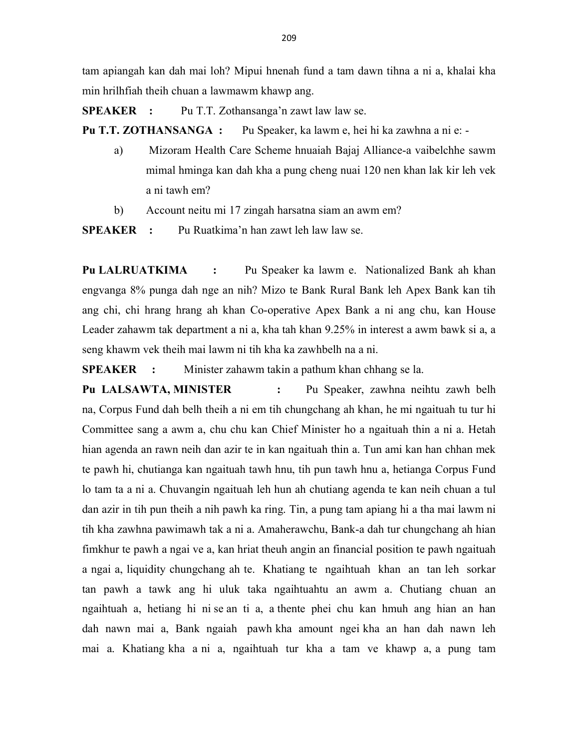tam apiangah kan dah mai loh? Mipui hnenah fund a tam dawn tihna a ni a, khalai kha min hrilhfiah theih chuan a lawmawm khawp ang.

SPEAKER : Pu T.T. Zothansanga'n zawt law law se.

Pu T.T. ZOTHANSANGA : Pu Speaker, ka lawm e, hei hi ka zawhna a ni e: -

- a) Mizoram Health Care Scheme hnuaiah Bajaj Alliance-a vaibelchhe sawm mimal hminga kan dah kha a pung cheng nuai 120 nen khan lak kir leh vek a ni tawh em?
- b) Account neitu mi 17 zingah harsatna siam an awm em?

SPEAKER : Pu Ruatkima'n han zawt leh law law se.

Pu LALRUATKIMA : Pu Speaker ka lawm e. Nationalized Bank ah khan engvanga 8% punga dah nge an nih? Mizo te Bank Rural Bank leh Apex Bank kan tih ang chi, chi hrang hrang ah khan Co-operative Apex Bank a ni ang chu, kan House Leader zahawm tak department a ni a, kha tah khan 9.25% in interest a awm bawk si a, a seng khawm vek theih mai lawm ni tih kha ka zawhbelh na a ni.

SPEAKER : Minister zahawm takin a pathum khan chhang se la.

Pu LALSAWTA, MINISTER : Pu Speaker, zawhna neihtu zawh belh na, Corpus Fund dah belh theih a ni em tih chungchang ah khan, he mi ngaituah tu tur hi Committee sang a awm a, chu chu kan Chief Minister ho a ngaituah thin a ni a. Hetah hian agenda an rawn neih dan azir te in kan ngaituah thin a. Tun ami kan han chhan mek te pawh hi, chutianga kan ngaituah tawh hnu, tih pun tawh hnu a, hetianga Corpus Fund lo tam ta a ni a. Chuvangin ngaituah leh hun ah chutiang agenda te kan neih chuan a tul dan azir in tih pun theih a nih pawh ka ring. Tin, a pung tam apiang hi a tha mai lawm ni tih kha zawhna pawimawh tak a ni a. Amaherawchu, Bank-a dah tur chungchang ah hian fimkhur te pawh a ngai ve a, kan hriat theuh angin an financial position te pawh ngaituah a ngai a, liquidity chungchang ah te. Khatiang te ngaihtuah khan an tan leh sorkar tan pawh a tawk ang hi uluk taka ngaihtuahtu an awm a. Chutiang chuan an ngaihtuah a, hetiang hi ni se an ti a, a thente phei chu kan hmuh ang hian an han dah nawn mai a, Bank ngaiah pawh kha amount ngei kha an han dah nawn leh mai a. Khatiang kha a ni a, ngaihtuah tur kha a tam ve khawp a, a pung tam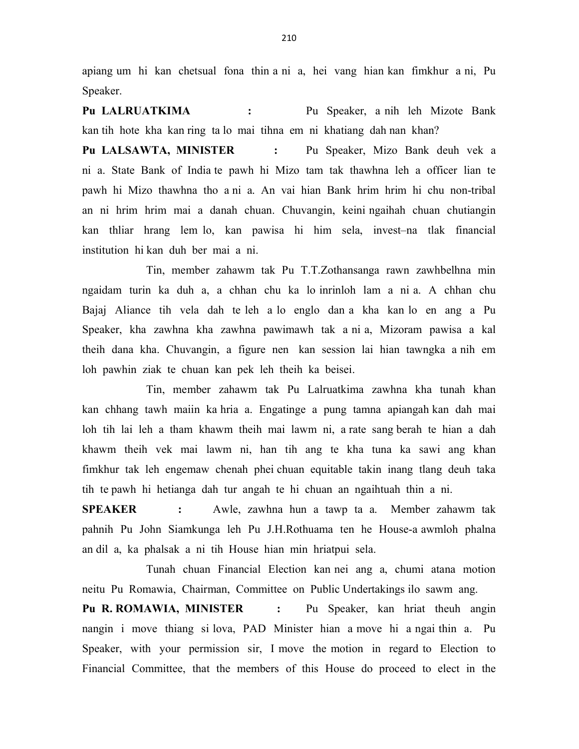apiang um hi kan chetsual fona thin a ni a, hei vang hian kan fimkhur a ni, Pu Speaker.

Pu LALRUATKIMA : Pu Speaker, a nih leh Mizote Bank kan tih hote kha kan ring ta lo mai tihna em ni khatiang dah nan khan?

Pu LALSAWTA, MINISTER : Pu Speaker, Mizo Bank deuh vek a ni a. State Bank of India te pawh hi Mizo tam tak thawhna leh a officer lian te pawh hi Mizo thawhna tho a ni a. An vai hian Bank hrim hrim hi chu non-tribal an ni hrim hrim mai a danah chuan. Chuvangin, keini ngaihah chuan chutiangin kan thliar hrang lem lo, kan pawisa hi him sela, invest–na tlak financial institution hi kan duh ber mai a ni.

 Tin, member zahawm tak Pu T.T.Zothansanga rawn zawhbelhna min ngaidam turin ka duh a, a chhan chu ka lo inrinloh lam a ni a. A chhan chu Bajaj Aliance tih vela dah te leh a lo englo dan a kha kan lo en ang a Pu Speaker, kha zawhna kha zawhna pawimawh tak a ni a, Mizoram pawisa a kal theih dana kha. Chuvangin, a figure nen kan session lai hian tawngka a nih em loh pawhin ziak te chuan kan pek leh theih ka beisei.

 Tin, member zahawm tak Pu Lalruatkima zawhna kha tunah khan kan chhang tawh maiin ka hria a. Engatinge a pung tamna apiangah kan dah mai loh tih lai leh a tham khawm theih mai lawm ni, a rate sang berah te hian a dah khawm theih vek mai lawm ni, han tih ang te kha tuna ka sawi ang khan fimkhur tak leh engemaw chenah phei chuan equitable takin inang tlang deuh taka tih te pawh hi hetianga dah tur angah te hi chuan an ngaihtuah thin a ni.

SPEAKER : Awle, zawhna hun a tawp ta a. Member zahawm tak pahnih Pu John Siamkunga leh Pu J.H.Rothuama ten he House-a awmloh phalna an dil a, ka phalsak a ni tih House hian min hriatpui sela.

 Tunah chuan Financial Election kan nei ang a, chumi atana motion neitu Pu Romawia, Chairman, Committee on Public Undertakings ilo sawm ang.

Pu R. ROMAWIA, MINISTER : Pu Speaker, kan hriat theuh angin nangin i move thiang si lova, PAD Minister hian a move hi a ngai thin a. Pu Speaker, with your permission sir, I move the motion in regard to Election to Financial Committee, that the members of this House do proceed to elect in the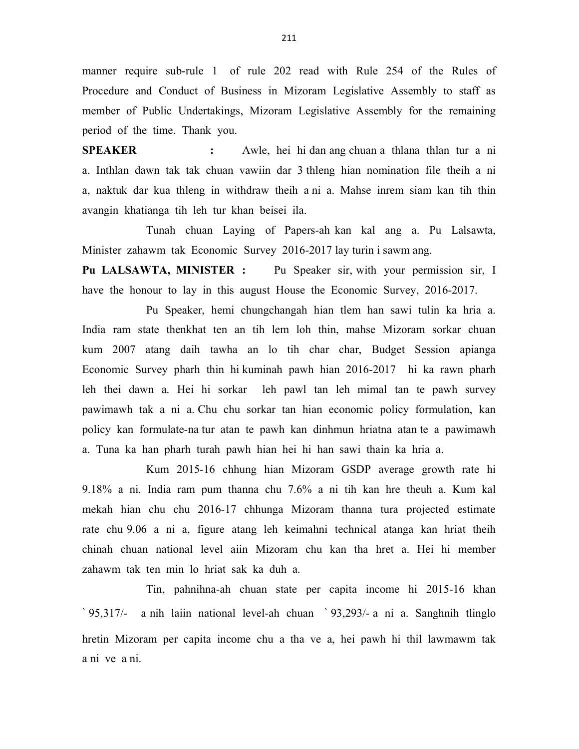manner require sub-rule 1 of rule 202 read with Rule 254 of the Rules of Procedure and Conduct of Business in Mizoram Legislative Assembly to staff as member of Public Undertakings, Mizoram Legislative Assembly for the remaining period of the time. Thank you.

SPEAKER : Awle, hei hi dan ang chuan a thlana thlan tur a ni a. Inthlan dawn tak tak chuan vawiin dar 3 thleng hian nomination file theih a ni a, naktuk dar kua thleng in withdraw theih a ni a. Mahse inrem siam kan tih thin avangin khatianga tih leh tur khan beisei ila.

 Tunah chuan Laying of Papers-ah kan kal ang a. Pu Lalsawta, Minister zahawm tak Economic Survey 2016-2017 lay turin i sawm ang.

Pu LALSAWTA, MINISTER : Pu Speaker sir, with your permission sir, I have the honour to lay in this august House the Economic Survey, 2016-2017.

 Pu Speaker, hemi chungchangah hian tlem han sawi tulin ka hria a. India ram state thenkhat ten an tih lem loh thin, mahse Mizoram sorkar chuan kum 2007 atang daih tawha an lo tih char char, Budget Session apianga Economic Survey pharh thin hi kuminah pawh hian 2016-2017 hi ka rawn pharh leh thei dawn a. Hei hi sorkar leh pawl tan leh mimal tan te pawh survey pawimawh tak a ni a. Chu chu sorkar tan hian economic policy formulation, kan policy kan formulate-na tur atan te pawh kan dinhmun hriatna atan te a pawimawh a. Tuna ka han pharh turah pawh hian hei hi han sawi thain ka hria a.

 Kum 2015-16 chhung hian Mizoram GSDP average growth rate hi 9.18% a ni. India ram pum thanna chu 7.6% a ni tih kan hre theuh a. Kum kal mekah hian chu chu 2016-17 chhunga Mizoram thanna tura projected estimate rate chu 9.06 a ni a, figure atang leh keimahni technical atanga kan hriat theih chinah chuan national level aiin Mizoram chu kan tha hret a. Hei hi member zahawm tak ten min lo hriat sak ka duh a.

 Tin, pahnihna-ah chuan state per capita income hi 2015-16 khan ` 95,317/- a nih laiin national level-ah chuan ` 93,293/- a ni a. Sanghnih tlinglo hretin Mizoram per capita income chu a tha ve a, hei pawh hi thil lawmawm tak a ni ve a ni.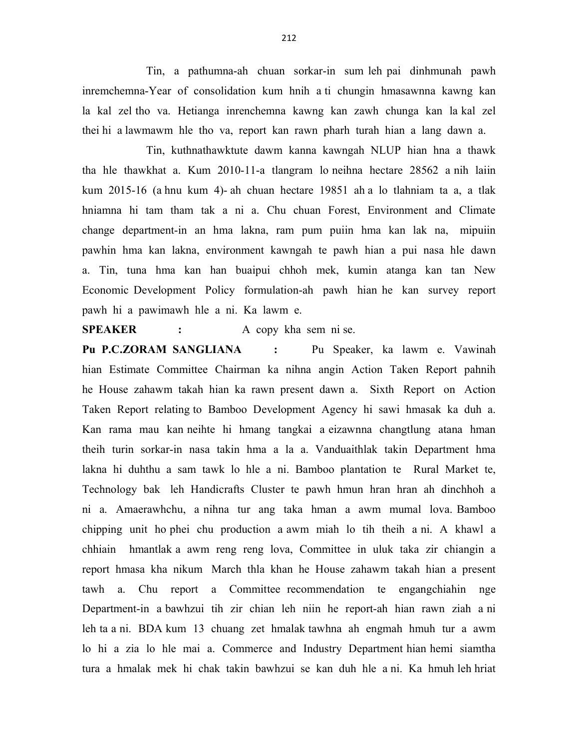Tin, a pathumna-ah chuan sorkar-in sum leh pai dinhmunah pawh inremchemna-Year of consolidation kum hnih a ti chungin hmasawnna kawng kan la kal zel tho va. Hetianga inrenchemna kawng kan zawh chunga kan la kal zel thei hi a lawmawm hle tho va, report kan rawn pharh turah hian a lang dawn a.

 Tin, kuthnathawktute dawm kanna kawngah NLUP hian hna a thawk tha hle thawkhat a. Kum 2010-11-a tlangram lo neihna hectare 28562 a nih laiin kum 2015-16 (a hnu kum 4)- ah chuan hectare 19851 ah a lo tlahniam ta a, a tlak hniamna hi tam tham tak a ni a. Chu chuan Forest, Environment and Climate change department-in an hma lakna, ram pum puiin hma kan lak na, mipuiin pawhin hma kan lakna, environment kawngah te pawh hian a pui nasa hle dawn a. Tin, tuna hma kan han buaipui chhoh mek, kumin atanga kan tan New Economic Development Policy formulation-ah pawh hian he kan survey report pawh hi a pawimawh hle a ni. Ka lawm e.

SPEAKER : A copy kha sem ni se.

Pu P.C.ZORAM SANGLIANA : Pu Speaker, ka lawm e. Vawinah hian Estimate Committee Chairman ka nihna angin Action Taken Report pahnih he House zahawm takah hian ka rawn present dawn a. Sixth Report on Action Taken Report relating to Bamboo Development Agency hi sawi hmasak ka duh a. Kan rama mau kan neihte hi hmang tangkai a eizawnna changtlung atana hman theih turin sorkar-in nasa takin hma a la a. Vanduaithlak takin Department hma lakna hi duhthu a sam tawk lo hle a ni. Bamboo plantation te Rural Market te, Technology bak leh Handicrafts Cluster te pawh hmun hran hran ah dinchhoh a ni a. Amaerawhchu, a nihna tur ang taka hman a awm mumal lova. Bamboo chipping unit ho phei chu production a awm miah lo tih theih a ni. A khawl a chhiain hmantlak a awm reng reng lova, Committee in uluk taka zir chiangin a report hmasa kha nikum March thla khan he House zahawm takah hian a present tawh a. Chu report a Committee recommendation te engangchiahin nge Department-in a bawhzui tih zir chian leh niin he report-ah hian rawn ziah a ni leh ta a ni. BDA kum 13 chuang zet hmalak tawhna ah engmah hmuh tur a awm lo hi a zia lo hle mai a. Commerce and Industry Department hian hemi siamtha tura a hmalak mek hi chak takin bawhzui se kan duh hle a ni. Ka hmuh leh hriat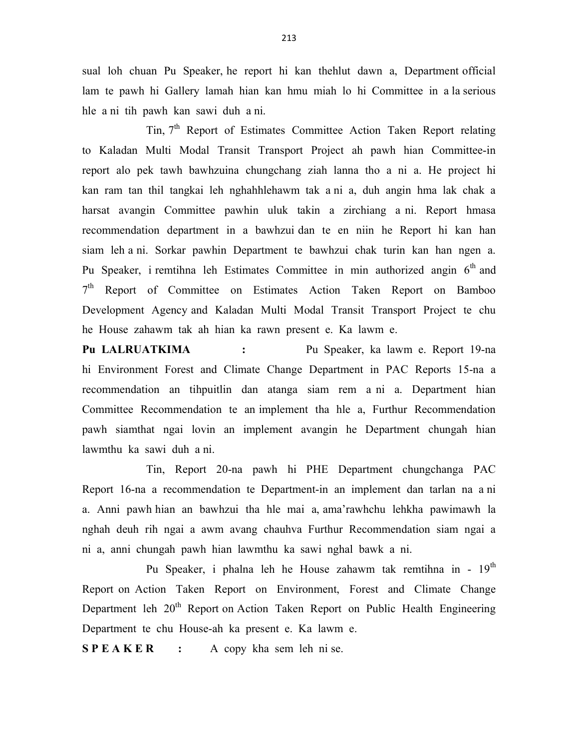sual loh chuan Pu Speaker, he report hi kan thehlut dawn a, Department official lam te pawh hi Gallery lamah hian kan hmu miah lo hi Committee in a la serious hle a ni tih pawh kan sawi duh a ni.

Tin, 7<sup>th</sup> Report of Estimates Committee Action Taken Report relating to Kaladan Multi Modal Transit Transport Project ah pawh hian Committee-in report alo pek tawh bawhzuina chungchang ziah lanna tho a ni a. He project hi kan ram tan thil tangkai leh nghahhlehawm tak a ni a, duh angin hma lak chak a harsat avangin Committee pawhin uluk takin a zirchiang a ni. Report hmasa recommendation department in a bawhzui dan te en niin he Report hi kan han siam leh a ni. Sorkar pawhin Department te bawhzui chak turin kan han ngen a. Pu Speaker, i remtihna leh Estimates Committee in min authorized angin  $6<sup>th</sup>$  and 7<sup>th</sup> Report of Committee on Estimates Action Taken Report on Bamboo Development Agency and Kaladan Multi Modal Transit Transport Project te chu he House zahawm tak ah hian ka rawn present e. Ka lawm e.

Pu LALRUATKIMA : Pu Speaker, ka lawm e. Report 19-na hi Environment Forest and Climate Change Department in PAC Reports 15-na a recommendation an tihpuitlin dan atanga siam rem a ni a. Department hian Committee Recommendation te an implement tha hle a, Furthur Recommendation pawh siamthat ngai lovin an implement avangin he Department chungah hian lawmthu ka sawi duh a ni.

 Tin, Report 20-na pawh hi PHE Department chungchanga PAC Report 16-na a recommendation te Department-in an implement dan tarlan na a ni a. Anni pawh hian an bawhzui tha hle mai a, ama'rawhchu lehkha pawimawh la nghah deuh rih ngai a awm avang chauhva Furthur Recommendation siam ngai a ni a, anni chungah pawh hian lawmthu ka sawi nghal bawk a ni.

Pu Speaker, i phalna leh he House zahawm tak remtihna in - 19<sup>th</sup> Report on Action Taken Report on Environment, Forest and Climate Change Department leh 20<sup>th</sup> Report on Action Taken Report on Public Health Engineering Department te chu House-ah ka present e. Ka lawm e.

 $S$  **P E A K E R** : A copy kha sem leh ni se.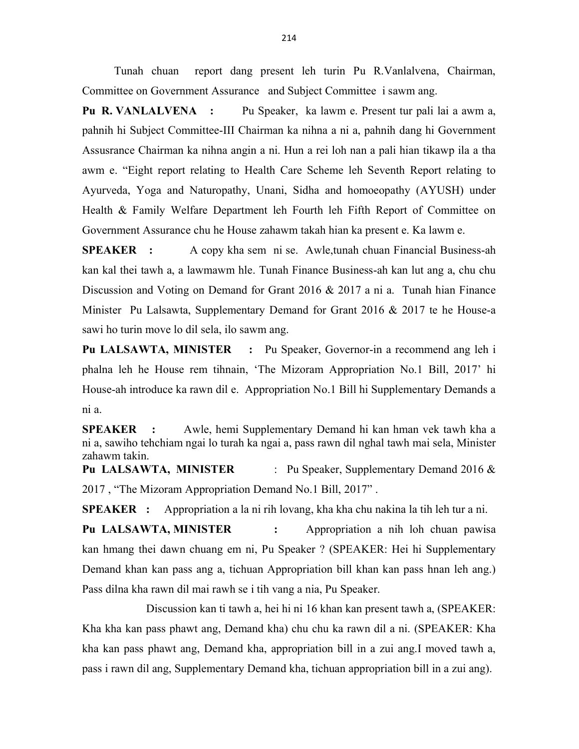Tunah chuan report dang present leh turin Pu R.Vanlalvena, Chairman, Committee on Government Assurance and Subject Committee i sawm ang.

Pu R. VANLALVENA : Pu Speaker, ka lawm e. Present tur pali lai a awm a, pahnih hi Subject Committee-III Chairman ka nihna a ni a, pahnih dang hi Government Assusrance Chairman ka nihna angin a ni. Hun a rei loh nan a pali hian tikawp ila a tha awm e. "Eight report relating to Health Care Scheme leh Seventh Report relating to Ayurveda, Yoga and Naturopathy, Unani, Sidha and homoeopathy (AYUSH) under Health & Family Welfare Department leh Fourth leh Fifth Report of Committee on Government Assurance chu he House zahawm takah hian ka present e. Ka lawm e.

SPEAKER : A copy kha sem ni se. Awle,tunah chuan Financial Business-ah kan kal thei tawh a, a lawmawm hle. Tunah Finance Business-ah kan lut ang a, chu chu Discussion and Voting on Demand for Grant 2016 & 2017 a ni a. Tunah hian Finance Minister Pu Lalsawta, Supplementary Demand for Grant 2016 & 2017 te he House-a sawi ho turin move lo dil sela, ilo sawm ang.

Pu LALSAWTA, MINISTER : Pu Speaker, Governor-in a recommend ang leh i phalna leh he House rem tihnain, 'The Mizoram Appropriation No.1 Bill, 2017' hi House-ah introduce ka rawn dil e. Appropriation No.1 Bill hi Supplementary Demands a ni a.

SPEAKER : Awle, hemi Supplementary Demand hi kan hman vek tawh kha a ni a, sawiho tehchiam ngai lo turah ka ngai a, pass rawn dil nghal tawh mai sela, Minister zahawm takin.

Pu LALSAWTA, MINISTER : Pu Speaker, Supplementary Demand 2016 & 2017 , "The Mizoram Appropriation Demand No.1 Bill, 2017" .

SPEAKER : Appropriation a la ni rih lovang, kha kha chu nakina la tih leh tur a ni.

Pu LALSAWTA, MINISTER : Appropriation a nih loh chuan pawisa kan hmang thei dawn chuang em ni, Pu Speaker ? (SPEAKER: Hei hi Supplementary Demand khan kan pass ang a, tichuan Appropriation bill khan kan pass hnan leh ang.) Pass dilna kha rawn dil mai rawh se i tih vang a nia, Pu Speaker.

 Discussion kan ti tawh a, hei hi ni 16 khan kan present tawh a, (SPEAKER: Kha kha kan pass phawt ang, Demand kha) chu chu ka rawn dil a ni. (SPEAKER: Kha kha kan pass phawt ang, Demand kha, appropriation bill in a zui ang.I moved tawh a, pass i rawn dil ang, Supplementary Demand kha, tichuan appropriation bill in a zui ang).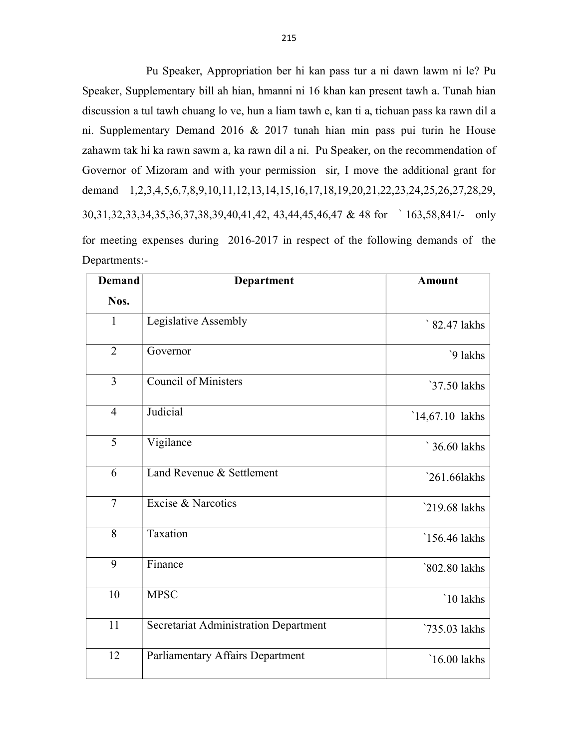Pu Speaker, Appropriation ber hi kan pass tur a ni dawn lawm ni le? Pu Speaker, Supplementary bill ah hian, hmanni ni 16 khan kan present tawh a. Tunah hian discussion a tul tawh chuang lo ve, hun a liam tawh e, kan ti a, tichuan pass ka rawn dil a ni. Supplementary Demand 2016 & 2017 tunah hian min pass pui turin he House zahawm tak hi ka rawn sawm a, ka rawn dil a ni. Pu Speaker, on the recommendation of Governor of Mizoram and with your permission sir, I move the additional grant for demand 1,2,3,4,5,6,7,8,9,10,11,12,13,14,15,16,17,18,19,20,21,22,23,24,25,26,27,28,29, 30,31,32,33,34,35,36,37,38,39,40,41,42, 43,44,45,46,47 & 48 for ` 163,58,841/- only for meeting expenses during 2016-2017 in respect of the following demands of the Departments:-

| <b>Demand</b>  | Department                            | <b>Amount</b>   |
|----------------|---------------------------------------|-----------------|
| Nos.           |                                       |                 |
| $\mathbf{1}$   | Legislative Assembly                  | ` 82.47 lakhs   |
| $\overline{2}$ | Governor                              | `9 lakhs        |
| 3              | Council of Ministers                  | `37.50 lakhs    |
| $\overline{4}$ | Judicial                              | `14,67.10 lakhs |
| 5              | Vigilance                             | ` 36.60 lakhs   |
| 6              | Land Revenue & Settlement             | $261.66$ lakhs  |
| $\overline{7}$ | Excise & Narcotics                    | 219.68 lakhs    |
| 8              | Taxation                              | `156.46 lakhs   |
| 9              | Finance                               | `802.80 lakhs   |
| 10             | <b>MPSC</b>                           | `10 lakhs       |
| 11             | Secretariat Administration Department | `735.03 lakhs   |
| 12             | Parliamentary Affairs Department      | $16.00$ lakhs   |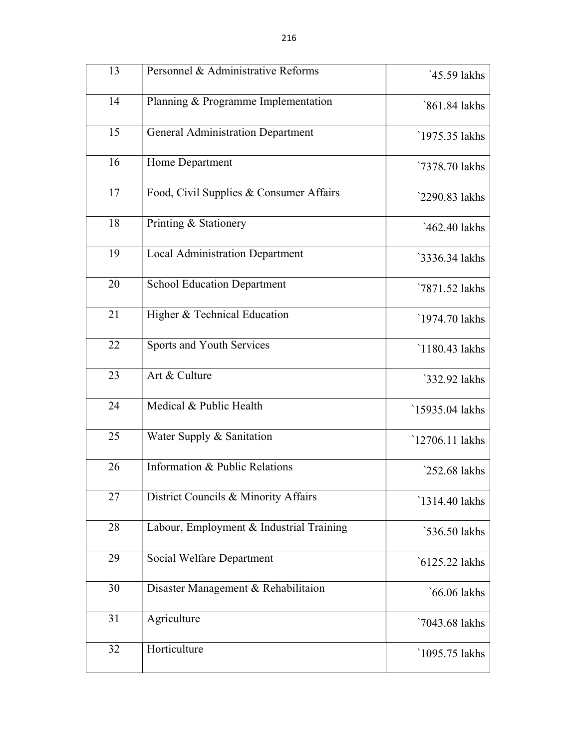| 13 | Personnel & Administrative Reforms       | `45.59 lakhs   |
|----|------------------------------------------|----------------|
| 14 | Planning & Programme Implementation      | `861.84 lakhs  |
| 15 | <b>General Administration Department</b> | 1975.35 lakhs  |
| 16 | Home Department                          | `7378.70 lakhs |
| 17 | Food, Civil Supplies & Consumer Affairs  | `2290.83 lakhs |
| 18 | Printing & Stationery                    | `462.40 lakhs  |
| 19 | <b>Local Administration Department</b>   | `3336.34 lakhs |
| 20 | <b>School Education Department</b>       | `7871.52 lakhs |
| 21 | Higher & Technical Education             | `1974.70 lakhs |
| 22 | Sports and Youth Services                | 1180.43 lakhs  |
| 23 | Art & Culture                            | `332.92 lakhs  |
| 24 | Medical & Public Health                  | 15935.04 lakhs |
| 25 | Water Supply & Sanitation                | 12706.11 lakhs |
| 26 | Information & Public Relations           | 252.68 lakhs   |
| 27 | District Councils & Minority Affairs     | 1314.40 lakhs  |
| 28 | Labour, Employment & Industrial Training | `536.50 lakhs  |
| 29 | Social Welfare Department                | `6125.22 lakhs |
| 30 | Disaster Management & Rehabilitaion      | `66.06 lakhs   |
| 31 | Agriculture                              | `7043.68 lakhs |
| 32 | Horticulture                             | 1095.75 lakhs  |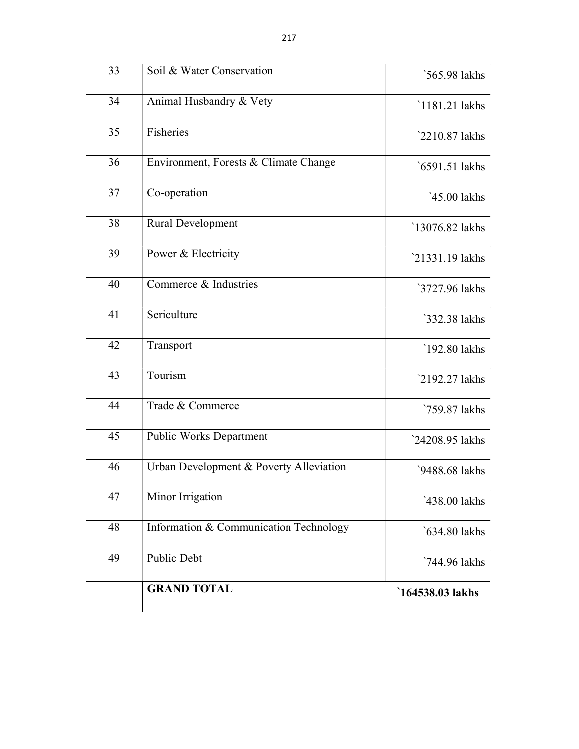| 33 | Soil & Water Conservation               | `565.98 lakhs   |
|----|-----------------------------------------|-----------------|
| 34 | Animal Husbandry & Vety                 | `1181.21 lakhs  |
| 35 | Fisheries                               | `2210.87 lakhs  |
| 36 | Environment, Forests & Climate Change   | `6591.51 lakhs  |
| 37 | Co-operation                            | `45.00 lakhs    |
| 38 | <b>Rural Development</b>                | `13076.82 lakhs |
| 39 | Power & Electricity                     | `21331.19 lakhs |
| 40 | Commerce & Industries                   | `3727.96 lakhs  |
| 41 | Sericulture                             | `332.38 lakhs   |
| 42 | Transport                               | `192.80 lakhs   |
| 43 | Tourism                                 | 2192.27 lakhs   |
| 44 | Trade & Commerce                        | `759.87 lakhs   |
| 45 | <b>Public Works Department</b>          | `24208.95 lakhs |
| 46 | Urban Development & Poverty Alleviation | `9488.68 lakhs  |
| 47 | Minor Irrigation                        | `438.00 lakhs   |
| 48 | Information & Communication Technology  | `634.80 lakhs   |
| 49 | Public Debt                             | `744.96 lakhs   |
|    | <b>GRAND TOTAL</b>                      | 164538.03 lakhs |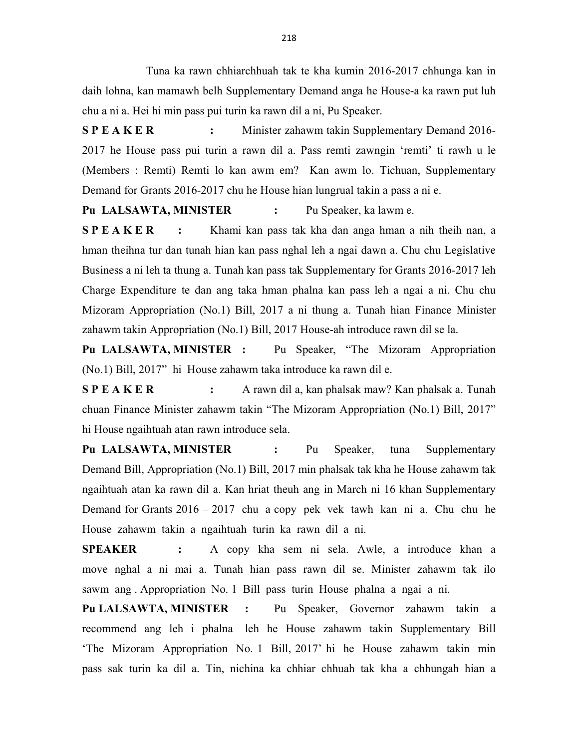Tuna ka rawn chhiarchhuah tak te kha kumin 2016-2017 chhunga kan in daih lohna, kan mamawh belh Supplementary Demand anga he House-a ka rawn put luh chu a ni a. Hei hi min pass pui turin ka rawn dil a ni, Pu Speaker.

S P E A K E R : Minister zahawm takin Supplementary Demand 2016-2017 he House pass pui turin a rawn dil a. Pass remti zawngin 'remti' ti rawh u le (Members : Remti) Remti lo kan awm em? Kan awm lo. Tichuan, Supplementary Demand for Grants 2016-2017 chu he House hian lungrual takin a pass a ni e.

Pu LALSAWTA, MINISTER : Pu Speaker, ka lawm e.

S P E A K E R : Khami kan pass tak kha dan anga hman a nih theih nan, a hman theihna tur dan tunah hian kan pass nghal leh a ngai dawn a. Chu chu Legislative Business a ni leh ta thung a. Tunah kan pass tak Supplementary for Grants 2016-2017 leh Charge Expenditure te dan ang taka hman phalna kan pass leh a ngai a ni. Chu chu Mizoram Appropriation (No.1) Bill, 2017 a ni thung a. Tunah hian Finance Minister zahawm takin Appropriation (No.1) Bill, 2017 House-ah introduce rawn dil se la.

Pu LALSAWTA, MINISTER : Pu Speaker, "The Mizoram Appropriation (No.1) Bill, 2017" hi House zahawm taka introduce ka rawn dil e.

S P E A K E R : A rawn dil a, kan phalsak maw? Kan phalsak a. Tunah chuan Finance Minister zahawm takin "The Mizoram Appropriation (No.1) Bill, 2017" hi House ngaihtuah atan rawn introduce sela.

Pu LALSAWTA, MINISTER : Pu Speaker, tuna Supplementary Demand Bill, Appropriation (No.1) Bill, 2017 min phalsak tak kha he House zahawm tak ngaihtuah atan ka rawn dil a. Kan hriat theuh ang in March ni 16 khan Supplementary Demand for Grants 2016 – 2017 chu a copy pek vek tawh kan ni a. Chu chu he House zahawm takin a ngaihtuah turin ka rawn dil a ni.

SPEAKER : A copy kha sem ni sela. Awle, a introduce khan a move nghal a ni mai a. Tunah hian pass rawn dil se. Minister zahawm tak ilo sawm ang . Appropriation No. 1 Bill pass turin House phalna a ngai a ni.

Pu LALSAWTA, MINISTER : Pu Speaker, Governor zahawm takin a recommend ang leh i phalna leh he House zahawm takin Supplementary Bill 'The Mizoram Appropriation No. 1 Bill, 2017' hi he House zahawm takin min pass sak turin ka dil a. Tin, nichina ka chhiar chhuah tak kha a chhungah hian a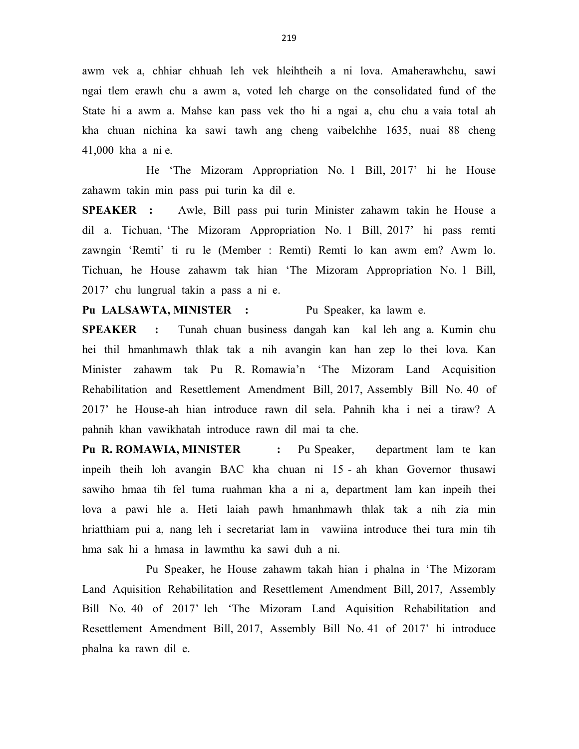awm vek a, chhiar chhuah leh vek hleihtheih a ni lova. Amaherawhchu, sawi ngai tlem erawh chu a awm a, voted leh charge on the consolidated fund of the State hi a awm a. Mahse kan pass vek tho hi a ngai a, chu chu a vaia total ah kha chuan nichina ka sawi tawh ang cheng vaibelchhe 1635, nuai 88 cheng 41,000 kha a ni e.

 He 'The Mizoram Appropriation No. 1 Bill, 2017' hi he House zahawm takin min pass pui turin ka dil e.

SPEAKER : Awle, Bill pass pui turin Minister zahawm takin he House a dil a. Tichuan, 'The Mizoram Appropriation No. 1 Bill, 2017' hi pass remti zawngin 'Remti' ti ru le (Member : Remti) Remti lo kan awm em? Awm lo. Tichuan, he House zahawm tak hian 'The Mizoram Appropriation No. 1 Bill, 2017' chu lungrual takin a pass a ni e.

Pu LALSAWTA, MINISTER : Pu Speaker, ka lawm e.

SPEAKER : Tunah chuan business dangah kan kal leh ang a. Kumin chu hei thil hmanhmawh thlak tak a nih avangin kan han zep lo thei lova. Kan Minister zahawm tak Pu R. Romawia'n 'The Mizoram Land Acquisition Rehabilitation and Resettlement Amendment Bill, 2017, Assembly Bill No. 40 of 2017' he House-ah hian introduce rawn dil sela. Pahnih kha i nei a tiraw? A pahnih khan vawikhatah introduce rawn dil mai ta che.

Pu R. ROMAWIA, MINISTER : Pu Speaker, department lam te kan inpeih theih loh avangin BAC kha chuan ni 15 - ah khan Governor thusawi sawiho hmaa tih fel tuma ruahman kha a ni a, department lam kan inpeih thei lova a pawi hle a. Heti laiah pawh hmanhmawh thlak tak a nih zia min hriatthiam pui a, nang leh i secretariat lam in vawiina introduce thei tura min tih hma sak hi a hmasa in lawmthu ka sawi duh a ni.

 Pu Speaker, he House zahawm takah hian i phalna in 'The Mizoram Land Aquisition Rehabilitation and Resettlement Amendment Bill, 2017, Assembly Bill No. 40 of 2017' leh 'The Mizoram Land Aquisition Rehabilitation and Resettlement Amendment Bill, 2017, Assembly Bill No. 41 of 2017' hi introduce phalna ka rawn dil e.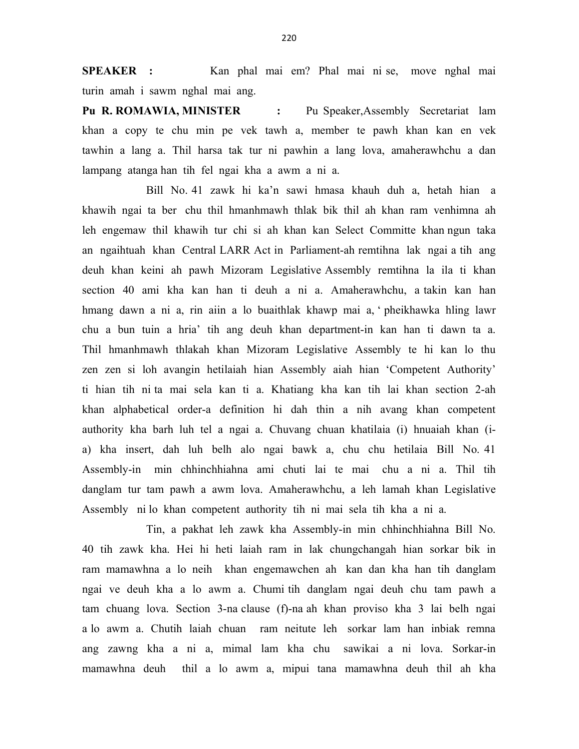SPEAKER : Kan phal mai em? Phal mai ni se, move nghal mai turin amah i sawm nghal mai ang.

Pu R. ROMAWIA, MINISTER : Pu Speaker, Assembly Secretariat lam khan a copy te chu min pe vek tawh a, member te pawh khan kan en vek tawhin a lang a. Thil harsa tak tur ni pawhin a lang lova, amaherawhchu a dan lampang atanga han tih fel ngai kha a awm a ni a.

 Bill No. 41 zawk hi ka'n sawi hmasa khauh duh a, hetah hian a khawih ngai ta ber chu thil hmanhmawh thlak bik thil ah khan ram venhimna ah leh engemaw thil khawih tur chi si ah khan kan Select Committe khan ngun taka an ngaihtuah khan Central LARR Act in Parliament-ah remtihna lak ngai a tih ang deuh khan keini ah pawh Mizoram Legislative Assembly remtihna la ila ti khan section 40 ami kha kan han ti deuh a ni a. Amaherawhchu, a takin kan han hmang dawn a ni a, rin aiin a lo buaithlak khawp mai a, ' pheikhawka hling lawr chu a bun tuin a hria' tih ang deuh khan department-in kan han ti dawn ta a. Thil hmanhmawh thlakah khan Mizoram Legislative Assembly te hi kan lo thu zen zen si loh avangin hetilaiah hian Assembly aiah hian 'Competent Authority' ti hian tih ni ta mai sela kan ti a. Khatiang kha kan tih lai khan section 2-ah khan alphabetical order-a definition hi dah thin a nih avang khan competent authority kha barh luh tel a ngai a. Chuvang chuan khatilaia (i) hnuaiah khan (ia) kha insert, dah luh belh alo ngai bawk a, chu chu hetilaia Bill No. 41 Assembly-in min chhinchhiahna ami chuti lai te mai chu a ni a. Thil tih danglam tur tam pawh a awm lova. Amaherawhchu, a leh lamah khan Legislative Assembly ni lo khan competent authority tih ni mai sela tih kha a ni a.

 Tin, a pakhat leh zawk kha Assembly-in min chhinchhiahna Bill No. 40 tih zawk kha. Hei hi heti laiah ram in lak chungchangah hian sorkar bik in ram mamawhna a lo neih khan engemawchen ah kan dan kha han tih danglam ngai ve deuh kha a lo awm a. Chumi tih danglam ngai deuh chu tam pawh a tam chuang lova. Section 3-na clause (f)-na ah khan proviso kha 3 lai belh ngai a lo awm a. Chutih laiah chuan ram neitute leh sorkar lam han inbiak remna ang zawng kha a ni a, mimal lam kha chu sawikai a ni lova. Sorkar-in mamawhna deuh thil a lo awm a, mipui tana mamawhna deuh thil ah kha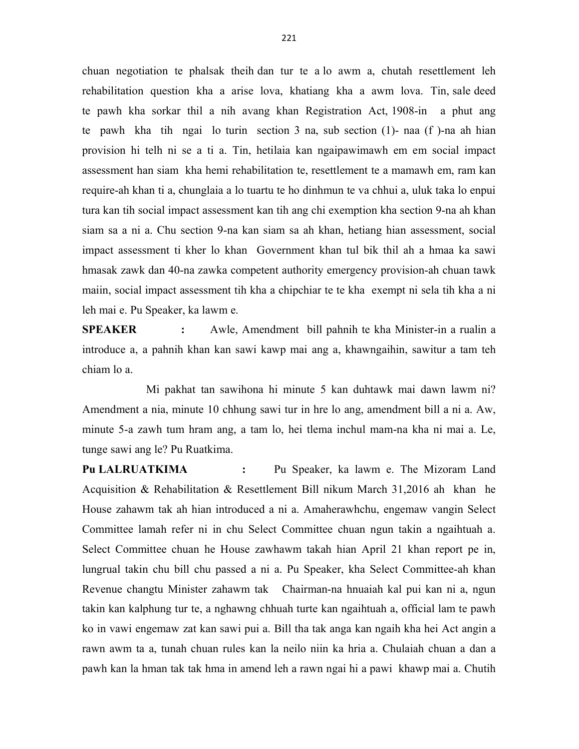chuan negotiation te phalsak theih dan tur te a lo awm a, chutah resettlement leh rehabilitation question kha a arise lova, khatiang kha a awm lova. Tin, sale deed te pawh kha sorkar thil a nih avang khan Registration Act, 1908-in a phut ang te pawh kha tih ngai lo turin section 3 na, sub section (1)- naa (f )-na ah hian provision hi telh ni se a ti a. Tin, hetilaia kan ngaipawimawh em em social impact assessment han siam kha hemi rehabilitation te, resettlement te a mamawh em, ram kan require-ah khan ti a, chunglaia a lo tuartu te ho dinhmun te va chhui a, uluk taka lo enpui tura kan tih social impact assessment kan tih ang chi exemption kha section 9-na ah khan siam sa a ni a. Chu section 9-na kan siam sa ah khan, hetiang hian assessment, social impact assessment ti kher lo khan Government khan tul bik thil ah a hmaa ka sawi hmasak zawk dan 40-na zawka competent authority emergency provision-ah chuan tawk maiin, social impact assessment tih kha a chipchiar te te kha exempt ni sela tih kha a ni leh mai e. Pu Speaker, ka lawm e.

SPEAKER : Awle, Amendment bill pahnih te kha Minister-in a rualin a introduce a, a pahnih khan kan sawi kawp mai ang a, khawngaihin, sawitur a tam teh chiam lo a.

 Mi pakhat tan sawihona hi minute 5 kan duhtawk mai dawn lawm ni? Amendment a nia, minute 10 chhung sawi tur in hre lo ang, amendment bill a ni a. Aw, minute 5-a zawh tum hram ang, a tam lo, hei tlema inchul mam-na kha ni mai a. Le, tunge sawi ang le? Pu Ruatkima.

Pu LALRUATKIMA : Pu Speaker, ka lawm e. The Mizoram Land Acquisition & Rehabilitation & Resettlement Bill nikum March 31,2016 ah khan he House zahawm tak ah hian introduced a ni a. Amaherawhchu, engemaw vangin Select Committee lamah refer ni in chu Select Committee chuan ngun takin a ngaihtuah a. Select Committee chuan he House zawhawm takah hian April 21 khan report pe in, lungrual takin chu bill chu passed a ni a. Pu Speaker, kha Select Committee-ah khan Revenue changtu Minister zahawm tak Chairman-na hnuaiah kal pui kan ni a, ngun takin kan kalphung tur te, a nghawng chhuah turte kan ngaihtuah a, official lam te pawh ko in vawi engemaw zat kan sawi pui a. Bill tha tak anga kan ngaih kha hei Act angin a rawn awm ta a, tunah chuan rules kan la neilo niin ka hria a. Chulaiah chuan a dan a pawh kan la hman tak tak hma in amend leh a rawn ngai hi a pawi khawp mai a. Chutih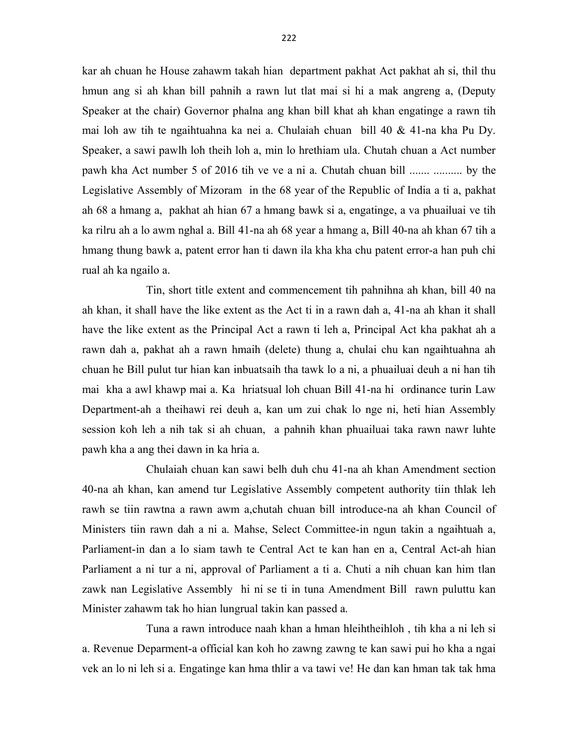kar ah chuan he House zahawm takah hian department pakhat Act pakhat ah si, thil thu hmun ang si ah khan bill pahnih a rawn lut tlat mai si hi a mak angreng a, (Deputy Speaker at the chair) Governor phalna ang khan bill khat ah khan engatinge a rawn tih mai loh aw tih te ngaihtuahna ka nei a. Chulaiah chuan bill 40 & 41-na kha Pu Dy. Speaker, a sawi pawlh loh theih loh a, min lo hrethiam ula. Chutah chuan a Act number pawh kha Act number 5 of 2016 tih ve ve a ni a. Chutah chuan bill ....... .......... by the Legislative Assembly of Mizoram in the 68 year of the Republic of India a ti a, pakhat ah 68 a hmang a, pakhat ah hian 67 a hmang bawk si a, engatinge, a va phuailuai ve tih ka rilru ah a lo awm nghal a. Bill 41-na ah 68 year a hmang a, Bill 40-na ah khan 67 tih a hmang thung bawk a, patent error han ti dawn ila kha kha chu patent error-a han puh chi rual ah ka ngailo a.

 Tin, short title extent and commencement tih pahnihna ah khan, bill 40 na ah khan, it shall have the like extent as the Act ti in a rawn dah a, 41-na ah khan it shall have the like extent as the Principal Act a rawn ti leh a, Principal Act kha pakhat ah a rawn dah a, pakhat ah a rawn hmaih (delete) thung a, chulai chu kan ngaihtuahna ah chuan he Bill pulut tur hian kan inbuatsaih tha tawk lo a ni, a phuailuai deuh a ni han tih mai kha a awl khawp mai a. Ka hriatsual loh chuan Bill 41-na hi ordinance turin Law Department-ah a theihawi rei deuh a, kan um zui chak lo nge ni, heti hian Assembly session koh leh a nih tak si ah chuan, a pahnih khan phuailuai taka rawn nawr luhte pawh kha a ang thei dawn in ka hria a.

 Chulaiah chuan kan sawi belh duh chu 41-na ah khan Amendment section 40-na ah khan, kan amend tur Legislative Assembly competent authority tiin thlak leh rawh se tiin rawtna a rawn awm a,chutah chuan bill introduce-na ah khan Council of Ministers tiin rawn dah a ni a. Mahse, Select Committee-in ngun takin a ngaihtuah a, Parliament-in dan a lo siam tawh te Central Act te kan han en a, Central Act-ah hian Parliament a ni tur a ni, approval of Parliament a ti a. Chuti a nih chuan kan him tlan zawk nan Legislative Assembly hi ni se ti in tuna Amendment Bill rawn puluttu kan Minister zahawm tak ho hian lungrual takin kan passed a.

 Tuna a rawn introduce naah khan a hman hleihtheihloh , tih kha a ni leh si a. Revenue Deparment-a official kan koh ho zawng zawng te kan sawi pui ho kha a ngai vek an lo ni leh si a. Engatinge kan hma thlir a va tawi ve! He dan kan hman tak tak hma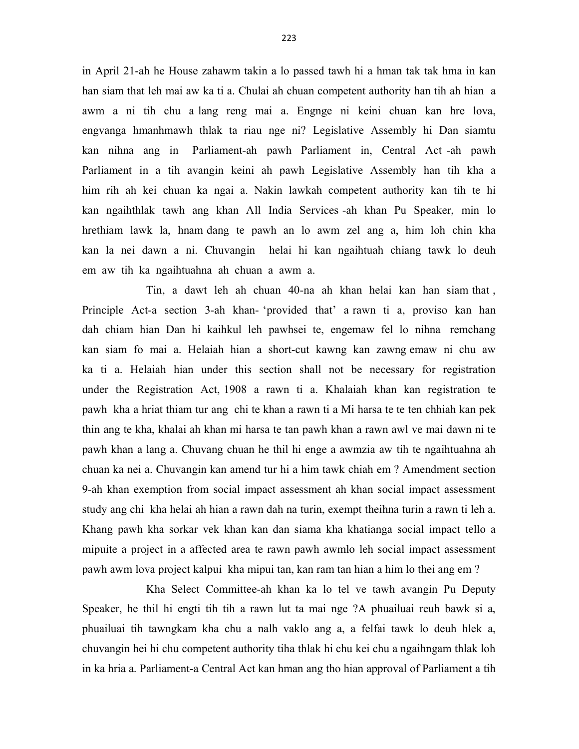in April 21-ah he House zahawm takin a lo passed tawh hi a hman tak tak hma in kan han siam that leh mai aw ka ti a. Chulai ah chuan competent authority han tih ah hian a awm a ni tih chu a lang reng mai a. Engnge ni keini chuan kan hre lova, engvanga hmanhmawh thlak ta riau nge ni? Legislative Assembly hi Dan siamtu kan nihna ang in Parliament-ah pawh Parliament in, Central Act -ah pawh Parliament in a tih avangin keini ah pawh Legislative Assembly han tih kha a him rih ah kei chuan ka ngai a. Nakin lawkah competent authority kan tih te hi kan ngaihthlak tawh ang khan All India Services -ah khan Pu Speaker, min lo hrethiam lawk la, hnam dang te pawh an lo awm zel ang a, him loh chin kha kan la nei dawn a ni. Chuvangin helai hi kan ngaihtuah chiang tawk lo deuh em aw tih ka ngaihtuahna ah chuan a awm a.

 Tin, a dawt leh ah chuan 40-na ah khan helai kan han siam that , Principle Act-a section 3-ah khan- 'provided that' a rawn ti a, proviso kan han dah chiam hian Dan hi kaihkul leh pawhsei te, engemaw fel lo nihna remchang kan siam fo mai a. Helaiah hian a short-cut kawng kan zawng emaw ni chu aw ka ti a. Helaiah hian under this section shall not be necessary for registration under the Registration Act, 1908 a rawn ti a. Khalaiah khan kan registration te pawh kha a hriat thiam tur ang chi te khan a rawn ti a Mi harsa te te ten chhiah kan pek thin ang te kha, khalai ah khan mi harsa te tan pawh khan a rawn awl ve mai dawn ni te pawh khan a lang a. Chuvang chuan he thil hi enge a awmzia aw tih te ngaihtuahna ah chuan ka nei a. Chuvangin kan amend tur hi a him tawk chiah em ? Amendment section 9-ah khan exemption from social impact assessment ah khan social impact assessment study ang chi kha helai ah hian a rawn dah na turin, exempt theihna turin a rawn ti leh a. Khang pawh kha sorkar vek khan kan dan siama kha khatianga social impact tello a mipuite a project in a affected area te rawn pawh awmlo leh social impact assessment pawh awm lova project kalpui kha mipui tan, kan ram tan hian a him lo thei ang em ?

 Kha Select Committee-ah khan ka lo tel ve tawh avangin Pu Deputy Speaker, he thil hi engti tih tih a rawn lut ta mai nge ?A phuailuai reuh bawk si a, phuailuai tih tawngkam kha chu a nalh vaklo ang a, a felfai tawk lo deuh hlek a, chuvangin hei hi chu competent authority tiha thlak hi chu kei chu a ngaihngam thlak loh in ka hria a. Parliament-a Central Act kan hman ang tho hian approval of Parliament a tih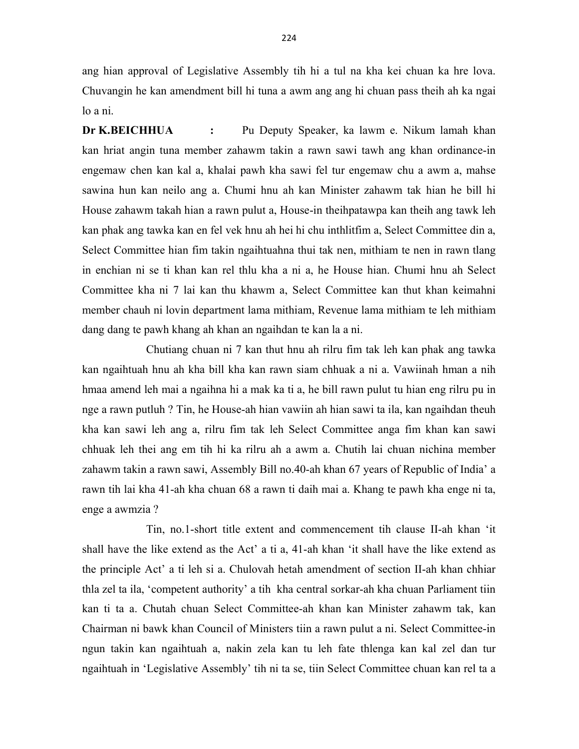ang hian approval of Legislative Assembly tih hi a tul na kha kei chuan ka hre lova. Chuvangin he kan amendment bill hi tuna a awm ang ang hi chuan pass theih ah ka ngai lo a ni.

Dr K.BEICHHUA : Pu Deputy Speaker, ka lawm e. Nikum lamah khan kan hriat angin tuna member zahawm takin a rawn sawi tawh ang khan ordinance-in engemaw chen kan kal a, khalai pawh kha sawi fel tur engemaw chu a awm a, mahse sawina hun kan neilo ang a. Chumi hnu ah kan Minister zahawm tak hian he bill hi House zahawm takah hian a rawn pulut a, House-in theihpatawpa kan theih ang tawk leh kan phak ang tawka kan en fel vek hnu ah hei hi chu inthlitfim a, Select Committee din a, Select Committee hian fim takin ngaihtuahna thui tak nen, mithiam te nen in rawn tlang in enchian ni se ti khan kan rel thlu kha a ni a, he House hian. Chumi hnu ah Select Committee kha ni 7 lai kan thu khawm a, Select Committee kan thut khan keimahni member chauh ni lovin department lama mithiam, Revenue lama mithiam te leh mithiam dang dang te pawh khang ah khan an ngaihdan te kan la a ni.

 Chutiang chuan ni 7 kan thut hnu ah rilru fim tak leh kan phak ang tawka kan ngaihtuah hnu ah kha bill kha kan rawn siam chhuak a ni a. Vawiinah hman a nih hmaa amend leh mai a ngaihna hi a mak ka ti a, he bill rawn pulut tu hian eng rilru pu in nge a rawn putluh ? Tin, he House-ah hian vawiin ah hian sawi ta ila, kan ngaihdan theuh kha kan sawi leh ang a, rilru fim tak leh Select Committee anga fim khan kan sawi chhuak leh thei ang em tih hi ka rilru ah a awm a. Chutih lai chuan nichina member zahawm takin a rawn sawi, Assembly Bill no.40-ah khan 67 years of Republic of India' a rawn tih lai kha 41-ah kha chuan 68 a rawn ti daih mai a. Khang te pawh kha enge ni ta, enge a awmzia ?

 Tin, no.1-short title extent and commencement tih clause II-ah khan 'it shall have the like extend as the Act' a ti a, 41-ah khan 'it shall have the like extend as the principle Act' a ti leh si a. Chulovah hetah amendment of section II-ah khan chhiar thla zel ta ila, 'competent authority' a tih kha central sorkar-ah kha chuan Parliament tiin kan ti ta a. Chutah chuan Select Committee-ah khan kan Minister zahawm tak, kan Chairman ni bawk khan Council of Ministers tiin a rawn pulut a ni. Select Committee-in ngun takin kan ngaihtuah a, nakin zela kan tu leh fate thlenga kan kal zel dan tur ngaihtuah in 'Legislative Assembly' tih ni ta se, tiin Select Committee chuan kan rel ta a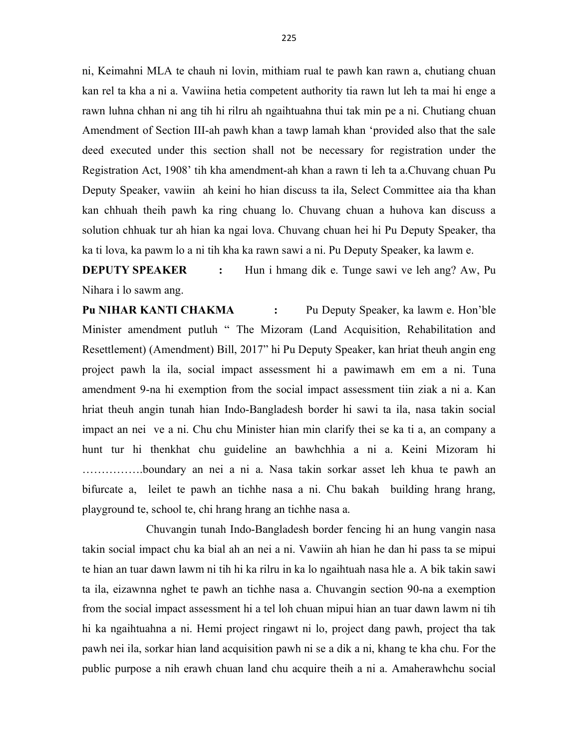ni, Keimahni MLA te chauh ni lovin, mithiam rual te pawh kan rawn a, chutiang chuan kan rel ta kha a ni a. Vawiina hetia competent authority tia rawn lut leh ta mai hi enge a rawn luhna chhan ni ang tih hi rilru ah ngaihtuahna thui tak min pe a ni. Chutiang chuan Amendment of Section III-ah pawh khan a tawp lamah khan 'provided also that the sale deed executed under this section shall not be necessary for registration under the Registration Act, 1908' tih kha amendment-ah khan a rawn ti leh ta a.Chuvang chuan Pu Deputy Speaker, vawiin ah keini ho hian discuss ta ila, Select Committee aia tha khan kan chhuah theih pawh ka ring chuang lo. Chuvang chuan a huhova kan discuss a solution chhuak tur ah hian ka ngai lova. Chuvang chuan hei hi Pu Deputy Speaker, tha ka ti lova, ka pawm lo a ni tih kha ka rawn sawi a ni. Pu Deputy Speaker, ka lawm e.

**DEPUTY SPEAKER** : Hun i hmang dik e. Tunge sawi ve leh ang? Aw, Pu Nihara i lo sawm ang.

Pu NIHAR KANTI CHAKMA : Pu Deputy Speaker, ka lawm e. Hon'ble Minister amendment putluh " The Mizoram (Land Acquisition, Rehabilitation and Resettlement) (Amendment) Bill, 2017" hi Pu Deputy Speaker, kan hriat theuh angin eng project pawh la ila, social impact assessment hi a pawimawh em em a ni. Tuna amendment 9-na hi exemption from the social impact assessment tiin ziak a ni a. Kan hriat theuh angin tunah hian Indo-Bangladesh border hi sawi ta ila, nasa takin social impact an nei ve a ni. Chu chu Minister hian min clarify thei se ka ti a, an company a hunt tur hi thenkhat chu guideline an bawhchhia a ni a. Keini Mizoram hi …………….boundary an nei a ni a. Nasa takin sorkar asset leh khua te pawh an bifurcate a, leilet te pawh an tichhe nasa a ni. Chu bakah building hrang hrang, playground te, school te, chi hrang hrang an tichhe nasa a.

 Chuvangin tunah Indo-Bangladesh border fencing hi an hung vangin nasa takin social impact chu ka bial ah an nei a ni. Vawiin ah hian he dan hi pass ta se mipui te hian an tuar dawn lawm ni tih hi ka rilru in ka lo ngaihtuah nasa hle a. A bik takin sawi ta ila, eizawnna nghet te pawh an tichhe nasa a. Chuvangin section 90-na a exemption from the social impact assessment hi a tel loh chuan mipui hian an tuar dawn lawm ni tih hi ka ngaihtuahna a ni. Hemi project ringawt ni lo, project dang pawh, project tha tak pawh nei ila, sorkar hian land acquisition pawh ni se a dik a ni, khang te kha chu. For the public purpose a nih erawh chuan land chu acquire theih a ni a. Amaherawhchu social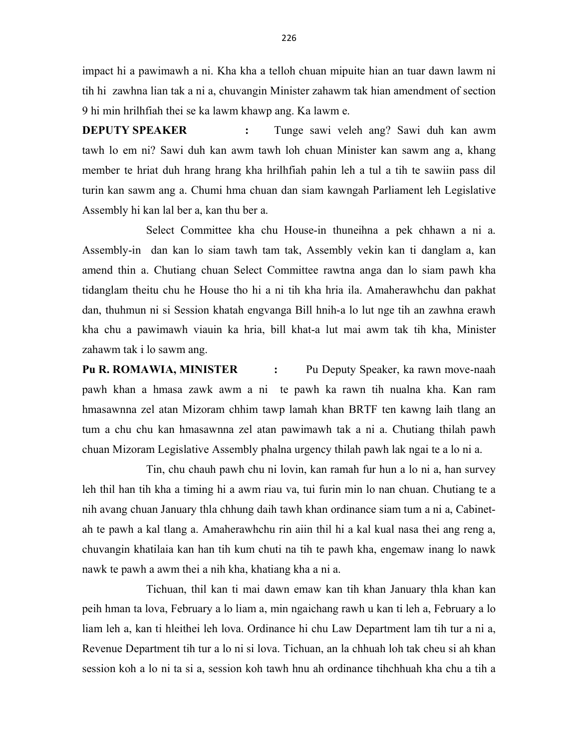impact hi a pawimawh a ni. Kha kha a telloh chuan mipuite hian an tuar dawn lawm ni tih hi zawhna lian tak a ni a, chuvangin Minister zahawm tak hian amendment of section 9 hi min hrilhfiah thei se ka lawm khawp ang. Ka lawm e.

DEPUTY SPEAKER : Tunge sawi veleh ang? Sawi duh kan awm tawh lo em ni? Sawi duh kan awm tawh loh chuan Minister kan sawm ang a, khang member te hriat duh hrang hrang kha hrilhfiah pahin leh a tul a tih te sawiin pass dil turin kan sawm ang a. Chumi hma chuan dan siam kawngah Parliament leh Legislative Assembly hi kan lal ber a, kan thu ber a.

 Select Committee kha chu House-in thuneihna a pek chhawn a ni a. Assembly-in dan kan lo siam tawh tam tak, Assembly vekin kan ti danglam a, kan amend thin a. Chutiang chuan Select Committee rawtna anga dan lo siam pawh kha tidanglam theitu chu he House tho hi a ni tih kha hria ila. Amaherawhchu dan pakhat dan, thuhmun ni si Session khatah engvanga Bill hnih-a lo lut nge tih an zawhna erawh kha chu a pawimawh viauin ka hria, bill khat-a lut mai awm tak tih kha, Minister zahawm tak i lo sawm ang.

Pu R. ROMAWIA, MINISTER : Pu Deputy Speaker, ka rawn move-naah pawh khan a hmasa zawk awm a ni te pawh ka rawn tih nualna kha. Kan ram hmasawnna zel atan Mizoram chhim tawp lamah khan BRTF ten kawng laih tlang an tum a chu chu kan hmasawnna zel atan pawimawh tak a ni a. Chutiang thilah pawh chuan Mizoram Legislative Assembly phalna urgency thilah pawh lak ngai te a lo ni a.

 Tin, chu chauh pawh chu ni lovin, kan ramah fur hun a lo ni a, han survey leh thil han tih kha a timing hi a awm riau va, tui furin min lo nan chuan. Chutiang te a nih avang chuan January thla chhung daih tawh khan ordinance siam tum a ni a, Cabinetah te pawh a kal tlang a. Amaherawhchu rin aiin thil hi a kal kual nasa thei ang reng a, chuvangin khatilaia kan han tih kum chuti na tih te pawh kha, engemaw inang lo nawk nawk te pawh a awm thei a nih kha, khatiang kha a ni a.

 Tichuan, thil kan ti mai dawn emaw kan tih khan January thla khan kan peih hman ta lova, February a lo liam a, min ngaichang rawh u kan ti leh a, February a lo liam leh a, kan ti hleithei leh lova. Ordinance hi chu Law Department lam tih tur a ni a, Revenue Department tih tur a lo ni si lova. Tichuan, an la chhuah loh tak cheu si ah khan session koh a lo ni ta si a, session koh tawh hnu ah ordinance tihchhuah kha chu a tih a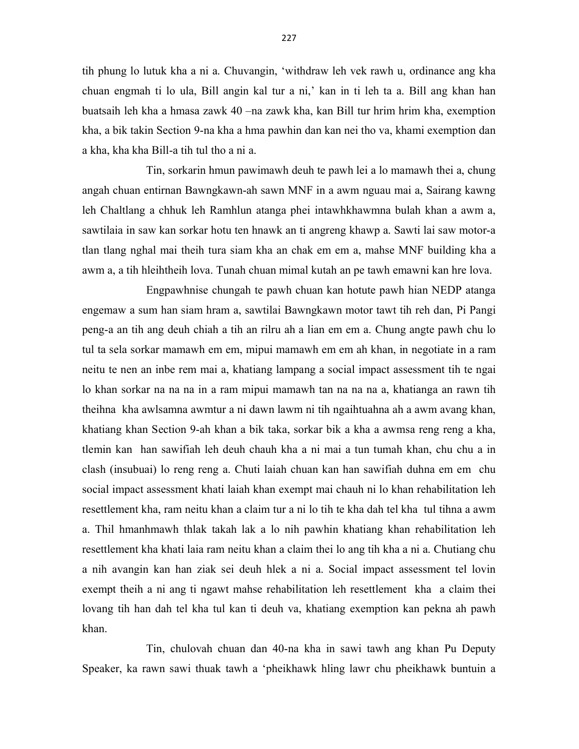tih phung lo lutuk kha a ni a. Chuvangin, 'withdraw leh vek rawh u, ordinance ang kha chuan engmah ti lo ula, Bill angin kal tur a ni,' kan in ti leh ta a. Bill ang khan han buatsaih leh kha a hmasa zawk 40 –na zawk kha, kan Bill tur hrim hrim kha, exemption kha, a bik takin Section 9-na kha a hma pawhin dan kan nei tho va, khami exemption dan a kha, kha kha Bill-a tih tul tho a ni a.

 Tin, sorkarin hmun pawimawh deuh te pawh lei a lo mamawh thei a, chung angah chuan entirnan Bawngkawn-ah sawn MNF in a awm nguau mai a, Sairang kawng leh Chaltlang a chhuk leh Ramhlun atanga phei intawhkhawmna bulah khan a awm a, sawtilaia in saw kan sorkar hotu ten hnawk an ti angreng khawp a. Sawti lai saw motor-a tlan tlang nghal mai theih tura siam kha an chak em em a, mahse MNF building kha a awm a, a tih hleihtheih lova. Tunah chuan mimal kutah an pe tawh emawni kan hre lova.

 Engpawhnise chungah te pawh chuan kan hotute pawh hian NEDP atanga engemaw a sum han siam hram a, sawtilai Bawngkawn motor tawt tih reh dan, Pi Pangi peng-a an tih ang deuh chiah a tih an rilru ah a lian em em a. Chung angte pawh chu lo tul ta sela sorkar mamawh em em, mipui mamawh em em ah khan, in negotiate in a ram neitu te nen an inbe rem mai a, khatiang lampang a social impact assessment tih te ngai lo khan sorkar na na na in a ram mipui mamawh tan na na na a, khatianga an rawn tih theihna kha awlsamna awmtur a ni dawn lawm ni tih ngaihtuahna ah a awm avang khan, khatiang khan Section 9-ah khan a bik taka, sorkar bik a kha a awmsa reng reng a kha, tlemin kan han sawifiah leh deuh chauh kha a ni mai a tun tumah khan, chu chu a in clash (insubuai) lo reng reng a. Chuti laiah chuan kan han sawifiah duhna em em chu social impact assessment khati laiah khan exempt mai chauh ni lo khan rehabilitation leh resettlement kha, ram neitu khan a claim tur a ni lo tih te kha dah tel kha tul tihna a awm a. Thil hmanhmawh thlak takah lak a lo nih pawhin khatiang khan rehabilitation leh resettlement kha khati laia ram neitu khan a claim thei lo ang tih kha a ni a. Chutiang chu a nih avangin kan han ziak sei deuh hlek a ni a. Social impact assessment tel lovin exempt theih a ni ang ti ngawt mahse rehabilitation leh resettlement kha a claim thei lovang tih han dah tel kha tul kan ti deuh va, khatiang exemption kan pekna ah pawh khan.

 Tin, chulovah chuan dan 40-na kha in sawi tawh ang khan Pu Deputy Speaker, ka rawn sawi thuak tawh a 'pheikhawk hling lawr chu pheikhawk buntuin a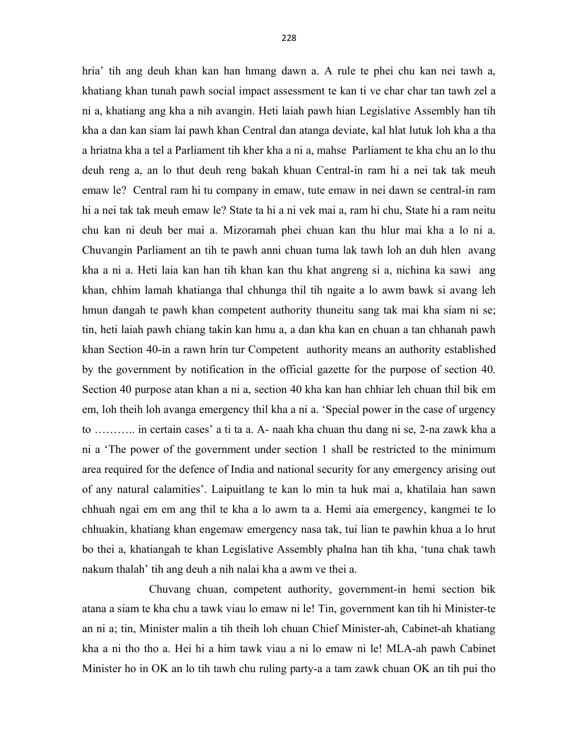hria' tih ang deuh khan kan han hmang dawn a. A rule te phei chu kan nei tawh a, khatiang khan tunah pawh social impact assessment te kan ti ve char char tan tawh zel a ni a, khatiang ang kha a nih avangin. Heti laiah pawh hian Legislative Assembly han tih kha a dan kan siam lai pawh khan Central dan atanga deviate, kal hlat lutuk loh kha a tha a hriatna kha a tel a Parliament tih kher kha a ni a, mahse Parliament te kha chu an lo thu deuh reng a, an lo thut deuh reng bakah khuan Central-in ram hi a nei tak tak meuh emaw le? Central ram hi tu company in emaw, tute emaw in nei dawn se central-in ram hi a nei tak tak meuh emaw le? State ta hi a ni vek mai a, ram hi chu, State hi a ram neitu chu kan ni deuh ber mai a. Mizoramah phei chuan kan thu hlur mai kha a lo ni a. Chuvangin Parliament an tih te pawh anni chuan tuma lak tawh loh an duh hlen avang kha a ni a. Heti laia kan han tih khan kan thu khat angreng si a, nichina ka sawi ang khan, chhim lamah khatianga thal chhunga thil tih ngaite a lo awm bawk si avang leh hmun dangah te pawh khan competent authority thuneitu sang tak mai kha siam ni se; tin, heti laiah pawh chiang takin kan hmu a, a dan kha kan en chuan a tan chhanah pawh khan Section 40-in a rawn hrin tur Competent authority means an authority established by the government by notification in the official gazette for the purpose of section 40. Section 40 purpose atan khan a ni a, section 40 kha kan han chhiar leh chuan thil bik em em, loh theih loh avanga emergency thil kha a ni a. 'Special power in the case of urgency to ……….. in certain cases' a ti ta a. A- naah kha chuan thu dang ni se, 2-na zawk kha a ni a 'The power of the government under section 1 shall be restricted to the minimum area required for the defence of India and national security for any emergency arising out of any natural calamities'. Laipuitlang te kan lo min ta huk mai a, khatilaia han sawn chhuah ngai em em ang thil te kha a lo awm ta a. Hemi aia emergency, kangmei te lo chhuakin, khatiang khan engemaw emergency nasa tak, tui lian te pawhin khua a lo hrut bo thei a, khatiangah te khan Legislative Assembly phalna han tih kha, 'tuna chak tawh nakum thalah' tih ang deuh a nih nalai kha a awm ve thei a.

 Chuvang chuan, competent authority, government-in hemi section bik atana a siam te kha chu a tawk viau lo emaw ni le! Tin, government kan tih hi Minister-te an ni a; tin, Minister malin a tih theih loh chuan Chief Minister-ah, Cabinet-ah khatiang kha a ni tho tho a. Hei hi a him tawk viau a ni lo emaw ni le! MLA-ah pawh Cabinet Minister ho in OK an lo tih tawh chu ruling party-a a tam zawk chuan OK an tih pui tho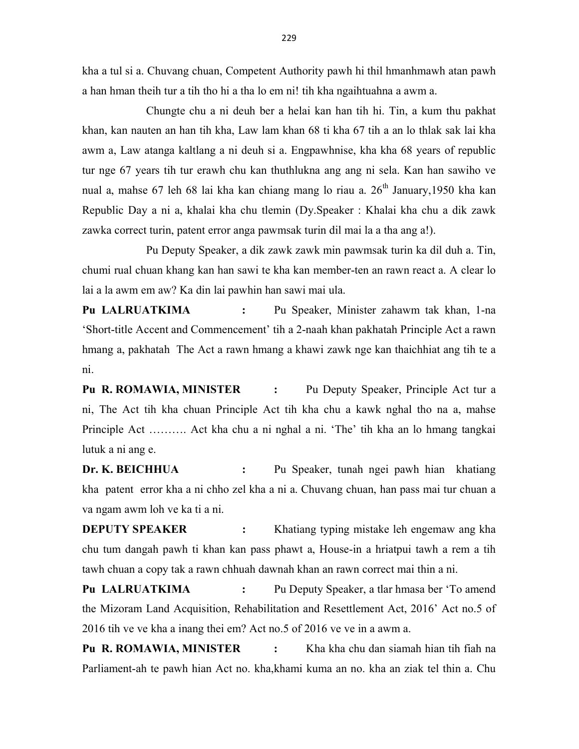kha a tul si a. Chuvang chuan, Competent Authority pawh hi thil hmanhmawh atan pawh a han hman theih tur a tih tho hi a tha lo em ni! tih kha ngaihtuahna a awm a.

 Chungte chu a ni deuh ber a helai kan han tih hi. Tin, a kum thu pakhat khan, kan nauten an han tih kha, Law lam khan 68 ti kha 67 tih a an lo thlak sak lai kha awm a, Law atanga kaltlang a ni deuh si a. Engpawhnise, kha kha 68 years of republic tur nge 67 years tih tur erawh chu kan thuthlukna ang ang ni sela. Kan han sawiho ve nual a, mahse 67 leh 68 lai kha kan chiang mang lo riau a. 26<sup>th</sup> January,1950 kha kan Republic Day a ni a, khalai kha chu tlemin (Dy.Speaker : Khalai kha chu a dik zawk zawka correct turin, patent error anga pawmsak turin dil mai la a tha ang a!).

 Pu Deputy Speaker, a dik zawk zawk min pawmsak turin ka dil duh a. Tin, chumi rual chuan khang kan han sawi te kha kan member-ten an rawn react a. A clear lo lai a la awm em aw? Ka din lai pawhin han sawi mai ula.

Pu LALRUATKIMA : Pu Speaker, Minister zahawm tak khan, 1-na 'Short-title Accent and Commencement' tih a 2-naah khan pakhatah Principle Act a rawn hmang a, pakhatah The Act a rawn hmang a khawi zawk nge kan thaichhiat ang tih te a ni.

Pu R. ROMAWIA, MINISTER : Pu Deputy Speaker, Principle Act tur a ni, The Act tih kha chuan Principle Act tih kha chu a kawk nghal tho na a, mahse Principle Act ………. Act kha chu a ni nghal a ni. 'The' tih kha an lo hmang tangkai lutuk a ni ang e.

Dr. K. BEICHHUA : Pu Speaker, tunah ngei pawh hian khatiang kha patent error kha a ni chho zel kha a ni a. Chuvang chuan, han pass mai tur chuan a va ngam awm loh ve ka ti a ni.

**DEPUTY SPEAKER** : Khatiang typing mistake leh engemaw ang kha chu tum dangah pawh ti khan kan pass phawt a, House-in a hriatpui tawh a rem a tih tawh chuan a copy tak a rawn chhuah dawnah khan an rawn correct mai thin a ni.

Pu LALRUATKIMA : Pu Deputy Speaker, a tlar hmasa ber 'To amend the Mizoram Land Acquisition, Rehabilitation and Resettlement Act, 2016' Act no.5 of 2016 tih ve ve kha a inang thei em? Act no.5 of 2016 ve ve in a awm a.

Pu R. ROMAWIA, MINISTER : Kha kha chu dan siamah hian tih fiah na Parliament-ah te pawh hian Act no. kha,khami kuma an no. kha an ziak tel thin a. Chu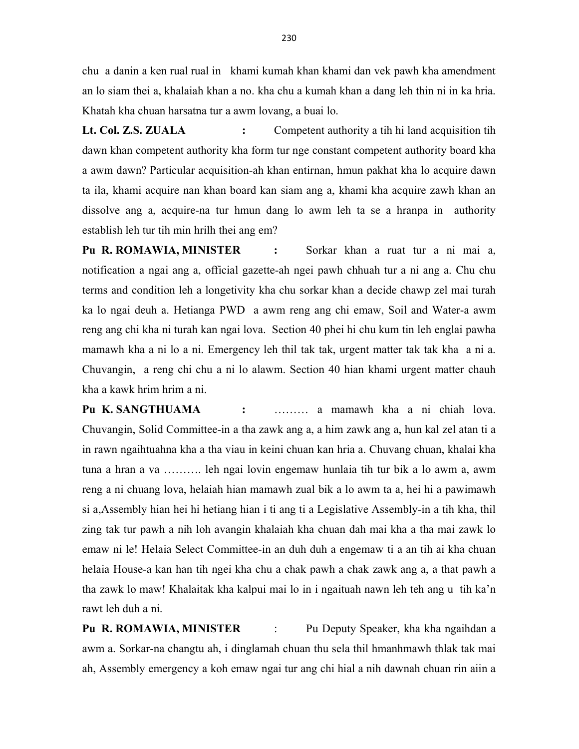chu a danin a ken rual rual in khami kumah khan khami dan vek pawh kha amendment an lo siam thei a, khalaiah khan a no. kha chu a kumah khan a dang leh thin ni in ka hria. Khatah kha chuan harsatna tur a awm lovang, a buai lo.

Lt. Col. Z.S. ZUALA : Competent authority a tih hi land acquisition tih dawn khan competent authority kha form tur nge constant competent authority board kha a awm dawn? Particular acquisition-ah khan entirnan, hmun pakhat kha lo acquire dawn ta ila, khami acquire nan khan board kan siam ang a, khami kha acquire zawh khan an dissolve ang a, acquire-na tur hmun dang lo awm leh ta se a hranpa in authority establish leh tur tih min hrilh thei ang em?

Pu R. ROMAWIA, MINISTER : Sorkar khan a ruat tur a ni mai a, notification a ngai ang a, official gazette-ah ngei pawh chhuah tur a ni ang a. Chu chu terms and condition leh a longetivity kha chu sorkar khan a decide chawp zel mai turah ka lo ngai deuh a. Hetianga PWD a awm reng ang chi emaw, Soil and Water-a awm reng ang chi kha ni turah kan ngai lova. Section 40 phei hi chu kum tin leh englai pawha mamawh kha a ni lo a ni. Emergency leh thil tak tak, urgent matter tak tak kha a ni a. Chuvangin, a reng chi chu a ni lo alawm. Section 40 hian khami urgent matter chauh kha a kawk hrim hrim a ni.

Pu K. SANGTHUAMA : ……… a mamawh kha a ni chiah lova. Chuvangin, Solid Committee-in a tha zawk ang a, a him zawk ang a, hun kal zel atan ti a in rawn ngaihtuahna kha a tha viau in keini chuan kan hria a. Chuvang chuan, khalai kha tuna a hran a va ………. leh ngai lovin engemaw hunlaia tih tur bik a lo awm a, awm reng a ni chuang lova, helaiah hian mamawh zual bik a lo awm ta a, hei hi a pawimawh si a,Assembly hian hei hi hetiang hian i ti ang ti a Legislative Assembly-in a tih kha, thil zing tak tur pawh a nih loh avangin khalaiah kha chuan dah mai kha a tha mai zawk lo emaw ni le! Helaia Select Committee-in an duh duh a engemaw ti a an tih ai kha chuan helaia House-a kan han tih ngei kha chu a chak pawh a chak zawk ang a, a that pawh a tha zawk lo maw! Khalaitak kha kalpui mai lo in i ngaituah nawn leh teh ang u tih ka'n rawt leh duh a ni.

Pu R. ROMAWIA, MINISTER : Pu Deputy Speaker, kha kha ngaihdan a awm a. Sorkar-na changtu ah, i dinglamah chuan thu sela thil hmanhmawh thlak tak mai ah, Assembly emergency a koh emaw ngai tur ang chi hial a nih dawnah chuan rin aiin a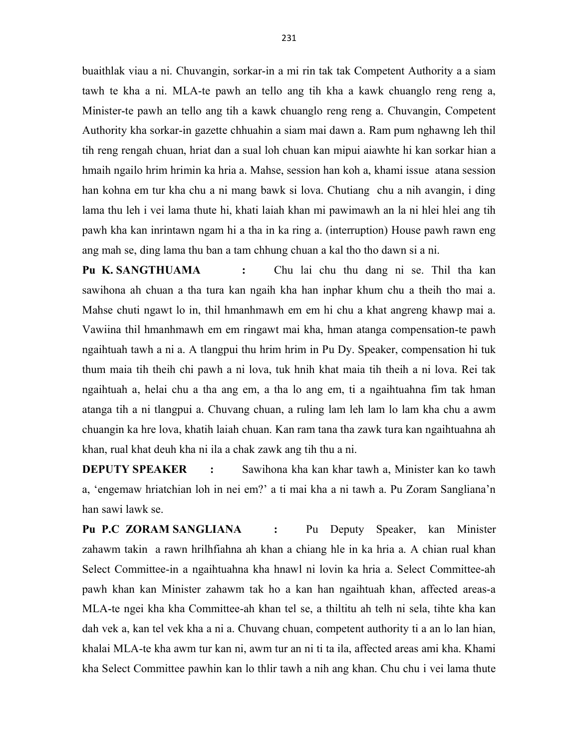buaithlak viau a ni. Chuvangin, sorkar-in a mi rin tak tak Competent Authority a a siam tawh te kha a ni. MLA-te pawh an tello ang tih kha a kawk chuanglo reng reng a, Minister-te pawh an tello ang tih a kawk chuanglo reng reng a. Chuvangin, Competent Authority kha sorkar-in gazette chhuahin a siam mai dawn a. Ram pum nghawng leh thil tih reng rengah chuan, hriat dan a sual loh chuan kan mipui aiawhte hi kan sorkar hian a hmaih ngailo hrim hrimin ka hria a. Mahse, session han koh a, khami issue atana session han kohna em tur kha chu a ni mang bawk si lova. Chutiang chu a nih avangin, i ding lama thu leh i vei lama thute hi, khati laiah khan mi pawimawh an la ni hlei hlei ang tih pawh kha kan inrintawn ngam hi a tha in ka ring a. (interruption) House pawh rawn eng ang mah se, ding lama thu ban a tam chhung chuan a kal tho tho dawn si a ni.

Pu K. SANGTHUAMA : Chu lai chu thu dang ni se. Thil tha kan sawihona ah chuan a tha tura kan ngaih kha han inphar khum chu a theih tho mai a. Mahse chuti ngawt lo in, thil hmanhmawh em em hi chu a khat angreng khawp mai a. Vawiina thil hmanhmawh em em ringawt mai kha, hman atanga compensation-te pawh ngaihtuah tawh a ni a. A tlangpui thu hrim hrim in Pu Dy. Speaker, compensation hi tuk thum maia tih theih chi pawh a ni lova, tuk hnih khat maia tih theih a ni lova. Rei tak ngaihtuah a, helai chu a tha ang em, a tha lo ang em, ti a ngaihtuahna fim tak hman atanga tih a ni tlangpui a. Chuvang chuan, a ruling lam leh lam lo lam kha chu a awm chuangin ka hre lova, khatih laiah chuan. Kan ram tana tha zawk tura kan ngaihtuahna ah khan, rual khat deuh kha ni ila a chak zawk ang tih thu a ni.

**DEPUTY SPEAKER** : Sawihona kha kan khar tawh a, Minister kan ko tawh a, 'engemaw hriatchian loh in nei em?' a ti mai kha a ni tawh a. Pu Zoram Sangliana'n han sawi lawk se.

Pu P.C ZORAM SANGLIANA : Pu Deputy Speaker, kan Minister zahawm takin a rawn hrilhfiahna ah khan a chiang hle in ka hria a. A chian rual khan Select Committee-in a ngaihtuahna kha hnawl ni lovin ka hria a. Select Committee-ah pawh khan kan Minister zahawm tak ho a kan han ngaihtuah khan, affected areas-a MLA-te ngei kha kha Committee-ah khan tel se, a thiltitu ah telh ni sela, tihte kha kan dah vek a, kan tel vek kha a ni a. Chuvang chuan, competent authority ti a an lo lan hian, khalai MLA-te kha awm tur kan ni, awm tur an ni ti ta ila, affected areas ami kha. Khami kha Select Committee pawhin kan lo thlir tawh a nih ang khan. Chu chu i vei lama thute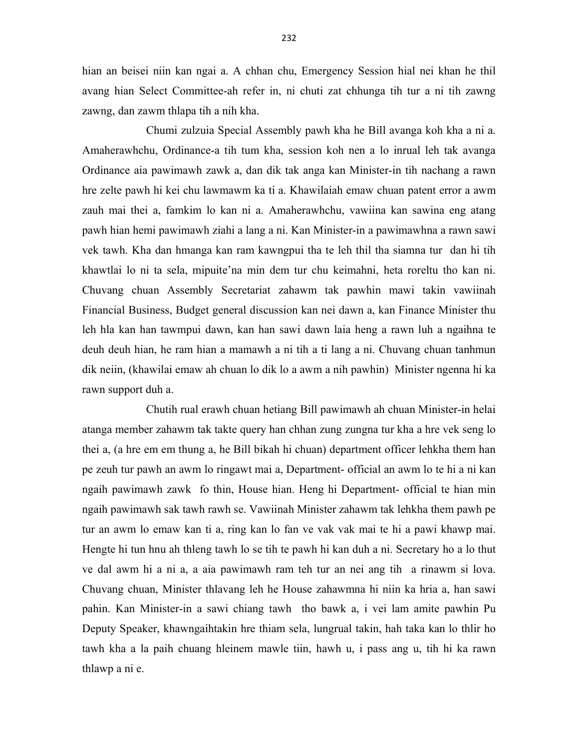hian an beisei niin kan ngai a. A chhan chu, Emergency Session hial nei khan he thil avang hian Select Committee-ah refer in, ni chuti zat chhunga tih tur a ni tih zawng zawng, dan zawm thlapa tih a nih kha.

 Chumi zulzuia Special Assembly pawh kha he Bill avanga koh kha a ni a. Amaherawhchu, Ordinance-a tih tum kha, session koh nen a lo inrual leh tak avanga Ordinance aia pawimawh zawk a, dan dik tak anga kan Minister-in tih nachang a rawn hre zelte pawh hi kei chu lawmawm ka ti a. Khawilaiah emaw chuan patent error a awm zauh mai thei a, famkim lo kan ni a. Amaherawhchu, vawiina kan sawina eng atang pawh hian hemi pawimawh ziahi a lang a ni. Kan Minister-in a pawimawhna a rawn sawi vek tawh. Kha dan hmanga kan ram kawngpui tha te leh thil tha siamna tur dan hi tih khawtlai lo ni ta sela, mipuite'na min dem tur chu keimahni, heta roreltu tho kan ni. Chuvang chuan Assembly Secretariat zahawm tak pawhin mawi takin vawiinah Financial Business, Budget general discussion kan nei dawn a, kan Finance Minister thu leh hla kan han tawmpui dawn, kan han sawi dawn laia heng a rawn luh a ngaihna te deuh deuh hian, he ram hian a mamawh a ni tih a ti lang a ni. Chuvang chuan tanhmun dik neiin, (khawilai emaw ah chuan lo dik lo a awm a nih pawhin) Minister ngenna hi ka rawn support duh a.

 Chutih rual erawh chuan hetiang Bill pawimawh ah chuan Minister-in helai atanga member zahawm tak takte query han chhan zung zungna tur kha a hre vek seng lo thei a, (a hre em em thung a, he Bill bikah hi chuan) department officer lehkha them han pe zeuh tur pawh an awm lo ringawt mai a, Department- official an awm lo te hi a ni kan ngaih pawimawh zawk fo thin, House hian. Heng hi Department- official te hian min ngaih pawimawh sak tawh rawh se. Vawiinah Minister zahawm tak lehkha them pawh pe tur an awm lo emaw kan ti a, ring kan lo fan ve vak vak mai te hi a pawi khawp mai. Hengte hi tun hnu ah thleng tawh lo se tih te pawh hi kan duh a ni. Secretary ho a lo thut ve dal awm hi a ni a, a aia pawimawh ram teh tur an nei ang tih a rinawm si lova. Chuvang chuan, Minister thlavang leh he House zahawmna hi niin ka hria a, han sawi pahin. Kan Minister-in a sawi chiang tawh tho bawk a, i vei lam amite pawhin Pu Deputy Speaker, khawngaihtakin hre thiam sela, lungrual takin, hah taka kan lo thlir ho tawh kha a la paih chuang hleinem mawle tiin, hawh u, i pass ang u, tih hi ka rawn thlawp a ni e.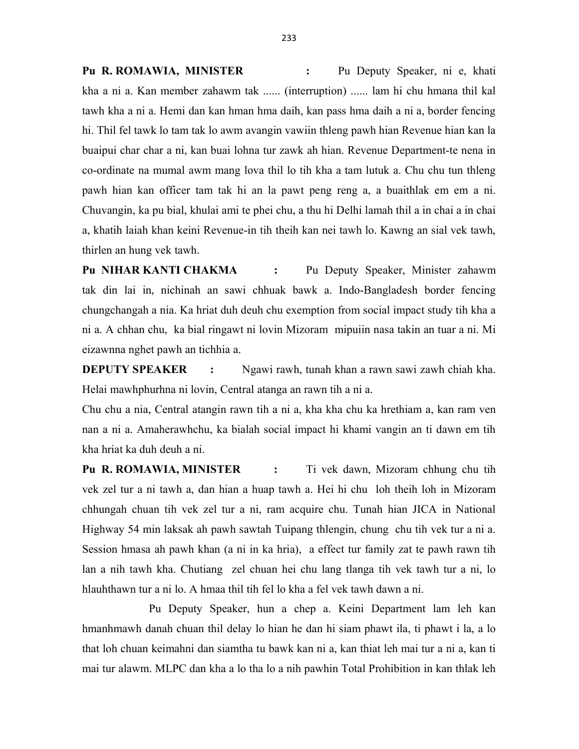Pu R. ROMAWIA, MINISTER : Pu Deputy Speaker, ni e, khati kha a ni a. Kan member zahawm tak ...... (interruption) ...... lam hi chu hmana thil kal tawh kha a ni a. Hemi dan kan hman hma daih, kan pass hma daih a ni a, border fencing hi. Thil fel tawk lo tam tak lo awm avangin vawiin thleng pawh hian Revenue hian kan la buaipui char char a ni, kan buai lohna tur zawk ah hian. Revenue Department-te nena in co-ordinate na mumal awm mang lova thil lo tih kha a tam lutuk a. Chu chu tun thleng pawh hian kan officer tam tak hi an la pawt peng reng a, a buaithlak em em a ni. Chuvangin, ka pu bial, khulai ami te phei chu, a thu hi Delhi lamah thil a in chai a in chai a, khatih laiah khan keini Revenue-in tih theih kan nei tawh lo. Kawng an sial vek tawh, thirlen an hung vek tawh.

Pu NIHAR KANTI CHAKMA : Pu Deputy Speaker, Minister zahawm tak din lai in, nichinah an sawi chhuak bawk a. Indo-Bangladesh border fencing chungchangah a nia. Ka hriat duh deuh chu exemption from social impact study tih kha a ni a. A chhan chu, ka bial ringawt ni lovin Mizoram mipuiin nasa takin an tuar a ni. Mi eizawnna nghet pawh an tichhia a.

**DEPUTY SPEAKER** : Ngawi rawh, tunah khan a rawn sawi zawh chiah kha. Helai mawhphurhna ni lovin, Central atanga an rawn tih a ni a.

Chu chu a nia, Central atangin rawn tih a ni a, kha kha chu ka hrethiam a, kan ram ven nan a ni a. Amaherawhchu, ka bialah social impact hi khami vangin an ti dawn em tih kha hriat ka duh deuh a ni.

Pu R. ROMAWIA, MINISTER : Ti vek dawn, Mizoram chhung chu tih vek zel tur a ni tawh a, dan hian a huap tawh a. Hei hi chu loh theih loh in Mizoram chhungah chuan tih vek zel tur a ni, ram acquire chu. Tunah hian JICA in National Highway 54 min laksak ah pawh sawtah Tuipang thlengin, chung chu tih vek tur a ni a. Session hmasa ah pawh khan (a ni in ka hria), a effect tur family zat te pawh rawn tih lan a nih tawh kha. Chutiang zel chuan hei chu lang tlanga tih vek tawh tur a ni, lo hlauhthawn tur a ni lo. A hmaa thil tih fel lo kha a fel vek tawh dawn a ni.

 Pu Deputy Speaker, hun a chep a. Keini Department lam leh kan hmanhmawh danah chuan thil delay lo hian he dan hi siam phawt ila, ti phawt i la, a lo that loh chuan keimahni dan siamtha tu bawk kan ni a, kan thiat leh mai tur a ni a, kan ti mai tur alawm. MLPC dan kha a lo tha lo a nih pawhin Total Prohibition in kan thlak leh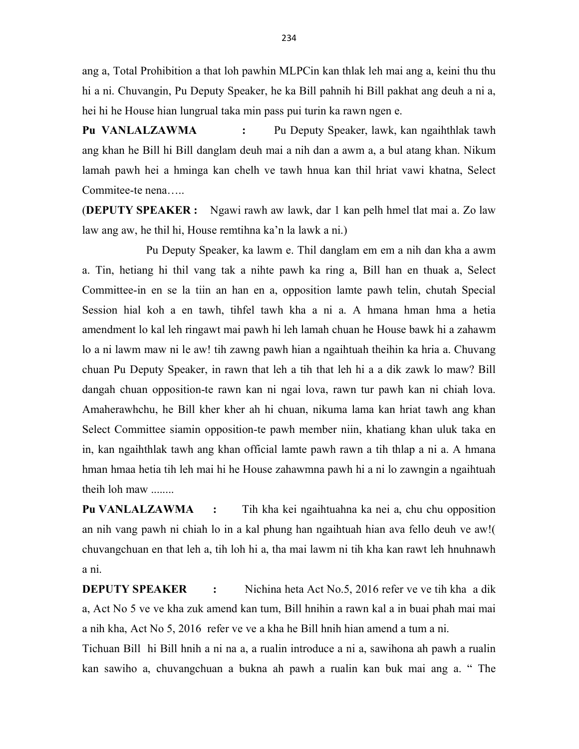ang a, Total Prohibition a that loh pawhin MLPCin kan thlak leh mai ang a, keini thu thu hi a ni. Chuvangin, Pu Deputy Speaker, he ka Bill pahnih hi Bill pakhat ang deuh a ni a, hei hi he House hian lungrual taka min pass pui turin ka rawn ngen e.

Pu VANLALZAWMA : Pu Deputy Speaker, lawk, kan ngaihthlak tawh ang khan he Bill hi Bill danglam deuh mai a nih dan a awm a, a bul atang khan. Nikum lamah pawh hei a hminga kan chelh ve tawh hnua kan thil hriat vawi khatna, Select Commitee-te nena…..

(DEPUTY SPEAKER : Ngawi rawh aw lawk, dar 1 kan pelh hmel tlat mai a. Zo law law ang aw, he thil hi, House remtihna ka'n la lawk a ni.)

 Pu Deputy Speaker, ka lawm e. Thil danglam em em a nih dan kha a awm a. Tin, hetiang hi thil vang tak a nihte pawh ka ring a, Bill han en thuak a, Select Committee-in en se la tiin an han en a, opposition lamte pawh telin, chutah Special Session hial koh a en tawh, tihfel tawh kha a ni a. A hmana hman hma a hetia amendment lo kal leh ringawt mai pawh hi leh lamah chuan he House bawk hi a zahawm lo a ni lawm maw ni le aw! tih zawng pawh hian a ngaihtuah theihin ka hria a. Chuvang chuan Pu Deputy Speaker, in rawn that leh a tih that leh hi a a dik zawk lo maw? Bill dangah chuan opposition-te rawn kan ni ngai lova, rawn tur pawh kan ni chiah lova. Amaherawhchu, he Bill kher kher ah hi chuan, nikuma lama kan hriat tawh ang khan Select Committee siamin opposition-te pawh member niin, khatiang khan uluk taka en in, kan ngaihthlak tawh ang khan official lamte pawh rawn a tih thlap a ni a. A hmana hman hmaa hetia tih leh mai hi he House zahawmna pawh hi a ni lo zawngin a ngaihtuah theih loh maw ........

Pu VANLALZAWMA : Tih kha kei ngaihtuahna ka nei a, chu chu opposition an nih vang pawh ni chiah lo in a kal phung han ngaihtuah hian ava fello deuh ve aw!( chuvangchuan en that leh a, tih loh hi a, tha mai lawm ni tih kha kan rawt leh hnuhnawh a ni.

**DEPUTY SPEAKER** : Nichina heta Act No.5, 2016 refer ve ve tih kha a dik a, Act No 5 ve ve kha zuk amend kan tum, Bill hnihin a rawn kal a in buai phah mai mai a nih kha, Act No 5, 2016 refer ve ve a kha he Bill hnih hian amend a tum a ni.

Tichuan Bill hi Bill hnih a ni na a, a rualin introduce a ni a, sawihona ah pawh a rualin kan sawiho a, chuvangchuan a bukna ah pawh a rualin kan buk mai ang a. " The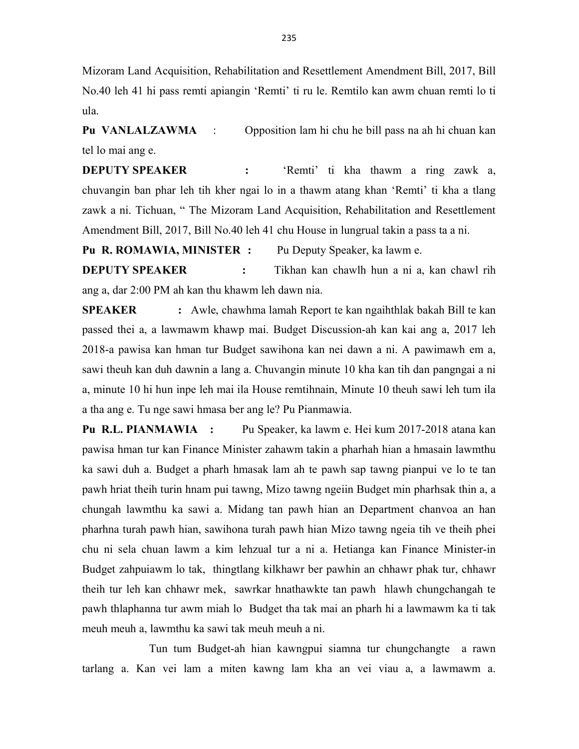Mizoram Land Acquisition, Rehabilitation and Resettlement Amendment Bill, 2017, Bill No.40 leh 41 hi pass remti apiangin 'Remti' ti ru le. Remtilo kan awm chuan remti lo ti ula.

Pu VANLALZAWMA : Opposition lam hi chu he bill pass na ah hi chuan kan tel lo mai ang e.

**DEPUTY SPEAKER** : 'Remti' ti kha thawm a ring zawk a, chuvangin ban phar leh tih kher ngai lo in a thawm atang khan 'Remti' ti kha a tlang zawk a ni. Tichuan, " The Mizoram Land Acquisition, Rehabilitation and Resettlement Amendment Bill, 2017, Bill No.40 leh 41 chu House in lungrual takin a pass ta a ni.

Pu R. ROMAWIA, MINISTER : Pu Deputy Speaker, ka lawm e.

**DEPUTY SPEAKER** : Tikhan kan chawlh hun a ni a, kan chawl rih ang a, dar 2:00 PM ah kan thu khawm leh dawn nia.

SPEAKER : Awle, chawhma lamah Report te kan ngaihthlak bakah Bill te kan passed thei a, a lawmawm khawp mai. Budget Discussion-ah kan kai ang a, 2017 leh 2018-a pawisa kan hman tur Budget sawihona kan nei dawn a ni. A pawimawh em a, sawi theuh kan duh dawnin a lang a. Chuvangin minute 10 kha kan tih dan pangngai a ni a, minute 10 hi hun inpe leh mai ila House remtihnain, Minute 10 theuh sawi leh tum ila a tha ang e. Tu nge sawi hmasa ber ang le? Pu Pianmawia.

Pu R.L. PIANMAWIA : Pu Speaker, ka lawm e. Hei kum 2017-2018 atana kan pawisa hman tur kan Finance Minister zahawm takin a pharhah hian a hmasain lawmthu ka sawi duh a. Budget a pharh hmasak lam ah te pawh sap tawng pianpui ve lo te tan pawh hriat theih turin hnam pui tawng, Mizo tawng ngeiin Budget min pharhsak thin a, a chungah lawmthu ka sawi a. Midang tan pawh hian an Department chanvoa an han pharhna turah pawh hian, sawihona turah pawh hian Mizo tawng ngeia tih ve theih phei chu ni sela chuan lawm a kim lehzual tur a ni a. Hetianga kan Finance Minister-in Budget zahpuiawm lo tak, thingtlang kilkhawr ber pawhin an chhawr phak tur, chhawr theih tur leh kan chhawr mek, sawrkar hnathawkte tan pawh hlawh chungchangah te pawh thlaphanna tur awm miah lo Budget tha tak mai an pharh hi a lawmawm ka ti tak meuh meuh a, lawmthu ka sawi tak meuh meuh a ni.

 Tun tum Budget-ah hian kawngpui siamna tur chungchangte a rawn tarlang a. Kan vei lam a miten kawng lam kha an vei viau a, a lawmawm a.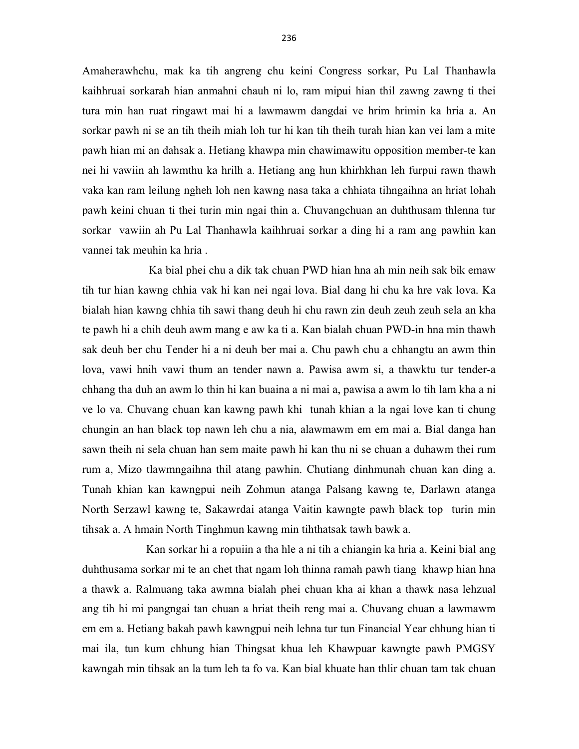Amaherawhchu, mak ka tih angreng chu keini Congress sorkar, Pu Lal Thanhawla kaihhruai sorkarah hian anmahni chauh ni lo, ram mipui hian thil zawng zawng ti thei tura min han ruat ringawt mai hi a lawmawm dangdai ve hrim hrimin ka hria a. An sorkar pawh ni se an tih theih miah loh tur hi kan tih theih turah hian kan vei lam a mite pawh hian mi an dahsak a. Hetiang khawpa min chawimawitu opposition member-te kan nei hi vawiin ah lawmthu ka hrilh a. Hetiang ang hun khirhkhan leh furpui rawn thawh vaka kan ram leilung ngheh loh nen kawng nasa taka a chhiata tihngaihna an hriat lohah pawh keini chuan ti thei turin min ngai thin a. Chuvangchuan an duhthusam thlenna tur sorkar vawiin ah Pu Lal Thanhawla kaihhruai sorkar a ding hi a ram ang pawhin kan vannei tak meuhin ka hria .

 Ka bial phei chu a dik tak chuan PWD hian hna ah min neih sak bik emaw tih tur hian kawng chhia vak hi kan nei ngai lova. Bial dang hi chu ka hre vak lova. Ka bialah hian kawng chhia tih sawi thang deuh hi chu rawn zin deuh zeuh zeuh sela an kha te pawh hi a chih deuh awm mang e aw ka ti a. Kan bialah chuan PWD-in hna min thawh sak deuh ber chu Tender hi a ni deuh ber mai a. Chu pawh chu a chhangtu an awm thin lova, vawi hnih vawi thum an tender nawn a. Pawisa awm si, a thawktu tur tender-a chhang tha duh an awm lo thin hi kan buaina a ni mai a, pawisa a awm lo tih lam kha a ni ve lo va. Chuvang chuan kan kawng pawh khi tunah khian a la ngai love kan ti chung chungin an han black top nawn leh chu a nia, alawmawm em em mai a. Bial danga han sawn theih ni sela chuan han sem maite pawh hi kan thu ni se chuan a duhawm thei rum rum a, Mizo tlawmngaihna thil atang pawhin. Chutiang dinhmunah chuan kan ding a. Tunah khian kan kawngpui neih Zohmun atanga Palsang kawng te, Darlawn atanga North Serzawl kawng te, Sakawrdai atanga Vaitin kawngte pawh black top turin min tihsak a. A hmain North Tinghmun kawng min tihthatsak tawh bawk a.

 Kan sorkar hi a ropuiin a tha hle a ni tih a chiangin ka hria a. Keini bial ang duhthusama sorkar mi te an chet that ngam loh thinna ramah pawh tiang khawp hian hna a thawk a. Ralmuang taka awmna bialah phei chuan kha ai khan a thawk nasa lehzual ang tih hi mi pangngai tan chuan a hriat theih reng mai a. Chuvang chuan a lawmawm em em a. Hetiang bakah pawh kawngpui neih lehna tur tun Financial Year chhung hian ti mai ila, tun kum chhung hian Thingsat khua leh Khawpuar kawngte pawh PMGSY kawngah min tihsak an la tum leh ta fo va. Kan bial khuate han thlir chuan tam tak chuan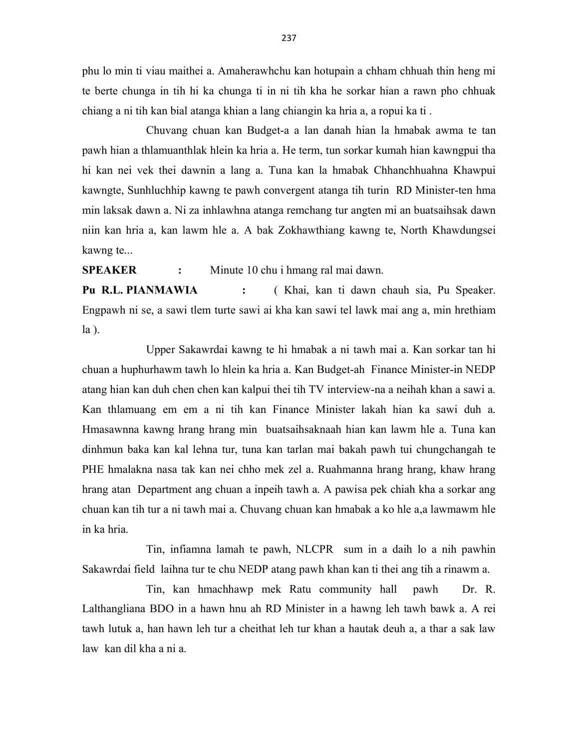phu lo min ti viau maithei a. Amaherawhchu kan hotupain a chham chhuah thin heng mi te berte chunga in tih hi ka chunga ti in ni tih kha he sorkar hian a rawn pho chhuak chiang a ni tih kan bial atanga khian a lang chiangin ka hria a, a ropui ka ti .

 Chuvang chuan kan Budget-a a lan danah hian la hmabak awma te tan pawh hian a thlamuanthlak hlein ka hria a. He term, tun sorkar kumah hian kawngpui tha hi kan nei vek thei dawnin a lang a. Tuna kan la hmabak Chhanchhuahna Khawpui kawngte, Sunhluchhip kawng te pawh convergent atanga tih turin RD Minister-ten hma min laksak dawn a. Ni za inhlawhna atanga remchang tur angten mi an buatsaihsak dawn niin kan hria a, kan lawm hle a. A bak Zokhawthiang kawng te, North Khawdungsei kawng te...

SPEAKER : Minute 10 chu i hmang ral mai dawn.

Pu R.L. PIANMAWIA : (Khai, kan ti dawn chauh sia, Pu Speaker. Engpawh ni se, a sawi tlem turte sawi ai kha kan sawi tel lawk mai ang a, min hrethiam la ).

 Upper Sakawrdai kawng te hi hmabak a ni tawh mai a. Kan sorkar tan hi chuan a huphurhawm tawh lo hlein ka hria a. Kan Budget-ah Finance Minister-in NEDP atang hian kan duh chen chen kan kalpui thei tih TV interview-na a neihah khan a sawi a. Kan thlamuang em em a ni tih kan Finance Minister lakah hian ka sawi duh a. Hmasawnna kawng hrang hrang min buatsaihsaknaah hian kan lawm hle a. Tuna kan dinhmun baka kan kal lehna tur, tuna kan tarlan mai bakah pawh tui chungchangah te PHE hmalakna nasa tak kan nei chho mek zel a. Ruahmanna hrang hrang, khaw hrang hrang atan Department ang chuan a inpeih tawh a. A pawisa pek chiah kha a sorkar ang chuan kan tih tur a ni tawh mai a. Chuvang chuan kan hmabak a ko hle a,a lawmawm hle in ka hria.

 Tin, infiamna lamah te pawh, NLCPR sum in a daih lo a nih pawhin Sakawrdai field laihna tur te chu NEDP atang pawh khan kan ti thei ang tih a rinawm a.

 Tin, kan hmachhawp mek Ratu community hall pawh Dr. R. Lalthangliana BDO in a hawn hnu ah RD Minister in a hawng leh tawh bawk a. A rei tawh lutuk a, han hawn leh tur a cheithat leh tur khan a hautak deuh a, a thar a sak law law kan dil kha a ni a.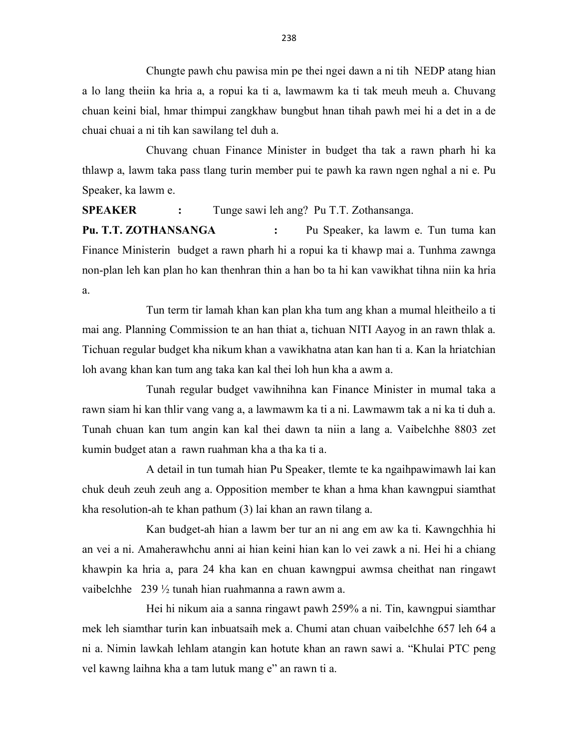Chungte pawh chu pawisa min pe thei ngei dawn a ni tih NEDP atang hian a lo lang theiin ka hria a, a ropui ka ti a, lawmawm ka ti tak meuh meuh a. Chuvang chuan keini bial, hmar thimpui zangkhaw bungbut hnan tihah pawh mei hi a det in a de chuai chuai a ni tih kan sawilang tel duh a.

 Chuvang chuan Finance Minister in budget tha tak a rawn pharh hi ka thlawp a, lawm taka pass tlang turin member pui te pawh ka rawn ngen nghal a ni e. Pu Speaker, ka lawm e.

SPEAKER : Tunge sawi leh ang? Pu T.T. Zothansanga.

Pu. T.T. ZOTHANSANGA : Pu Speaker, ka lawm e. Tun tuma kan Finance Ministerin budget a rawn pharh hi a ropui ka ti khawp mai a. Tunhma zawnga non-plan leh kan plan ho kan thenhran thin a han bo ta hi kan vawikhat tihna niin ka hria a.

 Tun term tir lamah khan kan plan kha tum ang khan a mumal hleitheilo a ti mai ang. Planning Commission te an han thiat a, tichuan NITI Aayog in an rawn thlak a. Tichuan regular budget kha nikum khan a vawikhatna atan kan han ti a. Kan la hriatchian loh avang khan kan tum ang taka kan kal thei loh hun kha a awm a.

 Tunah regular budget vawihnihna kan Finance Minister in mumal taka a rawn siam hi kan thlir vang vang a, a lawmawm ka ti a ni. Lawmawm tak a ni ka ti duh a. Tunah chuan kan tum angin kan kal thei dawn ta niin a lang a. Vaibelchhe 8803 zet kumin budget atan a rawn ruahman kha a tha ka ti a.

 A detail in tun tumah hian Pu Speaker, tlemte te ka ngaihpawimawh lai kan chuk deuh zeuh zeuh ang a. Opposition member te khan a hma khan kawngpui siamthat kha resolution-ah te khan pathum (3) lai khan an rawn tilang a.

 Kan budget-ah hian a lawm ber tur an ni ang em aw ka ti. Kawngchhia hi an vei a ni. Amaherawhchu anni ai hian keini hian kan lo vei zawk a ni. Hei hi a chiang khawpin ka hria a, para 24 kha kan en chuan kawngpui awmsa cheithat nan ringawt vaibelchhe 239 ½ tunah hian ruahmanna a rawn awm a.

 Hei hi nikum aia a sanna ringawt pawh 259% a ni. Tin, kawngpui siamthar mek leh siamthar turin kan inbuatsaih mek a. Chumi atan chuan vaibelchhe 657 leh 64 a ni a. Nimin lawkah lehlam atangin kan hotute khan an rawn sawi a. "Khulai PTC peng vel kawng laihna kha a tam lutuk mang e" an rawn ti a.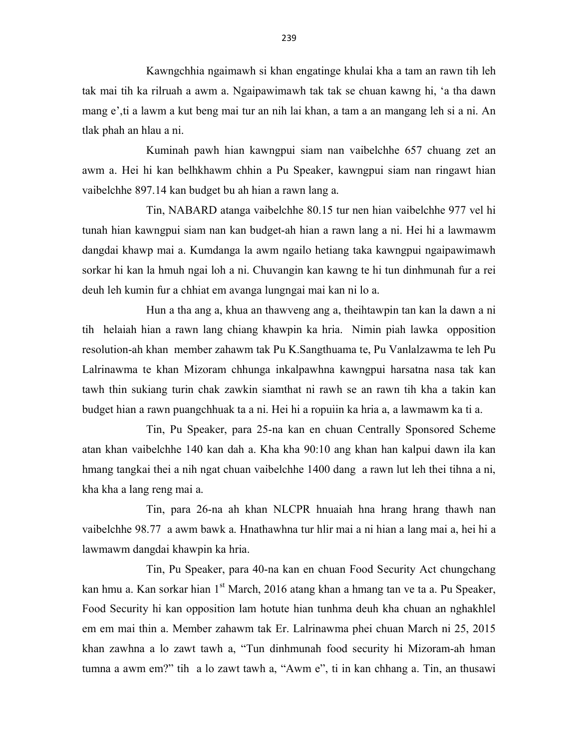Kawngchhia ngaimawh si khan engatinge khulai kha a tam an rawn tih leh tak mai tih ka rilruah a awm a. Ngaipawimawh tak tak se chuan kawng hi, 'a tha dawn mang e',ti a lawm a kut beng mai tur an nih lai khan, a tam a an mangang leh si a ni. An tlak phah an hlau a ni.

 Kuminah pawh hian kawngpui siam nan vaibelchhe 657 chuang zet an awm a. Hei hi kan belhkhawm chhin a Pu Speaker, kawngpui siam nan ringawt hian vaibelchhe 897.14 kan budget bu ah hian a rawn lang a.

 Tin, NABARD atanga vaibelchhe 80.15 tur nen hian vaibelchhe 977 vel hi tunah hian kawngpui siam nan kan budget-ah hian a rawn lang a ni. Hei hi a lawmawm dangdai khawp mai a. Kumdanga la awm ngailo hetiang taka kawngpui ngaipawimawh sorkar hi kan la hmuh ngai loh a ni. Chuvangin kan kawng te hi tun dinhmunah fur a rei deuh leh kumin fur a chhiat em avanga lungngai mai kan ni lo a.

 Hun a tha ang a, khua an thawveng ang a, theihtawpin tan kan la dawn a ni tih helaiah hian a rawn lang chiang khawpin ka hria. Nimin piah lawka opposition resolution-ah khan member zahawm tak Pu K.Sangthuama te, Pu Vanlalzawma te leh Pu Lalrinawma te khan Mizoram chhunga inkalpawhna kawngpui harsatna nasa tak kan tawh thin sukiang turin chak zawkin siamthat ni rawh se an rawn tih kha a takin kan budget hian a rawn puangchhuak ta a ni. Hei hi a ropuiin ka hria a, a lawmawm ka ti a.

 Tin, Pu Speaker, para 25-na kan en chuan Centrally Sponsored Scheme atan khan vaibelchhe 140 kan dah a. Kha kha 90:10 ang khan han kalpui dawn ila kan hmang tangkai thei a nih ngat chuan vaibelchhe 1400 dang a rawn lut leh thei tihna a ni, kha kha a lang reng mai a.

 Tin, para 26-na ah khan NLCPR hnuaiah hna hrang hrang thawh nan vaibelchhe 98.77 a awm bawk a. Hnathawhna tur hlir mai a ni hian a lang mai a, hei hi a lawmawm dangdai khawpin ka hria.

 Tin, Pu Speaker, para 40-na kan en chuan Food Security Act chungchang kan hmu a. Kan sorkar hian 1<sup>st</sup> March, 2016 atang khan a hmang tan ve ta a. Pu Speaker, Food Security hi kan opposition lam hotute hian tunhma deuh kha chuan an nghakhlel em em mai thin a. Member zahawm tak Er. Lalrinawma phei chuan March ni 25, 2015 khan zawhna a lo zawt tawh a, "Tun dinhmunah food security hi Mizoram-ah hman tumna a awm em?" tih a lo zawt tawh a, "Awm e", ti in kan chhang a. Tin, an thusawi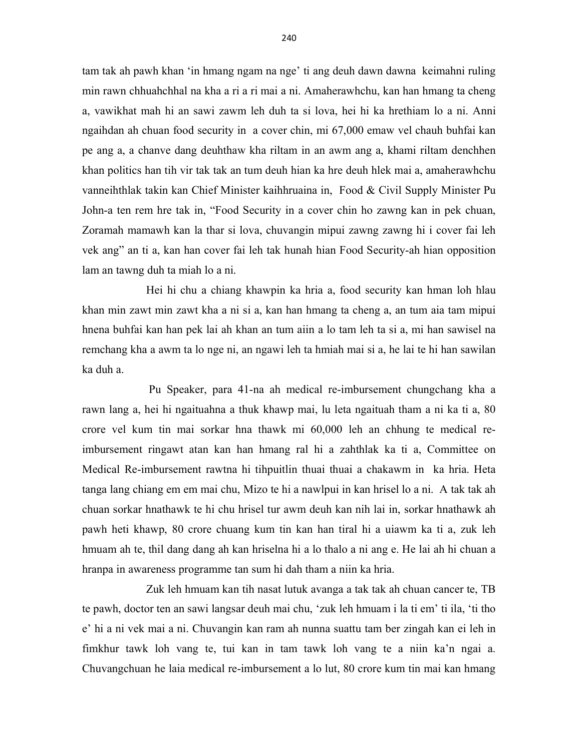tam tak ah pawh khan 'in hmang ngam na nge' ti ang deuh dawn dawna keimahni ruling min rawn chhuahchhal na kha a ri a ri mai a ni. Amaherawhchu, kan han hmang ta cheng a, vawikhat mah hi an sawi zawm leh duh ta si lova, hei hi ka hrethiam lo a ni. Anni ngaihdan ah chuan food security in a cover chin, mi 67,000 emaw vel chauh buhfai kan pe ang a, a chanve dang deuhthaw kha riltam in an awm ang a, khami riltam denchhen khan politics han tih vir tak tak an tum deuh hian ka hre deuh hlek mai a, amaherawhchu vanneihthlak takin kan Chief Minister kaihhruaina in, Food & Civil Supply Minister Pu John-a ten rem hre tak in, "Food Security in a cover chin ho zawng kan in pek chuan, Zoramah mamawh kan la thar si lova, chuvangin mipui zawng zawng hi i cover fai leh vek ang" an ti a, kan han cover fai leh tak hunah hian Food Security-ah hian opposition lam an tawng duh ta miah lo a ni.

 Hei hi chu a chiang khawpin ka hria a, food security kan hman loh hlau khan min zawt min zawt kha a ni si a, kan han hmang ta cheng a, an tum aia tam mipui hnena buhfai kan han pek lai ah khan an tum aiin a lo tam leh ta si a, mi han sawisel na remchang kha a awm ta lo nge ni, an ngawi leh ta hmiah mai si a, he lai te hi han sawilan ka duh a.

 Pu Speaker, para 41-na ah medical re-imbursement chungchang kha a rawn lang a, hei hi ngaituahna a thuk khawp mai, lu leta ngaituah tham a ni ka ti a, 80 crore vel kum tin mai sorkar hna thawk mi 60,000 leh an chhung te medical reimbursement ringawt atan kan han hmang ral hi a zahthlak ka ti a, Committee on Medical Re-imbursement rawtna hi tihpuitlin thuai thuai a chakawm in ka hria. Heta tanga lang chiang em em mai chu, Mizo te hi a nawlpui in kan hrisel lo a ni. A tak tak ah chuan sorkar hnathawk te hi chu hrisel tur awm deuh kan nih lai in, sorkar hnathawk ah pawh heti khawp, 80 crore chuang kum tin kan han tiral hi a uiawm ka ti a, zuk leh hmuam ah te, thil dang dang ah kan hriselna hi a lo thalo a ni ang e. He lai ah hi chuan a hranpa in awareness programme tan sum hi dah tham a niin ka hria.

 Zuk leh hmuam kan tih nasat lutuk avanga a tak tak ah chuan cancer te, TB te pawh, doctor ten an sawi langsar deuh mai chu, 'zuk leh hmuam i la ti em' ti ila, 'ti tho e' hi a ni vek mai a ni. Chuvangin kan ram ah nunna suattu tam ber zingah kan ei leh in fimkhur tawk loh vang te, tui kan in tam tawk loh vang te a niin ka'n ngai a. Chuvangchuan he laia medical re-imbursement a lo lut, 80 crore kum tin mai kan hmang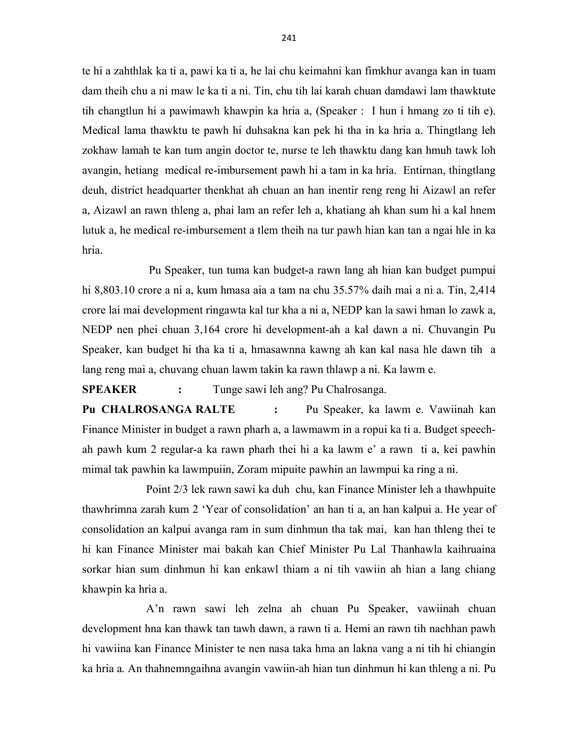te hi a zahthlak ka ti a, pawi ka ti a, he lai chu keimahni kan fimkhur avanga kan in tuam dam theih chu a ni maw le ka ti a ni. Tin, chu tih lai karah chuan damdawi lam thawktute tih changtlun hi a pawimawh khawpin ka hria a, (Speaker : I hun i hmang zo ti tih e). Medical lama thawktu te pawh hi duhsakna kan pek hi tha in ka hria a. Thingtlang leh zokhaw lamah te kan tum angin doctor te, nurse te leh thawktu dang kan hmuh tawk loh avangin, hetiang medical re-imbursement pawh hi a tam in ka hria. Entirnan, thingtlang deuh, district headquarter thenkhat ah chuan an han inentir reng reng hi Aizawl an refer a, Aizawl an rawn thleng a, phai lam an refer leh a, khatiang ah khan sum hi a kal hnem lutuk a, he medical re-imbursement a tlem theih na tur pawh hian kan tan a ngai hle in ka hria.

 Pu Speaker, tun tuma kan budget-a rawn lang ah hian kan budget pumpui hi 8,803.10 crore a ni a, kum hmasa aia a tam na chu 35.57% daih mai a ni a. Tin, 2,414 crore lai mai development ringawta kal tur kha a ni a, NEDP kan la sawi hman lo zawk a, NEDP nen phei chuan 3,164 crore hi development-ah a kal dawn a ni. Chuvangin Pu Speaker, kan budget hi tha ka ti a, hmasawnna kawng ah kan kal nasa hle dawn tih a lang reng mai a, chuvang chuan lawm takin ka rawn thlawp a ni. Ka lawm e.

SPEAKER : Tunge sawi leh ang? Pu Chalrosanga.

Pu CHALROSANGA RALTE : Pu Speaker, ka lawm e. Vawiinah kan Finance Minister in budget a rawn pharh a, a lawmawm in a ropui ka ti a. Budget speechah pawh kum 2 regular-a ka rawn pharh thei hi a ka lawm e' a rawn ti a, kei pawhin mimal tak pawhin ka lawmpuiin, Zoram mipuite pawhin an lawmpui ka ring a ni.

 Point 2/3 lek rawn sawi ka duh chu, kan Finance Minister leh a thawhpuite thawhrimna zarah kum 2 'Year of consolidation' an han ti a, an han kalpui a. He year of consolidation an kalpui avanga ram in sum dinhmun tha tak mai, kan han thleng thei te hi kan Finance Minister mai bakah kan Chief Minister Pu Lal Thanhawla kaihruaina sorkar hian sum dinhmun hi kan enkawl thiam a ni tih vawiin ah hian a lang chiang khawpin ka hria a.

 A'n rawn sawi leh zelna ah chuan Pu Speaker, vawiinah chuan development hna kan thawk tan tawh dawn, a rawn ti a. Hemi an rawn tih nachhan pawh hi vawiina kan Finance Minister te nen nasa taka hma an lakna vang a ni tih hi chiangin ka hria a. An thahnemngaihna avangin vawiin-ah hian tun dinhmun hi kan thleng a ni. Pu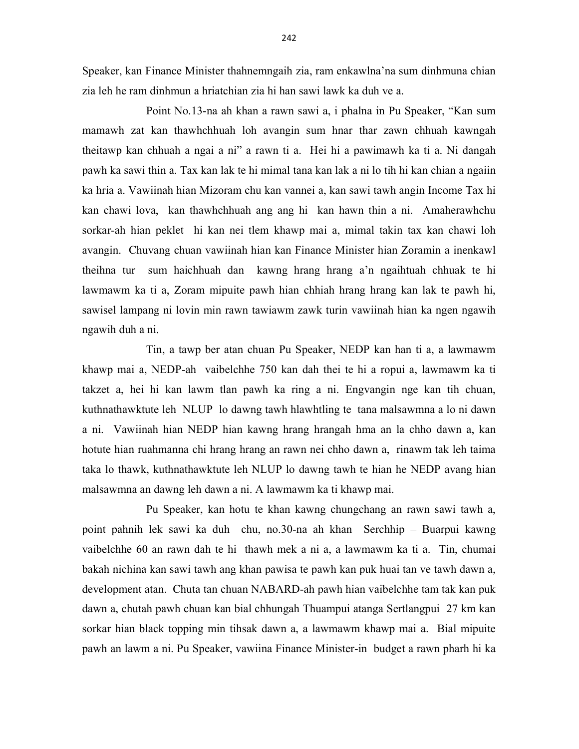Speaker, kan Finance Minister thahnemngaih zia, ram enkawlna'na sum dinhmuna chian zia leh he ram dinhmun a hriatchian zia hi han sawi lawk ka duh ve a.

 Point No.13-na ah khan a rawn sawi a, i phalna in Pu Speaker, "Kan sum mamawh zat kan thawhchhuah loh avangin sum hnar thar zawn chhuah kawngah theitawp kan chhuah a ngai a ni" a rawn ti a. Hei hi a pawimawh ka ti a. Ni dangah pawh ka sawi thin a. Tax kan lak te hi mimal tana kan lak a ni lo tih hi kan chian a ngaiin ka hria a. Vawiinah hian Mizoram chu kan vannei a, kan sawi tawh angin Income Tax hi kan chawi lova, kan thawhchhuah ang ang hi kan hawn thin a ni. Amaherawhchu sorkar-ah hian peklet hi kan nei tlem khawp mai a, mimal takin tax kan chawi loh avangin. Chuvang chuan vawiinah hian kan Finance Minister hian Zoramin a inenkawl theihna tur sum haichhuah dan kawng hrang hrang a'n ngaihtuah chhuak te hi lawmawm ka ti a, Zoram mipuite pawh hian chhiah hrang hrang kan lak te pawh hi, sawisel lampang ni lovin min rawn tawiawm zawk turin vawiinah hian ka ngen ngawih ngawih duh a ni.

 Tin, a tawp ber atan chuan Pu Speaker, NEDP kan han ti a, a lawmawm khawp mai a, NEDP-ah vaibelchhe 750 kan dah thei te hi a ropui a, lawmawm ka ti takzet a, hei hi kan lawm tlan pawh ka ring a ni. Engvangin nge kan tih chuan, kuthnathawktute leh NLUP lo dawng tawh hlawhtling te tana malsawmna a lo ni dawn a ni. Vawiinah hian NEDP hian kawng hrang hrangah hma an la chho dawn a, kan hotute hian ruahmanna chi hrang hrang an rawn nei chho dawn a, rinawm tak leh taima taka lo thawk, kuthnathawktute leh NLUP lo dawng tawh te hian he NEDP avang hian malsawmna an dawng leh dawn a ni. A lawmawm ka ti khawp mai.

 Pu Speaker, kan hotu te khan kawng chungchang an rawn sawi tawh a, point pahnih lek sawi ka duh chu, no.30-na ah khan Serchhip – Buarpui kawng vaibelchhe 60 an rawn dah te hi thawh mek a ni a, a lawmawm ka ti a. Tin, chumai bakah nichina kan sawi tawh ang khan pawisa te pawh kan puk huai tan ve tawh dawn a, development atan. Chuta tan chuan NABARD-ah pawh hian vaibelchhe tam tak kan puk dawn a, chutah pawh chuan kan bial chhungah Thuampui atanga Sertlangpui 27 km kan sorkar hian black topping min tihsak dawn a, a lawmawm khawp mai a. Bial mipuite pawh an lawm a ni. Pu Speaker, vawiina Finance Minister-in budget a rawn pharh hi ka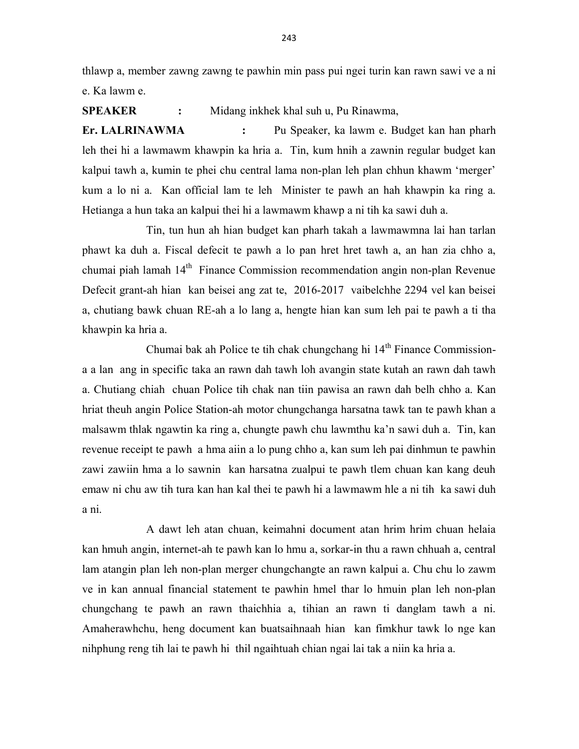thlawp a, member zawng zawng te pawhin min pass pui ngei turin kan rawn sawi ve a ni e. Ka lawm e.

SPEAKER : Midang inkhek khal suh u, Pu Rinawma,

Er. LALRINAWMA : Pu Speaker, ka lawm e. Budget kan han pharh leh thei hi a lawmawm khawpin ka hria a. Tin, kum hnih a zawnin regular budget kan kalpui tawh a, kumin te phei chu central lama non-plan leh plan chhun khawm 'merger' kum a lo ni a. Kan official lam te leh Minister te pawh an hah khawpin ka ring a. Hetianga a hun taka an kalpui thei hi a lawmawm khawp a ni tih ka sawi duh a.

 Tin, tun hun ah hian budget kan pharh takah a lawmawmna lai han tarlan phawt ka duh a. Fiscal defecit te pawh a lo pan hret hret tawh a, an han zia chho a, chumai piah lamah  $14<sup>th</sup>$  Finance Commission recommendation angin non-plan Revenue Defecit grant-ah hian kan beisei ang zat te, 2016-2017 vaibelchhe 2294 vel kan beisei a, chutiang bawk chuan RE-ah a lo lang a, hengte hian kan sum leh pai te pawh a ti tha khawpin ka hria a.

Chumai bak ah Police te tih chak chungchang hi  $14<sup>th</sup>$  Finance Commissiona a lan ang in specific taka an rawn dah tawh loh avangin state kutah an rawn dah tawh a. Chutiang chiah chuan Police tih chak nan tiin pawisa an rawn dah belh chho a. Kan hriat theuh angin Police Station-ah motor chungchanga harsatna tawk tan te pawh khan a malsawm thlak ngawtin ka ring a, chungte pawh chu lawmthu ka'n sawi duh a. Tin, kan revenue receipt te pawh a hma aiin a lo pung chho a, kan sum leh pai dinhmun te pawhin zawi zawiin hma a lo sawnin kan harsatna zualpui te pawh tlem chuan kan kang deuh emaw ni chu aw tih tura kan han kal thei te pawh hi a lawmawm hle a ni tih ka sawi duh a ni.

 A dawt leh atan chuan, keimahni document atan hrim hrim chuan helaia kan hmuh angin, internet-ah te pawh kan lo hmu a, sorkar-in thu a rawn chhuah a, central lam atangin plan leh non-plan merger chungchangte an rawn kalpui a. Chu chu lo zawm ve in kan annual financial statement te pawhin hmel thar lo hmuin plan leh non-plan chungchang te pawh an rawn thaichhia a, tihian an rawn ti danglam tawh a ni. Amaherawhchu, heng document kan buatsaihnaah hian kan fimkhur tawk lo nge kan nihphung reng tih lai te pawh hi thil ngaihtuah chian ngai lai tak a niin ka hria a.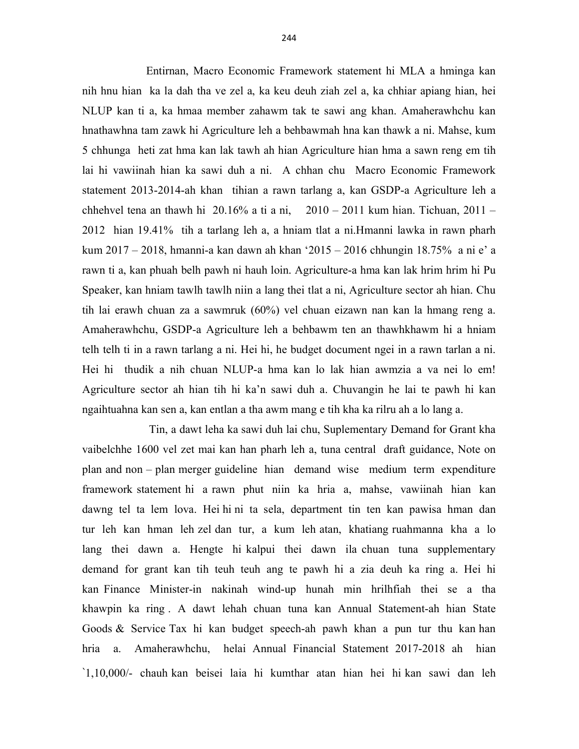Entirnan, Macro Economic Framework statement hi MLA a hminga kan nih hnu hian ka la dah tha ve zel a, ka keu deuh ziah zel a, ka chhiar apiang hian, hei NLUP kan ti a, ka hmaa member zahawm tak te sawi ang khan. Amaherawhchu kan hnathawhna tam zawk hi Agriculture leh a behbawmah hna kan thawk a ni. Mahse, kum 5 chhunga heti zat hma kan lak tawh ah hian Agriculture hian hma a sawn reng em tih lai hi vawiinah hian ka sawi duh a ni. A chhan chu Macro Economic Framework statement 2013-2014-ah khan tihian a rawn tarlang a, kan GSDP-a Agriculture leh a chhehvel tena an thawh hi  $20.16\%$  a ti a ni,  $2010 - 2011$  kum hian. Tichuan,  $2011 -$ 2012 hian 19.41% tih a tarlang leh a, a hniam tlat a ni.Hmanni lawka in rawn pharh kum 2017 – 2018, hmanni-a kan dawn ah khan '2015 – 2016 chhungin 18.75% a ni e' a rawn ti a, kan phuah belh pawh ni hauh loin. Agriculture-a hma kan lak hrim hrim hi Pu Speaker, kan hniam tawlh tawlh niin a lang thei tlat a ni, Agriculture sector ah hian. Chu tih lai erawh chuan za a sawmruk (60%) vel chuan eizawn nan kan la hmang reng a. Amaherawhchu, GSDP-a Agriculture leh a behbawm ten an thawhkhawm hi a hniam telh telh ti in a rawn tarlang a ni. Hei hi, he budget document ngei in a rawn tarlan a ni. Hei hi thudik a nih chuan NLUP-a hma kan lo lak hian awmzia a va nei lo em! Agriculture sector ah hian tih hi ka'n sawi duh a. Chuvangin he lai te pawh hi kan ngaihtuahna kan sen a, kan entlan a tha awm mang e tih kha ka rilru ah a lo lang a.

 Tin, a dawt leha ka sawi duh lai chu, Suplementary Demand for Grant kha vaibelchhe 1600 vel zet mai kan han pharh leh a, tuna central draft guidance, Note on plan and non – plan merger guideline hian demand wise medium term expenditure framework statement hi a rawn phut niin ka hria a, mahse, vawiinah hian kan dawng tel ta lem lova. Hei hi ni ta sela, department tin ten kan pawisa hman dan tur leh kan hman leh zel dan tur, a kum leh atan, khatiang ruahmanna kha a lo lang thei dawn a. Hengte hi kalpui thei dawn ila chuan tuna supplementary demand for grant kan tih teuh teuh ang te pawh hi a zia deuh ka ring a. Hei hi kan Finance Minister-in nakinah wind-up hunah min hrilhfiah thei se a tha khawpin ka ring . A dawt lehah chuan tuna kan Annual Statement-ah hian State Goods & Service Tax hi kan budget speech-ah pawh khan a pun tur thu kan han hria a. Amaherawhchu, helai Annual Financial Statement 2017-2018 ah hian `1,10,000/- chauh kan beisei laia hi kumthar atan hian hei hi kan sawi dan leh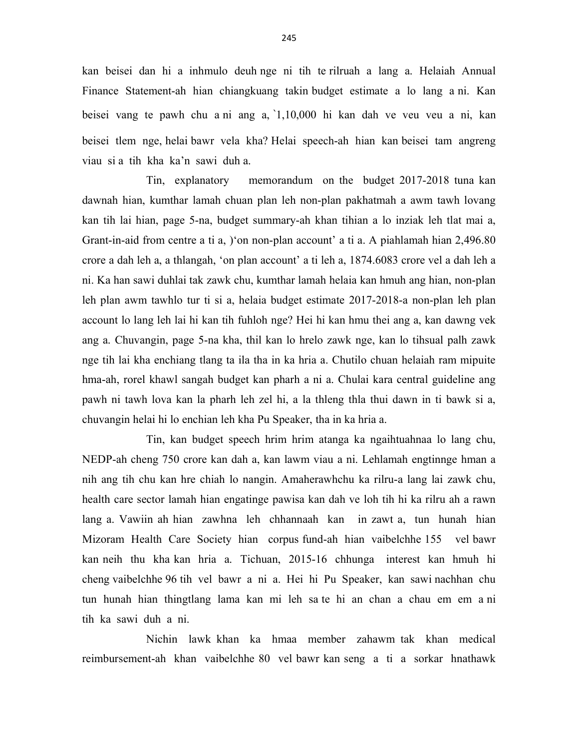kan beisei dan hi a inhmulo deuh nge ni tih te rilruah a lang a. Helaiah Annual Finance Statement-ah hian chiangkuang takin budget estimate a lo lang a ni. Kan beisei vang te pawh chu a ni ang a, `1,10,000 hi kan dah ve veu veu a ni, kan beisei tlem nge, helai bawr vela kha? Helai speech-ah hian kan beisei tam angreng viau si a tih kha ka'n sawi duh a.

 Tin, explanatory memorandum on the budget 2017-2018 tuna kan dawnah hian, kumthar lamah chuan plan leh non-plan pakhatmah a awm tawh lovang kan tih lai hian, page 5-na, budget summary-ah khan tihian a lo inziak leh tlat mai a, Grant-in-aid from centre a ti a, )'on non-plan account' a ti a. A piahlamah hian 2,496.80 crore a dah leh a, a thlangah, 'on plan account' a ti leh a, 1874.6083 crore vel a dah leh a ni. Ka han sawi duhlai tak zawk chu, kumthar lamah helaia kan hmuh ang hian, non-plan leh plan awm tawhlo tur ti si a, helaia budget estimate 2017-2018-a non-plan leh plan account lo lang leh lai hi kan tih fuhloh nge? Hei hi kan hmu thei ang a, kan dawng vek ang a. Chuvangin, page 5-na kha, thil kan lo hrelo zawk nge, kan lo tihsual palh zawk nge tih lai kha enchiang tlang ta ila tha in ka hria a. Chutilo chuan helaiah ram mipuite hma-ah, rorel khawl sangah budget kan pharh a ni a. Chulai kara central guideline ang pawh ni tawh lova kan la pharh leh zel hi, a la thleng thla thui dawn in ti bawk si a, chuvangin helai hi lo enchian leh kha Pu Speaker, tha in ka hria a.

 Tin, kan budget speech hrim hrim atanga ka ngaihtuahnaa lo lang chu, NEDP-ah cheng 750 crore kan dah a, kan lawm viau a ni. Lehlamah engtinnge hman a nih ang tih chu kan hre chiah lo nangin. Amaherawhchu ka rilru-a lang lai zawk chu, health care sector lamah hian engatinge pawisa kan dah ve loh tih hi ka rilru ah a rawn lang a. Vawiin ah hian zawhna leh chhannaah kan in zawt a, tun hunah hian Mizoram Health Care Society hian corpus fund-ah hian vaibelchhe 155 vel bawr kan neih thu kha kan hria a. Tichuan, 2015-16 chhunga interest kan hmuh hi cheng vaibelchhe 96 tih vel bawr a ni a. Hei hi Pu Speaker, kan sawi nachhan chu tun hunah hian thingtlang lama kan mi leh sa te hi an chan a chau em em a ni tih ka sawi duh a ni.

 Nichin lawk khan ka hmaa member zahawm tak khan medical reimbursement-ah khan vaibelchhe 80 vel bawr kan seng a ti a sorkar hnathawk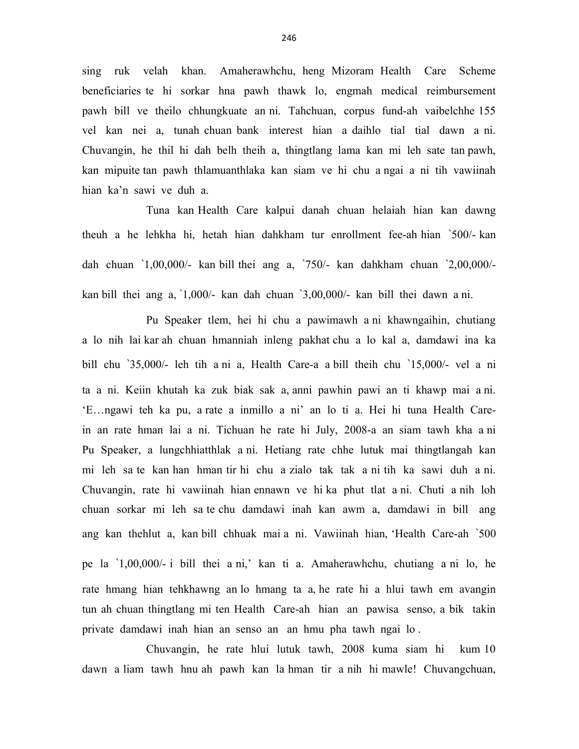sing ruk velah khan. Amaherawhchu, heng Mizoram Health Care Scheme beneficiaries te hi sorkar hna pawh thawk lo, engmah medical reimbursement pawh bill ve theilo chhungkuate an ni. Tahchuan, corpus fund-ah vaibelchhe 155 vel kan nei a, tunah chuan bank interest hian a daihlo tial tial dawn a ni. Chuvangin, he thil hi dah belh theih a, thingtlang lama kan mi leh sate tan pawh, kan mipuite tan pawh thlamuanthlaka kan siam ve hi chu a ngai a ni tih vawiinah hian ka'n sawi ve duh a.

 Tuna kan Health Care kalpui danah chuan helaiah hian kan dawng theuh a he lehkha hi, hetah hian dahkham tur enrollment fee-ah hian `500/- kan dah chuan `1,00,000/- kan bill thei ang a, `750/- kan dahkham chuan `2,00,000/ kan bill thei ang a, `1,000/- kan dah chuan `3,00,000/- kan bill thei dawn a ni.

 Pu Speaker tlem, hei hi chu a pawimawh a ni khawngaihin, chutiang a lo nih lai kar ah chuan hmanniah inleng pakhat chu a lo kal a, damdawi ina ka bill chu `35,000/- leh tih a ni a, Health Care-a a bill theih chu `15,000/- vel a ni ta a ni. Keiin khutah ka zuk biak sak a, anni pawhin pawi an ti khawp mai a ni. 'E…ngawi teh ka pu, a rate a inmillo a ni' an lo ti a. Hei hi tuna Health Carein an rate hman lai a ni. Tichuan he rate hi July, 2008-a an siam tawh kha a ni Pu Speaker, a lungchhiatthlak a ni. Hetiang rate chhe lutuk mai thingtlangah kan mi leh sa te kan han hman tir hi chu a zialo tak tak a ni tih ka sawi duh a ni. Chuvangin, rate hi vawiinah hian ennawn ve hi ka phut tlat a ni. Chuti a nih loh chuan sorkar mi leh sa te chu damdawi inah kan awm a, damdawi in bill ang ang kan thehlut a, kan bill chhuak mai a ni. Vawiinah hian, 'Health Care-ah `500 pe la `1,00,000/- i bill thei a ni,' kan ti a. Amaherawhchu, chutiang a ni lo, he rate hmang hian tehkhawng an lo hmang ta a, he rate hi a hlui tawh em avangin tun ah chuan thingtlang mi ten Health Care-ah hian an pawisa senso, a bik takin private damdawi inah hian an senso an an hmu pha tawh ngai lo .

 Chuvangin, he rate hlui lutuk tawh, 2008 kuma siam hi kum 10 dawn a liam tawh hnu ah pawh kan la hman tir a nih hi mawle! Chuvangchuan,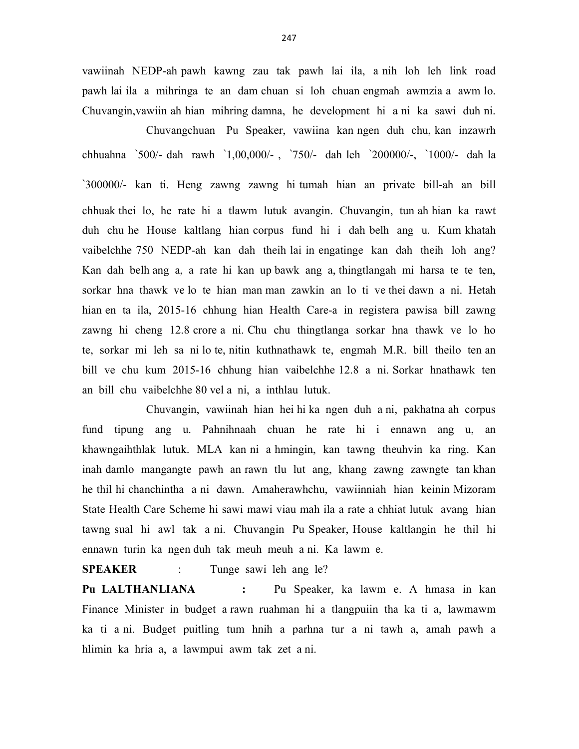vawiinah NEDP-ah pawh kawng zau tak pawh lai ila, a nih loh leh link road pawh lai ila a mihringa te an dam chuan si loh chuan engmah awmzia a awm lo. Chuvangin,vawiin ah hian mihring damna, he development hi a ni ka sawi duh ni.

 Chuvangchuan Pu Speaker, vawiina kan ngen duh chu, kan inzawrh chhuahna `500/- dah rawh `1,00,000/- , `750/- dah leh `200000/-, `1000/- dah la `300000/- kan ti. Heng zawng zawng hi tumah hian an private bill-ah an bill chhuak thei lo, he rate hi a tlawm lutuk avangin. Chuvangin, tun ah hian ka rawt duh chu he House kaltlang hian corpus fund hi i dah belh ang u. Kum khatah vaibelchhe 750 NEDP-ah kan dah theih lai in engatinge kan dah theih loh ang? Kan dah belh ang a, a rate hi kan up bawk ang a, thingtlangah mi harsa te te ten, sorkar hna thawk ve lo te hian man man zawkin an lo ti ve thei dawn a ni. Hetah hian en ta ila, 2015-16 chhung hian Health Care-a in registera pawisa bill zawng zawng hi cheng 12.8 crore a ni. Chu chu thingtlanga sorkar hna thawk ve lo ho te, sorkar mi leh sa ni lo te, nitin kuthnathawk te, engmah M.R. bill theilo ten an bill ve chu kum 2015-16 chhung hian vaibelchhe 12.8 a ni. Sorkar hnathawk ten an bill chu vaibelchhe 80 vel a ni, a inthlau lutuk.

 Chuvangin, vawiinah hian hei hi ka ngen duh a ni, pakhatna ah corpus fund tipung ang u. Pahnihnaah chuan he rate hi i ennawn ang u, an khawngaihthlak lutuk. MLA kan ni a hmingin, kan tawng theuhvin ka ring. Kan inah damlo mangangte pawh an rawn tlu lut ang, khang zawng zawngte tan khan he thil hi chanchintha a ni dawn. Amaherawhchu, vawiinniah hian keinin Mizoram State Health Care Scheme hi sawi mawi viau mah ila a rate a chhiat lutuk avang hian tawng sual hi awl tak a ni. Chuvangin Pu Speaker, House kaltlangin he thil hi ennawn turin ka ngen duh tak meuh meuh a ni. Ka lawm e.

SPEAKER : Tunge sawi leh ang le?

Pu LALTHANLIANA : Pu Speaker, ka lawm e. A hmasa in kan Finance Minister in budget a rawn ruahman hi a tlangpuiin tha ka ti a, lawmawm ka ti a ni. Budget puitling tum hnih a parhna tur a ni tawh a, amah pawh a hlimin ka hria a, a lawmpui awm tak zet a ni.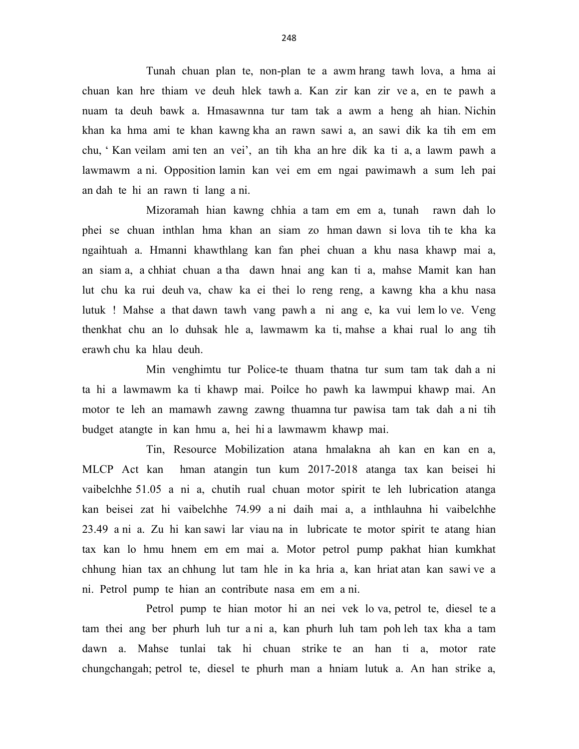Tunah chuan plan te, non-plan te a awm hrang tawh lova, a hma ai chuan kan hre thiam ve deuh hlek tawh a. Kan zir kan zir ve a, en te pawh a nuam ta deuh bawk a. Hmasawnna tur tam tak a awm a heng ah hian. Nichin khan ka hma ami te khan kawng kha an rawn sawi a, an sawi dik ka tih em em chu, ' Kan veilam ami ten an vei', an tih kha an hre dik ka ti a, a lawm pawh a lawmawm a ni. Opposition lamin kan vei em em ngai pawimawh a sum leh pai an dah te hi an rawn ti lang a ni.

 Mizoramah hian kawng chhia a tam em em a, tunah rawn dah lo phei se chuan inthlan hma khan an siam zo hman dawn si lova tih te kha ka ngaihtuah a. Hmanni khawthlang kan fan phei chuan a khu nasa khawp mai a, an siam a, a chhiat chuan a tha dawn hnai ang kan ti a, mahse Mamit kan han lut chu ka rui deuh va, chaw ka ei thei lo reng reng, a kawng kha a khu nasa lutuk ! Mahse a that dawn tawh vang pawh a ni ang e, ka vui lem lo ve. Veng thenkhat chu an lo duhsak hle a, lawmawm ka ti, mahse a khai rual lo ang tih erawh chu ka hlau deuh.

 Min venghimtu tur Police-te thuam thatna tur sum tam tak dah a ni ta hi a lawmawm ka ti khawp mai. Poilce ho pawh ka lawmpui khawp mai. An motor te leh an mamawh zawng zawng thuamna tur pawisa tam tak dah a ni tih budget atangte in kan hmu a, hei hi a lawmawm khawp mai.

 Tin, Resource Mobilization atana hmalakna ah kan en kan en a, MLCP Act kan hman atangin tun kum 2017-2018 atanga tax kan beisei hi vaibelchhe 51.05 a ni a, chutih rual chuan motor spirit te leh lubrication atanga kan beisei zat hi vaibelchhe 74.99 a ni daih mai a, a inthlauhna hi vaibelchhe 23.49 a ni a. Zu hi kan sawi lar viau na in lubricate te motor spirit te atang hian tax kan lo hmu hnem em em mai a. Motor petrol pump pakhat hian kumkhat chhung hian tax an chhung lut tam hle in ka hria a, kan hriat atan kan sawi ve a ni. Petrol pump te hian an contribute nasa em em a ni.

 Petrol pump te hian motor hi an nei vek lo va, petrol te, diesel te a tam thei ang ber phurh luh tur a ni a, kan phurh luh tam poh leh tax kha a tam dawn a. Mahse tunlai tak hi chuan strike te an han ti a, motor rate chungchangah; petrol te, diesel te phurh man a hniam lutuk a. An han strike a,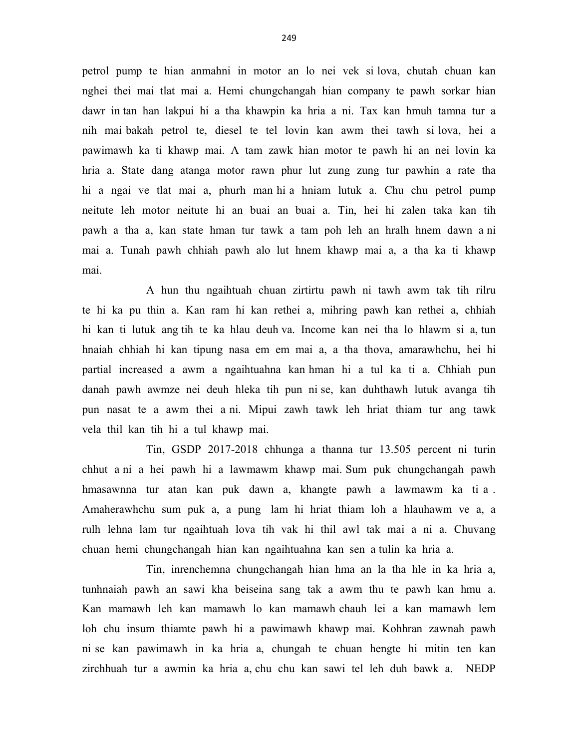petrol pump te hian anmahni in motor an lo nei vek si lova, chutah chuan kan nghei thei mai tlat mai a. Hemi chungchangah hian company te pawh sorkar hian dawr in tan han lakpui hi a tha khawpin ka hria a ni. Tax kan hmuh tamna tur a nih mai bakah petrol te, diesel te tel lovin kan awm thei tawh si lova, hei a pawimawh ka ti khawp mai. A tam zawk hian motor te pawh hi an nei lovin ka hria a. State dang atanga motor rawn phur lut zung zung tur pawhin a rate tha hi a ngai ve tlat mai a, phurh man hi a hniam lutuk a. Chu chu petrol pump neitute leh motor neitute hi an buai an buai a. Tin, hei hi zalen taka kan tih pawh a tha a, kan state hman tur tawk a tam poh leh an hralh hnem dawn a ni mai a. Tunah pawh chhiah pawh alo lut hnem khawp mai a, a tha ka ti khawp mai.

 A hun thu ngaihtuah chuan zirtirtu pawh ni tawh awm tak tih rilru te hi ka pu thin a. Kan ram hi kan rethei a, mihring pawh kan rethei a, chhiah hi kan ti lutuk ang tih te ka hlau deuh va. Income kan nei tha lo hlawm si a, tun hnaiah chhiah hi kan tipung nasa em em mai a, a tha thova, amarawhchu, hei hi partial increased a awm a ngaihtuahna kan hman hi a tul ka ti a. Chhiah pun danah pawh awmze nei deuh hleka tih pun ni se, kan duhthawh lutuk avanga tih pun nasat te a awm thei a ni. Mipui zawh tawk leh hriat thiam tur ang tawk vela thil kan tih hi a tul khawp mai.

 Tin, GSDP 2017-2018 chhunga a thanna tur 13.505 percent ni turin chhut a ni a hei pawh hi a lawmawm khawp mai. Sum puk chungchangah pawh hmasawnna tur atan kan puk dawn a, khangte pawh a lawmawm ka ti a . Amaherawhchu sum puk a, a pung lam hi hriat thiam loh a hlauhawm ve a, a rulh lehna lam tur ngaihtuah lova tih vak hi thil awl tak mai a ni a. Chuvang chuan hemi chungchangah hian kan ngaihtuahna kan sen a tulin ka hria a.

 Tin, inrenchemna chungchangah hian hma an la tha hle in ka hria a, tunhnaiah pawh an sawi kha beiseina sang tak a awm thu te pawh kan hmu a. Kan mamawh leh kan mamawh lo kan mamawh chauh lei a kan mamawh lem loh chu insum thiamte pawh hi a pawimawh khawp mai. Kohhran zawnah pawh ni se kan pawimawh in ka hria a, chungah te chuan hengte hi mitin ten kan zirchhuah tur a awmin ka hria a, chu chu kan sawi tel leh duh bawk a. NEDP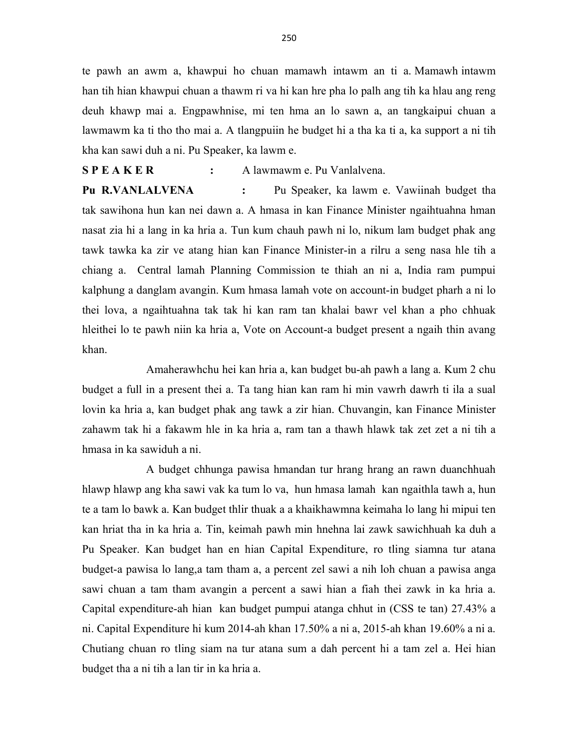te pawh an awm a, khawpui ho chuan mamawh intawm an ti a. Mamawh intawm han tih hian khawpui chuan a thawm ri va hi kan hre pha lo palh ang tih ka hlau ang reng deuh khawp mai a. Engpawhnise, mi ten hma an lo sawn a, an tangkaipui chuan a lawmawm ka ti tho tho mai a. A tlangpuiin he budget hi a tha ka ti a, ka support a ni tih kha kan sawi duh a ni. Pu Speaker, ka lawm e.

S P E A K E R : A lawmawm e. Pu Vanlalvena.

Pu R.VANLALVENA : Pu Speaker, ka lawm e. Vawiinah budget tha tak sawihona hun kan nei dawn a. A hmasa in kan Finance Minister ngaihtuahna hman nasat zia hi a lang in ka hria a. Tun kum chauh pawh ni lo, nikum lam budget phak ang tawk tawka ka zir ve atang hian kan Finance Minister-in a rilru a seng nasa hle tih a chiang a. Central lamah Planning Commission te thiah an ni a, India ram pumpui kalphung a danglam avangin. Kum hmasa lamah vote on account-in budget pharh a ni lo thei lova, a ngaihtuahna tak tak hi kan ram tan khalai bawr vel khan a pho chhuak hleithei lo te pawh niin ka hria a, Vote on Account-a budget present a ngaih thin avang khan.

 Amaherawhchu hei kan hria a, kan budget bu-ah pawh a lang a. Kum 2 chu budget a full in a present thei a. Ta tang hian kan ram hi min vawrh dawrh ti ila a sual lovin ka hria a, kan budget phak ang tawk a zir hian. Chuvangin, kan Finance Minister zahawm tak hi a fakawm hle in ka hria a, ram tan a thawh hlawk tak zet zet a ni tih a hmasa in ka sawiduh a ni.

 A budget chhunga pawisa hmandan tur hrang hrang an rawn duanchhuah hlawp hlawp ang kha sawi vak ka tum lo va, hun hmasa lamah kan ngaithla tawh a, hun te a tam lo bawk a. Kan budget thlir thuak a a khaikhawmna keimaha lo lang hi mipui ten kan hriat tha in ka hria a. Tin, keimah pawh min hnehna lai zawk sawichhuah ka duh a Pu Speaker. Kan budget han en hian Capital Expenditure, ro tling siamna tur atana budget-a pawisa lo lang,a tam tham a, a percent zel sawi a nih loh chuan a pawisa anga sawi chuan a tam tham avangin a percent a sawi hian a fiah thei zawk in ka hria a. Capital expenditure-ah hian kan budget pumpui atanga chhut in (CSS te tan) 27.43% a ni. Capital Expenditure hi kum 2014-ah khan 17.50% a ni a, 2015-ah khan 19.60% a ni a. Chutiang chuan ro tling siam na tur atana sum a dah percent hi a tam zel a. Hei hian budget tha a ni tih a lan tir in ka hria a.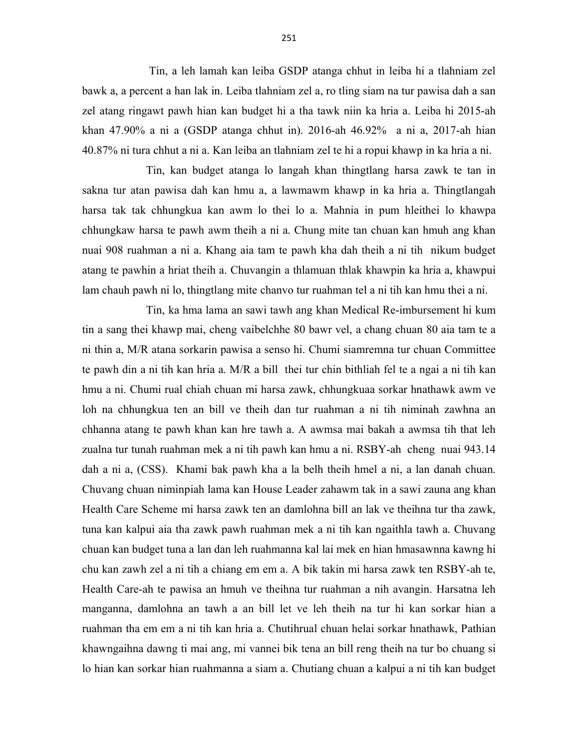Tin, a leh lamah kan leiba GSDP atanga chhut in leiba hi a tlahniam zel bawk a, a percent a han lak in. Leiba tlahniam zel a, ro tling siam na tur pawisa dah a san zel atang ringawt pawh hian kan budget hi a tha tawk niin ka hria a. Leiba hi 2015-ah khan 47.90% a ni a (GSDP atanga chhut in). 2016-ah 46.92% a ni a, 2017-ah hian 40.87% ni tura chhut a ni a. Kan leiba an tlahniam zel te hi a ropui khawp in ka hria a ni.

 Tin, kan budget atanga lo langah khan thingtlang harsa zawk te tan in sakna tur atan pawisa dah kan hmu a, a lawmawm khawp in ka hria a. Thingtlangah harsa tak tak chhungkua kan awm lo thei lo a. Mahnia in pum hleithei lo khawpa chhungkaw harsa te pawh awm theih a ni a. Chung mite tan chuan kan hmuh ang khan nuai 908 ruahman a ni a. Khang aia tam te pawh kha dah theih a ni tih nikum budget atang te pawhin a hriat theih a. Chuvangin a thlamuan thlak khawpin ka hria a, khawpui lam chauh pawh ni lo, thingtlang mite chanvo tur ruahman tel a ni tih kan hmu thei a ni.

 Tin, ka hma lama an sawi tawh ang khan Medical Re-imbursement hi kum tin a sang thei khawp mai, cheng vaibelchhe 80 bawr vel, a chang chuan 80 aia tam te a ni thin a, M/R atana sorkarin pawisa a senso hi. Chumi siamremna tur chuan Committee te pawh din a ni tih kan hria a. M/R a bill thei tur chin bithliah fel te a ngai a ni tih kan hmu a ni. Chumi rual chiah chuan mi harsa zawk, chhungkuaa sorkar hnathawk awm ve loh na chhungkua ten an bill ve theih dan tur ruahman a ni tih niminah zawhna an chhanna atang te pawh khan kan hre tawh a. A awmsa mai bakah a awmsa tih that leh zualna tur tunah ruahman mek a ni tih pawh kan hmu a ni. RSBY-ah cheng nuai 943.14 dah a ni a, (CSS). Khami bak pawh kha a la belh theih hmel a ni, a lan danah chuan. Chuvang chuan niminpiah lama kan House Leader zahawm tak in a sawi zauna ang khan Health Care Scheme mi harsa zawk ten an damlohna bill an lak ve theihna tur tha zawk, tuna kan kalpui aia tha zawk pawh ruahman mek a ni tih kan ngaithla tawh a. Chuvang chuan kan budget tuna a lan dan leh ruahmanna kal lai mek en hian hmasawnna kawng hi chu kan zawh zel a ni tih a chiang em em a. A bik takin mi harsa zawk ten RSBY-ah te, Health Care-ah te pawisa an hmuh ve theihna tur ruahman a nih avangin. Harsatna leh manganna, damlohna an tawh a an bill let ve leh theih na tur hi kan sorkar hian a ruahman tha em em a ni tih kan hria a. Chutihrual chuan helai sorkar hnathawk, Pathian khawngaihna dawng ti mai ang, mi vannei bik tena an bill reng theih na tur bo chuang si lo hian kan sorkar hian ruahmanna a siam a. Chutiang chuan a kalpui a ni tih kan budget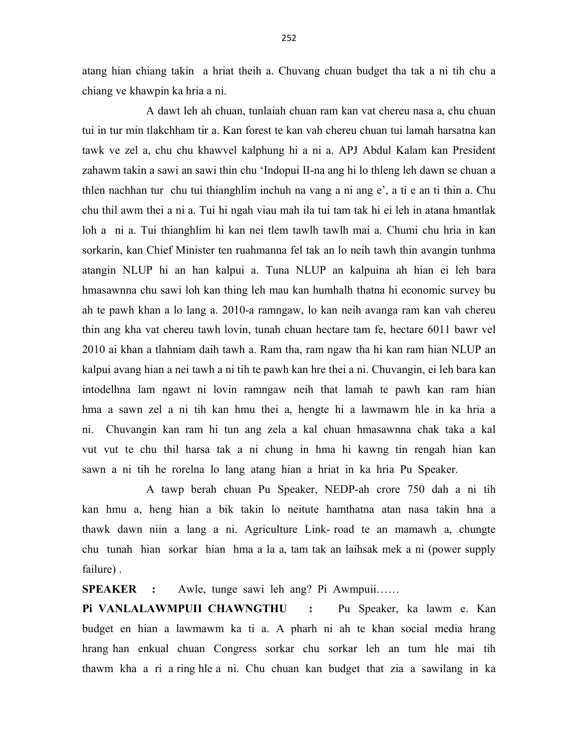atang hian chiang takin a hriat theih a. Chuvang chuan budget tha tak a ni tih chu a chiang ve khawpin ka hria a ni.

 A dawt leh ah chuan, tunlaiah chuan ram kan vat chereu nasa a, chu chuan tui in tur min tlakchham tir a. Kan forest te kan vah chereu chuan tui lamah harsatna kan tawk ve zel a, chu chu khawvel kalphung hi a ni a. APJ Abdul Kalam kan President zahawm takin a sawi an sawi thin chu 'Indopui II-na ang hi lo thleng leh dawn se chuan a thlen nachhan tur chu tui thianghlim inchuh na vang a ni ang e', a ti e an ti thin a. Chu chu thil awm thei a ni a. Tui hi ngah viau mah ila tui tam tak hi ei leh in atana hmantlak loh a ni a. Tui thianghlim hi kan nei tlem tawlh tawlh mai a. Chumi chu hria in kan sorkarin, kan Chief Minister ten ruahmanna fel tak an lo neih tawh thin avangin tunhma atangin NLUP hi an han kalpui a. Tuna NLUP an kalpuina ah hian ei leh bara hmasawnna chu sawi loh kan thing leh mau kan humhalh thatna hi economic survey bu ah te pawh khan a lo lang a. 2010-a ramngaw, lo kan neih avanga ram kan vah chereu thin ang kha vat chereu tawh lovin, tunah chuan hectare tam fe, hectare 6011 bawr vel 2010 ai khan a tlahniam daih tawh a. Ram tha, ram ngaw tha hi kan ram hian NLUP an kalpui avang hian a nei tawh a ni tih te pawh kan hre thei a ni. Chuvangin, ei leh bara kan intodelhna lam ngawt ni lovin ramngaw neih that lamah te pawh kan ram hian hma a sawn zel a ni tih kan hmu thei a, hengte hi a lawmawm hle in ka hria a ni. Chuvangin kan ram hi tun ang zela a kal chuan hmasawnna chak taka a kal vut vut te chu thil harsa tak a ni chung in hma hi kawng tin rengah hian kan sawn a ni tih he rorelna lo lang atang hian a hriat in ka hria Pu Speaker.

 A tawp berah chuan Pu Speaker, NEDP-ah crore 750 dah a ni tih kan hmu a, heng hian a bik takin lo neitute hamthatna atan nasa takin hna a thawk dawn niin a lang a ni. Agriculture Link- road te an mamawh a, chungte chu tunah hian sorkar hian hma a la a, tam tak an laihsak mek a ni (power supply failure) .

SPEAKER : Awle, tunge sawi leh ang? Pi Awmpuii……

Pi VANLALAWMPUII CHAWNGTHU : Pu Speaker, ka lawm e. Kan budget en hian a lawmawm ka ti a. A pharh ni ah te khan social media hrang hrang han enkual chuan Congress sorkar chu sorkar leh an tum hle mai tih thawm kha a ri a ring hle a ni. Chu chuan kan budget that zia a sawilang in ka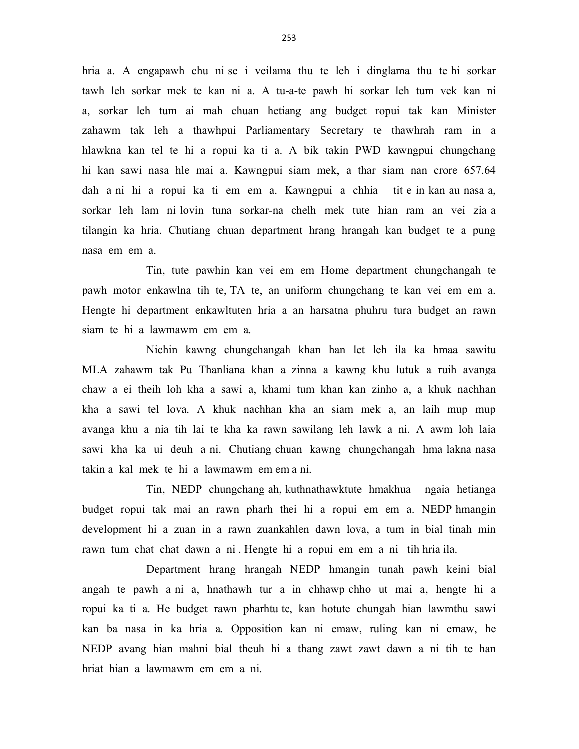hria a. A engapawh chu ni se i veilama thu te leh i dinglama thu te hi sorkar tawh leh sorkar mek te kan ni a. A tu-a-te pawh hi sorkar leh tum vek kan ni a, sorkar leh tum ai mah chuan hetiang ang budget ropui tak kan Minister zahawm tak leh a thawhpui Parliamentary Secretary te thawhrah ram in a hlawkna kan tel te hi a ropui ka ti a. A bik takin PWD kawngpui chungchang hi kan sawi nasa hle mai a. Kawngpui siam mek, a thar siam nan crore 657.64 dah a ni hi a ropui ka ti em em a. Kawngpui a chhia tit e in kan au nasa a, sorkar leh lam ni lovin tuna sorkar-na chelh mek tute hian ram an vei zia a tilangin ka hria. Chutiang chuan department hrang hrangah kan budget te a pung nasa em em a.

 Tin, tute pawhin kan vei em em Home department chungchangah te pawh motor enkawlna tih te, TA te, an uniform chungchang te kan vei em em a. Hengte hi department enkawltuten hria a an harsatna phuhru tura budget an rawn siam te hi a lawmawm em em a.

 Nichin kawng chungchangah khan han let leh ila ka hmaa sawitu MLA zahawm tak Pu Thanliana khan a zinna a kawng khu lutuk a ruih avanga chaw a ei theih loh kha a sawi a, khami tum khan kan zinho a, a khuk nachhan kha a sawi tel lova. A khuk nachhan kha an siam mek a, an laih mup mup avanga khu a nia tih lai te kha ka rawn sawilang leh lawk a ni. A awm loh laia sawi kha ka ui deuh a ni. Chutiang chuan kawng chungchangah hma lakna nasa takin a kal mek te hi a lawmawm em em a ni.

 Tin, NEDP chungchang ah, kuthnathawktute hmakhua ngaia hetianga budget ropui tak mai an rawn pharh thei hi a ropui em em a. NEDP hmangin development hi a zuan in a rawn zuankahlen dawn lova, a tum in bial tinah min rawn tum chat chat dawn a ni . Hengte hi a ropui em em a ni tih hria ila.

 Department hrang hrangah NEDP hmangin tunah pawh keini bial angah te pawh a ni a, hnathawh tur a in chhawp chho ut mai a, hengte hi a ropui ka ti a. He budget rawn pharhtu te, kan hotute chungah hian lawmthu sawi kan ba nasa in ka hria a. Opposition kan ni emaw, ruling kan ni emaw, he NEDP avang hian mahni bial theuh hi a thang zawt zawt dawn a ni tih te han hriat hian a lawmawm em em a ni.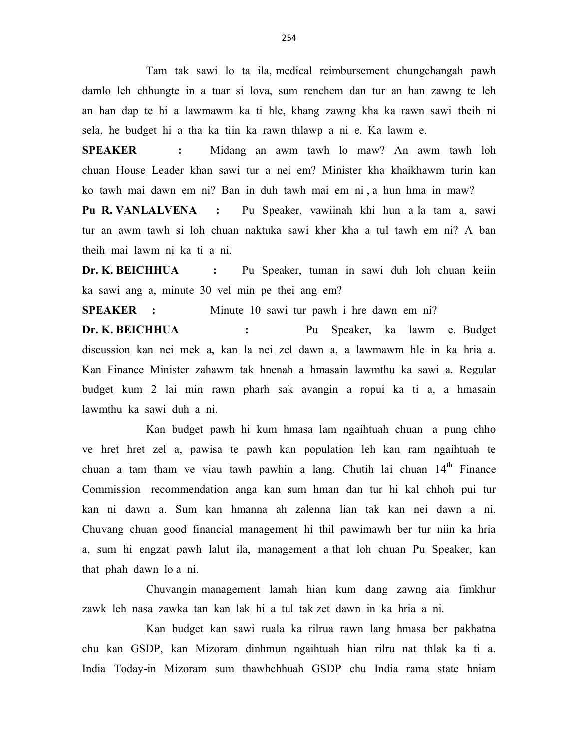Tam tak sawi lo ta ila, medical reimbursement chungchangah pawh damlo leh chhungte in a tuar si lova, sum renchem dan tur an han zawng te leh an han dap te hi a lawmawm ka ti hle, khang zawng kha ka rawn sawi theih ni sela, he budget hi a tha ka tiin ka rawn thlawp a ni e. Ka lawm e.

SPEAKER : Midang an awm tawh lo maw? An awm tawh loh chuan House Leader khan sawi tur a nei em? Minister kha khaikhawm turin kan ko tawh mai dawn em ni? Ban in duh tawh mai em ni , a hun hma in maw?

Pu R. VANLALVENA : Pu Speaker, vawiinah khi hun a la tam a, sawi tur an awm tawh si loh chuan naktuka sawi kher kha a tul tawh em ni? A ban theih mai lawm ni ka ti a ni.

Dr. K. BEICHHUA : Pu Speaker, tuman in sawi duh loh chuan keiin ka sawi ang a, minute 30 vel min pe thei ang em?

SPEAKER : Minute 10 sawi tur pawh i hre dawn em ni?

Dr. K. BEICHHUA : Pu Speaker, ka lawm e. Budget discussion kan nei mek a, kan la nei zel dawn a, a lawmawm hle in ka hria a. Kan Finance Minister zahawm tak hnenah a hmasain lawmthu ka sawi a. Regular budget kum 2 lai min rawn pharh sak avangin a ropui ka ti a, a hmasain lawmthu ka sawi duh a ni.

 Kan budget pawh hi kum hmasa lam ngaihtuah chuan a pung chho ve hret hret zel a, pawisa te pawh kan population leh kan ram ngaihtuah te chuan a tam tham ve viau tawh pawhin a lang. Chutih lai chuan  $14<sup>th</sup>$  Finance Commission recommendation anga kan sum hman dan tur hi kal chhoh pui tur kan ni dawn a. Sum kan hmanna ah zalenna lian tak kan nei dawn a ni. Chuvang chuan good financial management hi thil pawimawh ber tur niin ka hria a, sum hi engzat pawh lalut ila, management a that loh chuan Pu Speaker, kan that phah dawn lo a ni.

 Chuvangin management lamah hian kum dang zawng aia fimkhur zawk leh nasa zawka tan kan lak hi a tul tak zet dawn in ka hria a ni.

 Kan budget kan sawi ruala ka rilrua rawn lang hmasa ber pakhatna chu kan GSDP, kan Mizoram dinhmun ngaihtuah hian rilru nat thlak ka ti a. India Today-in Mizoram sum thawhchhuah GSDP chu India rama state hniam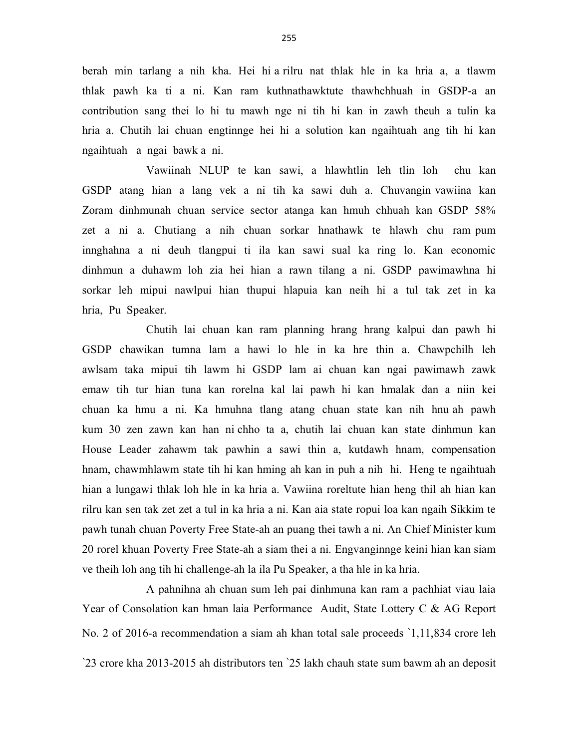berah min tarlang a nih kha. Hei hi a rilru nat thlak hle in ka hria a, a tlawm thlak pawh ka ti a ni. Kan ram kuthnathawktute thawhchhuah in GSDP-a an contribution sang thei lo hi tu mawh nge ni tih hi kan in zawh theuh a tulin ka hria a. Chutih lai chuan engtinnge hei hi a solution kan ngaihtuah ang tih hi kan ngaihtuah a ngai bawk a ni.

 Vawiinah NLUP te kan sawi, a hlawhtlin leh tlin loh chu kan GSDP atang hian a lang vek a ni tih ka sawi duh a. Chuvangin vawiina kan Zoram dinhmunah chuan service sector atanga kan hmuh chhuah kan GSDP 58% zet a ni a. Chutiang a nih chuan sorkar hnathawk te hlawh chu ram pum innghahna a ni deuh tlangpui ti ila kan sawi sual ka ring lo. Kan economic dinhmun a duhawm loh zia hei hian a rawn tilang a ni. GSDP pawimawhna hi sorkar leh mipui nawlpui hian thupui hlapuia kan neih hi a tul tak zet in ka hria, Pu Speaker.

 Chutih lai chuan kan ram planning hrang hrang kalpui dan pawh hi GSDP chawikan tumna lam a hawi lo hle in ka hre thin a. Chawpchilh leh awlsam taka mipui tih lawm hi GSDP lam ai chuan kan ngai pawimawh zawk emaw tih tur hian tuna kan rorelna kal lai pawh hi kan hmalak dan a niin kei chuan ka hmu a ni. Ka hmuhna tlang atang chuan state kan nih hnu ah pawh kum 30 zen zawn kan han ni chho ta a, chutih lai chuan kan state dinhmun kan House Leader zahawm tak pawhin a sawi thin a, kutdawh hnam, compensation hnam, chawmhlawm state tih hi kan hming ah kan in puh a nih hi. Heng te ngaihtuah hian a lungawi thlak loh hle in ka hria a. Vawiina roreltute hian heng thil ah hian kan rilru kan sen tak zet zet a tul in ka hria a ni. Kan aia state ropui loa kan ngaih Sikkim te pawh tunah chuan Poverty Free State-ah an puang thei tawh a ni. An Chief Minister kum 20 rorel khuan Poverty Free State-ah a siam thei a ni. Engvanginnge keini hian kan siam ve theih loh ang tih hi challenge-ah la ila Pu Speaker, a tha hle in ka hria.

 A pahnihna ah chuan sum leh pai dinhmuna kan ram a pachhiat viau laia Year of Consolation kan hman laia Performance Audit, State Lottery C & AG Report No. 2 of 2016-a recommendation a siam ah khan total sale proceeds `1,11,834 crore leh `23 crore kha 2013-2015 ah distributors ten `25 lakh chauh state sum bawm ah an deposit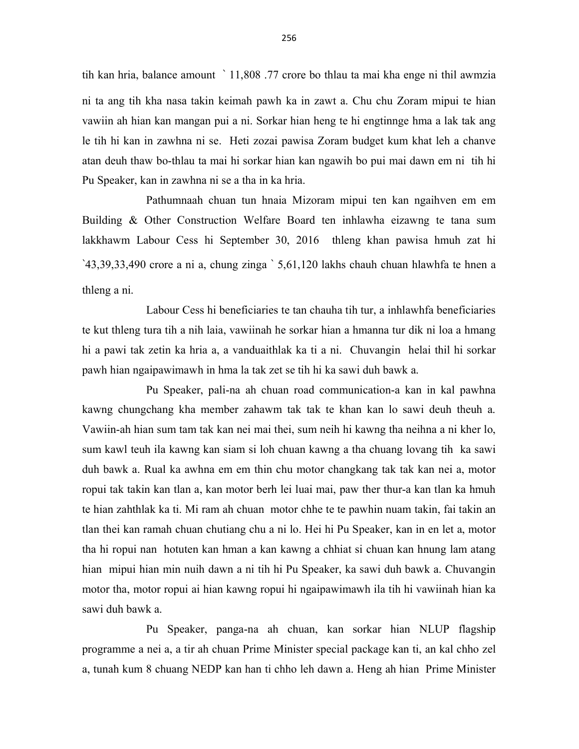tih kan hria, balance amount ` 11,808 .77 crore bo thlau ta mai kha enge ni thil awmzia ni ta ang tih kha nasa takin keimah pawh ka in zawt a. Chu chu Zoram mipui te hian vawiin ah hian kan mangan pui a ni. Sorkar hian heng te hi engtinnge hma a lak tak ang le tih hi kan in zawhna ni se. Heti zozai pawisa Zoram budget kum khat leh a chanve atan deuh thaw bo-thlau ta mai hi sorkar hian kan ngawih bo pui mai dawn em ni tih hi Pu Speaker, kan in zawhna ni se a tha in ka hria.

 Pathumnaah chuan tun hnaia Mizoram mipui ten kan ngaihven em em Building & Other Construction Welfare Board ten inhlawha eizawng te tana sum lakkhawm Labour Cess hi September 30, 2016 thleng khan pawisa hmuh zat hi `43,39,33,490 crore a ni a, chung zinga ` 5,61,120 lakhs chauh chuan hlawhfa te hnen a thleng a ni.

 Labour Cess hi beneficiaries te tan chauha tih tur, a inhlawhfa beneficiaries te kut thleng tura tih a nih laia, vawiinah he sorkar hian a hmanna tur dik ni loa a hmang hi a pawi tak zetin ka hria a, a vanduaithlak ka ti a ni. Chuvangin helai thil hi sorkar pawh hian ngaipawimawh in hma la tak zet se tih hi ka sawi duh bawk a.

 Pu Speaker, pali-na ah chuan road communication-a kan in kal pawhna kawng chungchang kha member zahawm tak tak te khan kan lo sawi deuh theuh a. Vawiin-ah hian sum tam tak kan nei mai thei, sum neih hi kawng tha neihna a ni kher lo, sum kawl teuh ila kawng kan siam si loh chuan kawng a tha chuang lovang tih ka sawi duh bawk a. Rual ka awhna em em thin chu motor changkang tak tak kan nei a, motor ropui tak takin kan tlan a, kan motor berh lei luai mai, paw ther thur-a kan tlan ka hmuh te hian zahthlak ka ti. Mi ram ah chuan motor chhe te te pawhin nuam takin, fai takin an tlan thei kan ramah chuan chutiang chu a ni lo. Hei hi Pu Speaker, kan in en let a, motor tha hi ropui nan hotuten kan hman a kan kawng a chhiat si chuan kan hnung lam atang hian mipui hian min nuih dawn a ni tih hi Pu Speaker, ka sawi duh bawk a. Chuvangin motor tha, motor ropui ai hian kawng ropui hi ngaipawimawh ila tih hi vawiinah hian ka sawi duh bawk a.

 Pu Speaker, panga-na ah chuan, kan sorkar hian NLUP flagship programme a nei a, a tir ah chuan Prime Minister special package kan ti, an kal chho zel a, tunah kum 8 chuang NEDP kan han ti chho leh dawn a. Heng ah hian Prime Minister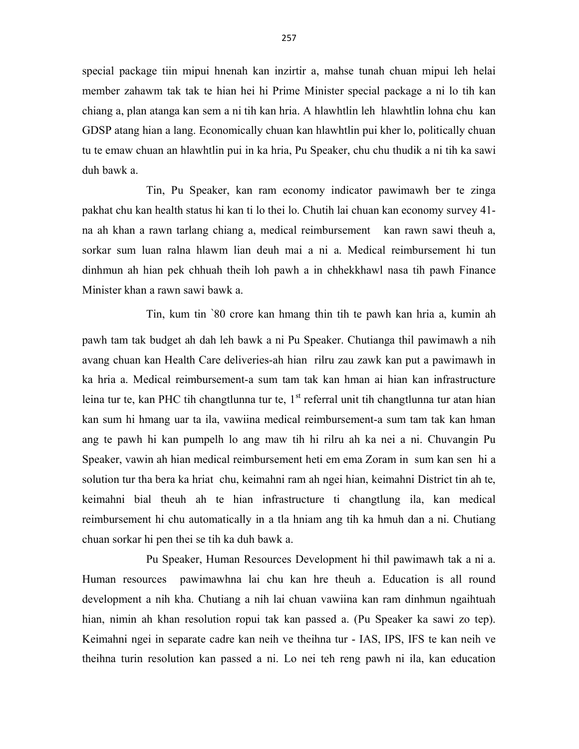special package tiin mipui hnenah kan inzirtir a, mahse tunah chuan mipui leh helai member zahawm tak tak te hian hei hi Prime Minister special package a ni lo tih kan chiang a, plan atanga kan sem a ni tih kan hria. A hlawhtlin leh hlawhtlin lohna chu kan GDSP atang hian a lang. Economically chuan kan hlawhtlin pui kher lo, politically chuan tu te emaw chuan an hlawhtlin pui in ka hria, Pu Speaker, chu chu thudik a ni tih ka sawi duh bawk a.

 Tin, Pu Speaker, kan ram economy indicator pawimawh ber te zinga pakhat chu kan health status hi kan ti lo thei lo. Chutih lai chuan kan economy survey 41 na ah khan a rawn tarlang chiang a, medical reimbursement kan rawn sawi theuh a, sorkar sum luan ralna hlawm lian deuh mai a ni a. Medical reimbursement hi tun dinhmun ah hian pek chhuah theih loh pawh a in chhekkhawl nasa tih pawh Finance Minister khan a rawn sawi bawk a.

 Tin, kum tin `80 crore kan hmang thin tih te pawh kan hria a, kumin ah pawh tam tak budget ah dah leh bawk a ni Pu Speaker. Chutianga thil pawimawh a nih avang chuan kan Health Care deliveries-ah hian rilru zau zawk kan put a pawimawh in ka hria a. Medical reimbursement-a sum tam tak kan hman ai hian kan infrastructure leina tur te, kan PHC tih changtlunna tur te,  $1<sup>st</sup>$  referral unit tih changtlunna tur atan hian kan sum hi hmang uar ta ila, vawiina medical reimbursement-a sum tam tak kan hman ang te pawh hi kan pumpelh lo ang maw tih hi rilru ah ka nei a ni. Chuvangin Pu Speaker, vawin ah hian medical reimbursement heti em ema Zoram in sum kan sen hi a solution tur tha bera ka hriat chu, keimahni ram ah ngei hian, keimahni District tin ah te, keimahni bial theuh ah te hian infrastructure ti changtlung ila, kan medical reimbursement hi chu automatically in a tla hniam ang tih ka hmuh dan a ni. Chutiang chuan sorkar hi pen thei se tih ka duh bawk a.

 Pu Speaker, Human Resources Development hi thil pawimawh tak a ni a. Human resources pawimawhna lai chu kan hre theuh a. Education is all round development a nih kha. Chutiang a nih lai chuan vawiina kan ram dinhmun ngaihtuah hian, nimin ah khan resolution ropui tak kan passed a. (Pu Speaker ka sawi zo tep). Keimahni ngei in separate cadre kan neih ve theihna tur - IAS, IPS, IFS te kan neih ve theihna turin resolution kan passed a ni. Lo nei teh reng pawh ni ila, kan education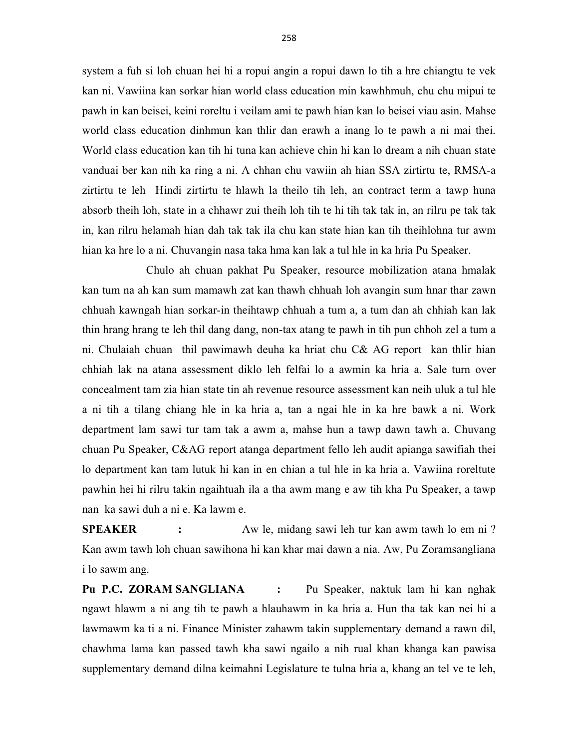system a fuh si loh chuan hei hi a ropui angin a ropui dawn lo tih a hre chiangtu te vek kan ni. Vawiina kan sorkar hian world class education min kawhhmuh, chu chu mipui te pawh in kan beisei, keini roreltu i veilam ami te pawh hian kan lo beisei viau asin. Mahse world class education dinhmun kan thlir dan erawh a inang lo te pawh a ni mai thei. World class education kan tih hi tuna kan achieve chin hi kan lo dream a nih chuan state vanduai ber kan nih ka ring a ni. A chhan chu vawiin ah hian SSA zirtirtu te, RMSA-a zirtirtu te leh Hindi zirtirtu te hlawh la theilo tih leh, an contract term a tawp huna absorb theih loh, state in a chhawr zui theih loh tih te hi tih tak tak in, an rilru pe tak tak in, kan rilru helamah hian dah tak tak ila chu kan state hian kan tih theihlohna tur awm hian ka hre lo a ni. Chuvangin nasa taka hma kan lak a tul hle in ka hria Pu Speaker.

 Chulo ah chuan pakhat Pu Speaker, resource mobilization atana hmalak kan tum na ah kan sum mamawh zat kan thawh chhuah loh avangin sum hnar thar zawn chhuah kawngah hian sorkar-in theihtawp chhuah a tum a, a tum dan ah chhiah kan lak thin hrang hrang te leh thil dang dang, non-tax atang te pawh in tih pun chhoh zel a tum a ni. Chulaiah chuan thil pawimawh deuha ka hriat chu C& AG report kan thlir hian chhiah lak na atana assessment diklo leh felfai lo a awmin ka hria a. Sale turn over concealment tam zia hian state tin ah revenue resource assessment kan neih uluk a tul hle a ni tih a tilang chiang hle in ka hria a, tan a ngai hle in ka hre bawk a ni. Work department lam sawi tur tam tak a awm a, mahse hun a tawp dawn tawh a. Chuvang chuan Pu Speaker, C&AG report atanga department fello leh audit apianga sawifiah thei lo department kan tam lutuk hi kan in en chian a tul hle in ka hria a. Vawiina roreltute pawhin hei hi rilru takin ngaihtuah ila a tha awm mang e aw tih kha Pu Speaker, a tawp nan ka sawi duh a ni e. Ka lawm e.

SPEAKER : Aw le, midang sawi leh tur kan awm tawh lo em ni ? Kan awm tawh loh chuan sawihona hi kan khar mai dawn a nia. Aw, Pu Zoramsangliana i lo sawm ang.

Pu P.C. ZORAM SANGLIANA : Pu Speaker, naktuk lam hi kan nghak ngawt hlawm a ni ang tih te pawh a hlauhawm in ka hria a. Hun tha tak kan nei hi a lawmawm ka ti a ni. Finance Minister zahawm takin supplementary demand a rawn dil, chawhma lama kan passed tawh kha sawi ngailo a nih rual khan khanga kan pawisa supplementary demand dilna keimahni Legislature te tulna hria a, khang an tel ve te leh,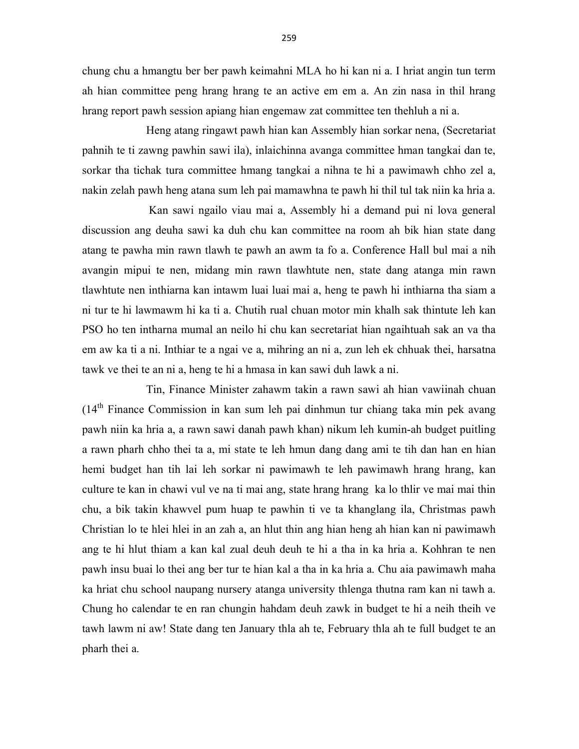chung chu a hmangtu ber ber pawh keimahni MLA ho hi kan ni a. I hriat angin tun term ah hian committee peng hrang hrang te an active em em a. An zin nasa in thil hrang hrang report pawh session apiang hian engemaw zat committee ten thehluh a ni a.

 Heng atang ringawt pawh hian kan Assembly hian sorkar nena, (Secretariat pahnih te ti zawng pawhin sawi ila), inlaichinna avanga committee hman tangkai dan te, sorkar tha tichak tura committee hmang tangkai a nihna te hi a pawimawh chho zel a, nakin zelah pawh heng atana sum leh pai mamawhna te pawh hi thil tul tak niin ka hria a.

 Kan sawi ngailo viau mai a, Assembly hi a demand pui ni lova general discussion ang deuha sawi ka duh chu kan committee na room ah bik hian state dang atang te pawha min rawn tlawh te pawh an awm ta fo a. Conference Hall bul mai a nih avangin mipui te nen, midang min rawn tlawhtute nen, state dang atanga min rawn tlawhtute nen inthiarna kan intawm luai luai mai a, heng te pawh hi inthiarna tha siam a ni tur te hi lawmawm hi ka ti a. Chutih rual chuan motor min khalh sak thintute leh kan PSO ho ten intharna mumal an neilo hi chu kan secretariat hian ngaihtuah sak an va tha em aw ka ti a ni. Inthiar te a ngai ve a, mihring an ni a, zun leh ek chhuak thei, harsatna tawk ve thei te an ni a, heng te hi a hmasa in kan sawi duh lawk a ni.

 Tin, Finance Minister zahawm takin a rawn sawi ah hian vawiinah chuan (14th Finance Commission in kan sum leh pai dinhmun tur chiang taka min pek avang pawh niin ka hria a, a rawn sawi danah pawh khan) nikum leh kumin-ah budget puitling a rawn pharh chho thei ta a, mi state te leh hmun dang dang ami te tih dan han en hian hemi budget han tih lai leh sorkar ni pawimawh te leh pawimawh hrang hrang, kan culture te kan in chawi vul ve na ti mai ang, state hrang hrang ka lo thlir ve mai mai thin chu, a bik takin khawvel pum huap te pawhin ti ve ta khanglang ila, Christmas pawh Christian lo te hlei hlei in an zah a, an hlut thin ang hian heng ah hian kan ni pawimawh ang te hi hlut thiam a kan kal zual deuh deuh te hi a tha in ka hria a. Kohhran te nen pawh insu buai lo thei ang ber tur te hian kal a tha in ka hria a. Chu aia pawimawh maha ka hriat chu school naupang nursery atanga university thlenga thutna ram kan ni tawh a. Chung ho calendar te en ran chungin hahdam deuh zawk in budget te hi a neih theih ve tawh lawm ni aw! State dang ten January thla ah te, February thla ah te full budget te an pharh thei a.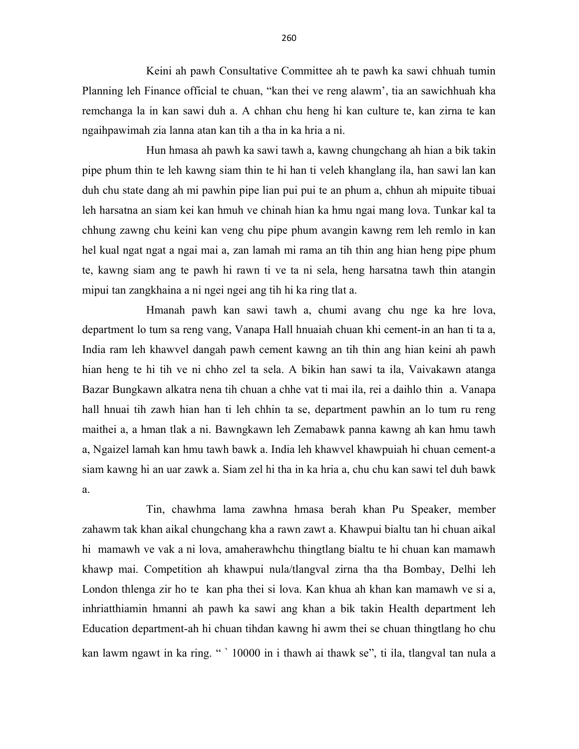Keini ah pawh Consultative Committee ah te pawh ka sawi chhuah tumin Planning leh Finance official te chuan, "kan thei ve reng alawm', tia an sawichhuah kha remchanga la in kan sawi duh a. A chhan chu heng hi kan culture te, kan zirna te kan ngaihpawimah zia lanna atan kan tih a tha in ka hria a ni.

 Hun hmasa ah pawh ka sawi tawh a, kawng chungchang ah hian a bik takin pipe phum thin te leh kawng siam thin te hi han ti veleh khanglang ila, han sawi lan kan duh chu state dang ah mi pawhin pipe lian pui pui te an phum a, chhun ah mipuite tibuai leh harsatna an siam kei kan hmuh ve chinah hian ka hmu ngai mang lova. Tunkar kal ta chhung zawng chu keini kan veng chu pipe phum avangin kawng rem leh remlo in kan hel kual ngat ngat a ngai mai a, zan lamah mi rama an tih thin ang hian heng pipe phum te, kawng siam ang te pawh hi rawn ti ve ta ni sela, heng harsatna tawh thin atangin mipui tan zangkhaina a ni ngei ngei ang tih hi ka ring tlat a.

 Hmanah pawh kan sawi tawh a, chumi avang chu nge ka hre lova, department lo tum sa reng vang, Vanapa Hall hnuaiah chuan khi cement-in an han ti ta a, India ram leh khawvel dangah pawh cement kawng an tih thin ang hian keini ah pawh hian heng te hi tih ve ni chho zel ta sela. A bikin han sawi ta ila, Vaivakawn atanga Bazar Bungkawn alkatra nena tih chuan a chhe vat ti mai ila, rei a daihlo thin a. Vanapa hall hnuai tih zawh hian han ti leh chhin ta se, department pawhin an lo tum ru reng maithei a, a hman tlak a ni. Bawngkawn leh Zemabawk panna kawng ah kan hmu tawh a, Ngaizel lamah kan hmu tawh bawk a. India leh khawvel khawpuiah hi chuan cement-a siam kawng hi an uar zawk a. Siam zel hi tha in ka hria a, chu chu kan sawi tel duh bawk a.

 Tin, chawhma lama zawhna hmasa berah khan Pu Speaker, member zahawm tak khan aikal chungchang kha a rawn zawt a. Khawpui bialtu tan hi chuan aikal hi mamawh ve vak a ni lova, amaherawhchu thingtlang bialtu te hi chuan kan mamawh khawp mai. Competition ah khawpui nula/tlangval zirna tha tha Bombay, Delhi leh London thlenga zir ho te kan pha thei si lova. Kan khua ah khan kan mamawh ve si a, inhriatthiamin hmanni ah pawh ka sawi ang khan a bik takin Health department leh Education department-ah hi chuan tihdan kawng hi awm thei se chuan thingtlang ho chu kan lawm ngawt in ka ring. " ` 10000 in i thawh ai thawk se", ti ila, tlangval tan nula a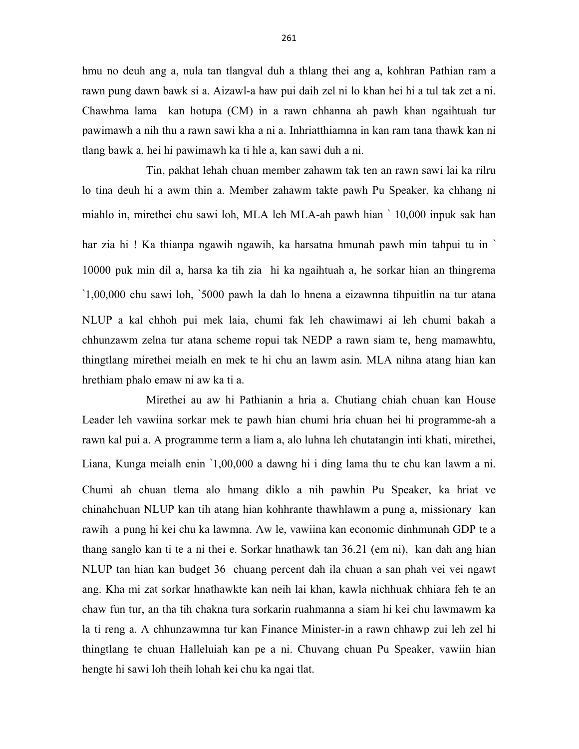hmu no deuh ang a, nula tan tlangval duh a thlang thei ang a, kohhran Pathian ram a rawn pung dawn bawk si a. Aizawl-a haw pui daih zel ni lo khan hei hi a tul tak zet a ni. Chawhma lama kan hotupa (CM) in a rawn chhanna ah pawh khan ngaihtuah tur pawimawh a nih thu a rawn sawi kha a ni a. Inhriatthiamna in kan ram tana thawk kan ni tlang bawk a, hei hi pawimawh ka ti hle a, kan sawi duh a ni.

 Tin, pakhat lehah chuan member zahawm tak ten an rawn sawi lai ka rilru lo tina deuh hi a awm thin a. Member zahawm takte pawh Pu Speaker, ka chhang ni miahlo in, mirethei chu sawi loh, MLA leh MLA-ah pawh hian ` 10,000 inpuk sak han har zia hi ! Ka thianpa ngawih ngawih, ka harsatna hmunah pawh min tahpui tu in ` 10000 puk min dil a, harsa ka tih zia hi ka ngaihtuah a, he sorkar hian an thingrema `1,00,000 chu sawi loh, `5000 pawh la dah lo hnena a eizawnna tihpuitlin na tur atana NLUP a kal chhoh pui mek laia, chumi fak leh chawimawi ai leh chumi bakah a chhunzawm zelna tur atana scheme ropui tak NEDP a rawn siam te, heng mamawhtu, thingtlang mirethei meialh en mek te hi chu an lawm asin. MLA nihna atang hian kan hrethiam phalo emaw ni aw ka ti a.

 Mirethei au aw hi Pathianin a hria a. Chutiang chiah chuan kan House Leader leh vawiina sorkar mek te pawh hian chumi hria chuan hei hi programme-ah a rawn kal pui a. A programme term a liam a, alo luhna leh chutatangin inti khati, mirethei, Liana, Kunga meialh enin `1,00,000 a dawng hi i ding lama thu te chu kan lawm a ni. Chumi ah chuan tlema alo hmang diklo a nih pawhin Pu Speaker, ka hriat ve chinahchuan NLUP kan tih atang hian kohhrante thawhlawm a pung a, missionary kan rawih a pung hi kei chu ka lawmna. Aw le, vawiina kan economic dinhmunah GDP te a thang sanglo kan ti te a ni thei e. Sorkar hnathawk tan 36.21 (em ni), kan dah ang hian NLUP tan hian kan budget 36 chuang percent dah ila chuan a san phah vei vei ngawt ang. Kha mi zat sorkar hnathawkte kan neih lai khan, kawla nichhuak chhiara feh te an chaw fun tur, an tha tih chakna tura sorkarin ruahmanna a siam hi kei chu lawmawm ka la ti reng a. A chhunzawmna tur kan Finance Minister-in a rawn chhawp zui leh zel hi thingtlang te chuan Halleluiah kan pe a ni. Chuvang chuan Pu Speaker, vawiin hian hengte hi sawi loh theih lohah kei chu ka ngai tlat.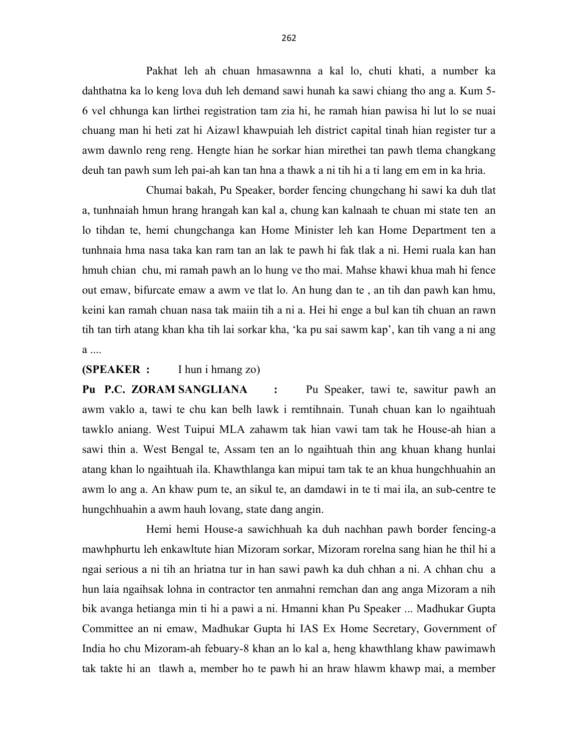Pakhat leh ah chuan hmasawnna a kal lo, chuti khati, a number ka dahthatna ka lo keng lova duh leh demand sawi hunah ka sawi chiang tho ang a. Kum 5- 6 vel chhunga kan lirthei registration tam zia hi, he ramah hian pawisa hi lut lo se nuai chuang man hi heti zat hi Aizawl khawpuiah leh district capital tinah hian register tur a awm dawnlo reng reng. Hengte hian he sorkar hian mirethei tan pawh tlema changkang deuh tan pawh sum leh pai-ah kan tan hna a thawk a ni tih hi a ti lang em em in ka hria.

 Chumai bakah, Pu Speaker, border fencing chungchang hi sawi ka duh tlat a, tunhnaiah hmun hrang hrangah kan kal a, chung kan kalnaah te chuan mi state ten an lo tihdan te, hemi chungchanga kan Home Minister leh kan Home Department ten a tunhnaia hma nasa taka kan ram tan an lak te pawh hi fak tlak a ni. Hemi ruala kan han hmuh chian chu, mi ramah pawh an lo hung ve tho mai. Mahse khawi khua mah hi fence out emaw, bifurcate emaw a awm ve tlat lo. An hung dan te , an tih dan pawh kan hmu, keini kan ramah chuan nasa tak maiin tih a ni a. Hei hi enge a bul kan tih chuan an rawn tih tan tirh atang khan kha tih lai sorkar kha, 'ka pu sai sawm kap', kan tih vang a ni ang a ....

(SPEAKER : I hun i hmang zo)

Pu P.C. ZORAM SANGLIANA : Pu Speaker, tawi te, sawitur pawh an awm vaklo a, tawi te chu kan belh lawk i remtihnain. Tunah chuan kan lo ngaihtuah tawklo aniang. West Tuipui MLA zahawm tak hian vawi tam tak he House-ah hian a sawi thin a. West Bengal te, Assam ten an lo ngaihtuah thin ang khuan khang hunlai atang khan lo ngaihtuah ila. Khawthlanga kan mipui tam tak te an khua hungchhuahin an awm lo ang a. An khaw pum te, an sikul te, an damdawi in te ti mai ila, an sub-centre te hungchhuahin a awm hauh lovang, state dang angin.

 Hemi hemi House-a sawichhuah ka duh nachhan pawh border fencing-a mawhphurtu leh enkawltute hian Mizoram sorkar, Mizoram rorelna sang hian he thil hi a ngai serious a ni tih an hriatna tur in han sawi pawh ka duh chhan a ni. A chhan chu a hun laia ngaihsak lohna in contractor ten anmahni remchan dan ang anga Mizoram a nih bik avanga hetianga min ti hi a pawi a ni. Hmanni khan Pu Speaker ... Madhukar Gupta Committee an ni emaw, Madhukar Gupta hi IAS Ex Home Secretary, Government of India ho chu Mizoram-ah febuary-8 khan an lo kal a, heng khawthlang khaw pawimawh tak takte hi an tlawh a, member ho te pawh hi an hraw hlawm khawp mai, a member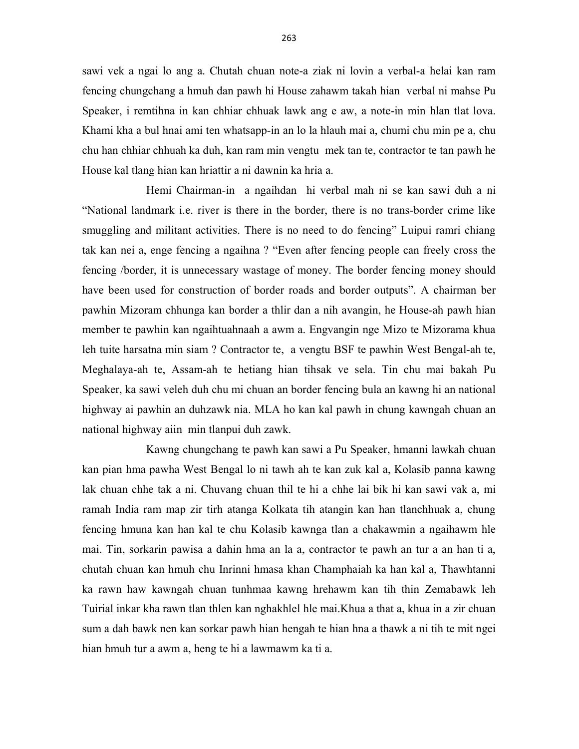sawi vek a ngai lo ang a. Chutah chuan note-a ziak ni lovin a verbal-a helai kan ram fencing chungchang a hmuh dan pawh hi House zahawm takah hian verbal ni mahse Pu Speaker, i remtihna in kan chhiar chhuak lawk ang e aw, a note-in min hlan tlat lova. Khami kha a bul hnai ami ten whatsapp-in an lo la hlauh mai a, chumi chu min pe a, chu chu han chhiar chhuah ka duh, kan ram min vengtu mek tan te, contractor te tan pawh he House kal tlang hian kan hriattir a ni dawnin ka hria a.

 Hemi Chairman-in a ngaihdan hi verbal mah ni se kan sawi duh a ni "National landmark i.e. river is there in the border, there is no trans-border crime like smuggling and militant activities. There is no need to do fencing" Luipui ramri chiang tak kan nei a, enge fencing a ngaihna ? "Even after fencing people can freely cross the fencing /border, it is unnecessary wastage of money. The border fencing money should have been used for construction of border roads and border outputs". A chairman ber pawhin Mizoram chhunga kan border a thlir dan a nih avangin, he House-ah pawh hian member te pawhin kan ngaihtuahnaah a awm a. Engvangin nge Mizo te Mizorama khua leh tuite harsatna min siam ? Contractor te, a vengtu BSF te pawhin West Bengal-ah te, Meghalaya-ah te, Assam-ah te hetiang hian tihsak ve sela. Tin chu mai bakah Pu Speaker, ka sawi veleh duh chu mi chuan an border fencing bula an kawng hi an national highway ai pawhin an duhzawk nia. MLA ho kan kal pawh in chung kawngah chuan an national highway aiin min tlanpui duh zawk.

 Kawng chungchang te pawh kan sawi a Pu Speaker, hmanni lawkah chuan kan pian hma pawha West Bengal lo ni tawh ah te kan zuk kal a, Kolasib panna kawng lak chuan chhe tak a ni. Chuvang chuan thil te hi a chhe lai bik hi kan sawi vak a, mi ramah India ram map zir tirh atanga Kolkata tih atangin kan han tlanchhuak a, chung fencing hmuna kan han kal te chu Kolasib kawnga tlan a chakawmin a ngaihawm hle mai. Tin, sorkarin pawisa a dahin hma an la a, contractor te pawh an tur a an han ti a, chutah chuan kan hmuh chu Inrinni hmasa khan Champhaiah ka han kal a, Thawhtanni ka rawn haw kawngah chuan tunhmaa kawng hrehawm kan tih thin Zemabawk leh Tuirial inkar kha rawn tlan thlen kan nghakhlel hle mai.Khua a that a, khua in a zir chuan sum a dah bawk nen kan sorkar pawh hian hengah te hian hna a thawk a ni tih te mit ngei hian hmuh tur a awm a, heng te hi a lawmawm ka ti a.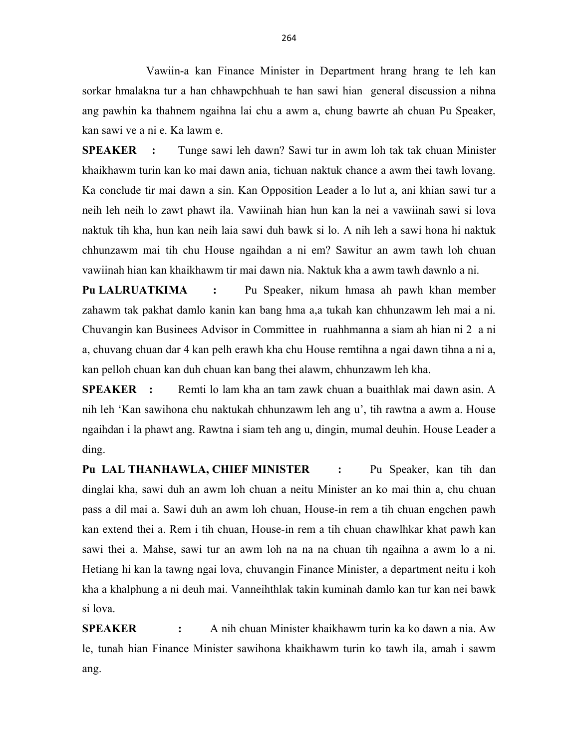Vawiin-a kan Finance Minister in Department hrang hrang te leh kan sorkar hmalakna tur a han chhawpchhuah te han sawi hian general discussion a nihna ang pawhin ka thahnem ngaihna lai chu a awm a, chung bawrte ah chuan Pu Speaker, kan sawi ve a ni e. Ka lawm e.

SPEAKER : Tunge sawi leh dawn? Sawi tur in awm loh tak tak chuan Minister khaikhawm turin kan ko mai dawn ania, tichuan naktuk chance a awm thei tawh lovang. Ka conclude tir mai dawn a sin. Kan Opposition Leader a lo lut a, ani khian sawi tur a neih leh neih lo zawt phawt ila. Vawiinah hian hun kan la nei a vawiinah sawi si lova naktuk tih kha, hun kan neih laia sawi duh bawk si lo. A nih leh a sawi hona hi naktuk chhunzawm mai tih chu House ngaihdan a ni em? Sawitur an awm tawh loh chuan vawiinah hian kan khaikhawm tir mai dawn nia. Naktuk kha a awm tawh dawnlo a ni.

Pu LALRUATKIMA : Pu Speaker, nikum hmasa ah pawh khan member zahawm tak pakhat damlo kanin kan bang hma a,a tukah kan chhunzawm leh mai a ni. Chuvangin kan Businees Advisor in Committee in ruahhmanna a siam ah hian ni 2 a ni a, chuvang chuan dar 4 kan pelh erawh kha chu House remtihna a ngai dawn tihna a ni a, kan pelloh chuan kan duh chuan kan bang thei alawm, chhunzawm leh kha.

SPEAKER : Remti lo lam kha an tam zawk chuan a buaithlak mai dawn asin. A nih leh 'Kan sawihona chu naktukah chhunzawm leh ang u', tih rawtna a awm a. House ngaihdan i la phawt ang. Rawtna i siam teh ang u, dingin, mumal deuhin. House Leader a ding.

Pu LAL THANHAWLA, CHIEF MINISTER : Pu Speaker, kan tih dan dinglai kha, sawi duh an awm loh chuan a neitu Minister an ko mai thin a, chu chuan pass a dil mai a. Sawi duh an awm loh chuan, House-in rem a tih chuan engchen pawh kan extend thei a. Rem i tih chuan, House-in rem a tih chuan chawlhkar khat pawh kan sawi thei a. Mahse, sawi tur an awm loh na na na chuan tih ngaihna a awm lo a ni. Hetiang hi kan la tawng ngai lova, chuvangin Finance Minister, a department neitu i koh kha a khalphung a ni deuh mai. Vanneihthlak takin kuminah damlo kan tur kan nei bawk si lova.

SPEAKER : A nih chuan Minister khaikhawm turin ka ko dawn a nia. Aw le, tunah hian Finance Minister sawihona khaikhawm turin ko tawh ila, amah i sawm ang.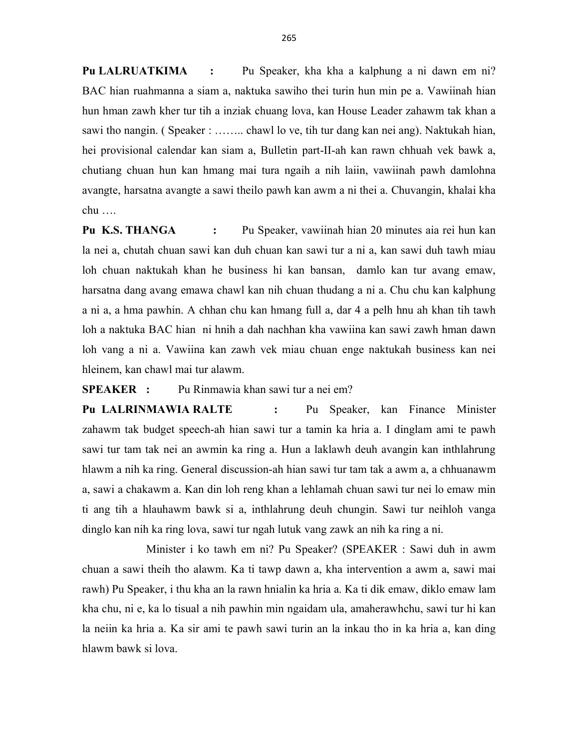Pu LALRUATKIMA : Pu Speaker, kha kha a kalphung a ni dawn em ni? BAC hian ruahmanna a siam a, naktuka sawiho thei turin hun min pe a. Vawiinah hian hun hman zawh kher tur tih a inziak chuang lova, kan House Leader zahawm tak khan a sawi tho nangin. ( Speaker : …….. chawl lo ve, tih tur dang kan nei ang). Naktukah hian, hei provisional calendar kan siam a, Bulletin part-II-ah kan rawn chhuah vek bawk a, chutiang chuan hun kan hmang mai tura ngaih a nih laiin, vawiinah pawh damlohna avangte, harsatna avangte a sawi theilo pawh kan awm a ni thei a. Chuvangin, khalai kha chu ….

Pu K.S. THANGA : Pu Speaker, vawiinah hian 20 minutes aia rei hun kan la nei a, chutah chuan sawi kan duh chuan kan sawi tur a ni a, kan sawi duh tawh miau loh chuan naktukah khan he business hi kan bansan, damlo kan tur avang emaw, harsatna dang avang emawa chawl kan nih chuan thudang a ni a. Chu chu kan kalphung a ni a, a hma pawhin. A chhan chu kan hmang full a, dar 4 a pelh hnu ah khan tih tawh loh a naktuka BAC hian ni hnih a dah nachhan kha vawiina kan sawi zawh hman dawn loh vang a ni a. Vawiina kan zawh vek miau chuan enge naktukah business kan nei hleinem, kan chawl mai tur alawm.

## SPEAKER : Pu Rinmawia khan sawi tur a nei em?

Pu LALRINMAWIA RALTE : Pu Speaker, kan Finance Minister zahawm tak budget speech-ah hian sawi tur a tamin ka hria a. I dinglam ami te pawh sawi tur tam tak nei an awmin ka ring a. Hun a laklawh deuh avangin kan inthlahrung hlawm a nih ka ring. General discussion-ah hian sawi tur tam tak a awm a, a chhuanawm a, sawi a chakawm a. Kan din loh reng khan a lehlamah chuan sawi tur nei lo emaw min ti ang tih a hlauhawm bawk si a, inthlahrung deuh chungin. Sawi tur neihloh vanga dinglo kan nih ka ring lova, sawi tur ngah lutuk vang zawk an nih ka ring a ni.

 Minister i ko tawh em ni? Pu Speaker? (SPEAKER : Sawi duh in awm chuan a sawi theih tho alawm. Ka ti tawp dawn a, kha intervention a awm a, sawi mai rawh) Pu Speaker, i thu kha an la rawn hnialin ka hria a. Ka ti dik emaw, diklo emaw lam kha chu, ni e, ka lo tisual a nih pawhin min ngaidam ula, amaherawhchu, sawi tur hi kan la neiin ka hria a. Ka sir ami te pawh sawi turin an la inkau tho in ka hria a, kan ding hlawm bawk si lova.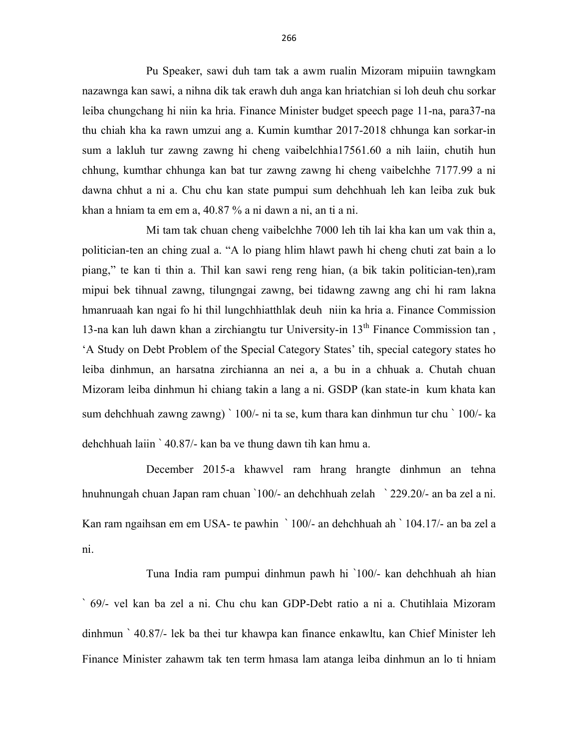Pu Speaker, sawi duh tam tak a awm rualin Mizoram mipuiin tawngkam nazawnga kan sawi, a nihna dik tak erawh duh anga kan hriatchian si loh deuh chu sorkar leiba chungchang hi niin ka hria. Finance Minister budget speech page 11-na, para37-na thu chiah kha ka rawn umzui ang a. Kumin kumthar 2017-2018 chhunga kan sorkar-in sum a lakluh tur zawng zawng hi cheng vaibelchhia17561.60 a nih laiin, chutih hun chhung, kumthar chhunga kan bat tur zawng zawng hi cheng vaibelchhe 7177.99 a ni dawna chhut a ni a. Chu chu kan state pumpui sum dehchhuah leh kan leiba zuk buk khan a hniam ta em em a, 40.87 % a ni dawn a ni, an ti a ni.

 Mi tam tak chuan cheng vaibelchhe 7000 leh tih lai kha kan um vak thin a, politician-ten an ching zual a. "A lo piang hlim hlawt pawh hi cheng chuti zat bain a lo piang," te kan ti thin a. Thil kan sawi reng reng hian, (a bik takin politician-ten),ram mipui bek tihnual zawng, tilungngai zawng, bei tidawng zawng ang chi hi ram lakna hmanruaah kan ngai fo hi thil lungchhiatthlak deuh niin ka hria a. Finance Commission 13-na kan luh dawn khan a zirchiangtu tur University-in  $13<sup>th</sup>$  Finance Commission tan, 'A Study on Debt Problem of the Special Category States' tih, special category states ho leiba dinhmun, an harsatna zirchianna an nei a, a bu in a chhuak a. Chutah chuan Mizoram leiba dinhmun hi chiang takin a lang a ni. GSDP (kan state-in kum khata kan sum dehchhuah zawng zawng) ` 100/- ni ta se, kum thara kan dinhmun tur chu ` 100/- ka dehchhuah laiin ` 40.87/- kan ba ve thung dawn tih kan hmu a.

December 2015-a khawvel ram hrang hrangte dinhmun an tehna hnuhnungah chuan Japan ram chuan `100/- an dehchhuah zelah ` 229.20/- an ba zel a ni. Kan ram ngaihsan em em USA- te pawhin ` 100/- an dehchhuah ah ` 104.17/- an ba zel a ni.

 Tuna India ram pumpui dinhmun pawh hi `100/- kan dehchhuah ah hian ` 69/- vel kan ba zel a ni. Chu chu kan GDP-Debt ratio a ni a. Chutihlaia Mizoram dinhmun ` 40.87/- lek ba thei tur khawpa kan finance enkawltu, kan Chief Minister leh Finance Minister zahawm tak ten term hmasa lam atanga leiba dinhmun an lo ti hniam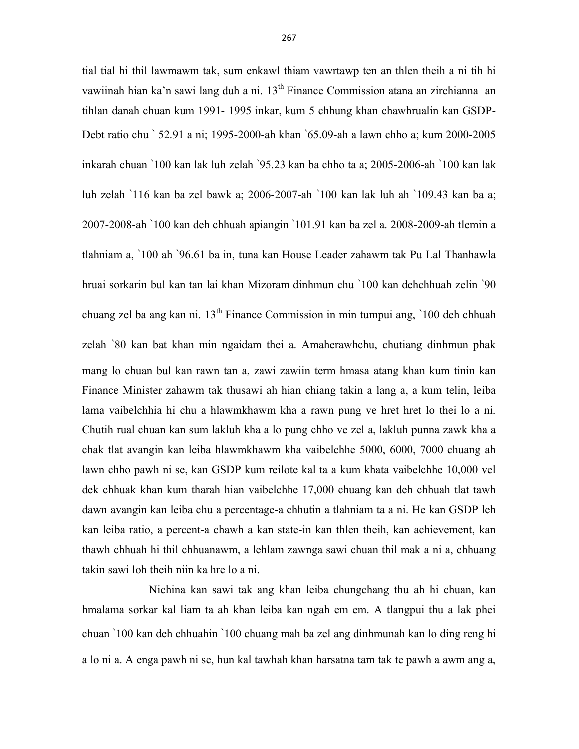tial tial hi thil lawmawm tak, sum enkawl thiam vawrtawp ten an thlen theih a ni tih hi vawiinah hian ka'n sawi lang duh a ni. 13<sup>th</sup> Finance Commission atana an zirchianna an tihlan danah chuan kum 1991- 1995 inkar, kum 5 chhung khan chawhrualin kan GSDP-Debt ratio chu ` 52.91 a ni; 1995-2000-ah khan `65.09-ah a lawn chho a; kum 2000-2005 inkarah chuan `100 kan lak luh zelah `95.23 kan ba chho ta a; 2005-2006-ah `100 kan lak luh zelah `116 kan ba zel bawk a; 2006-2007-ah `100 kan lak luh ah `109.43 kan ba a; 2007-2008-ah `100 kan deh chhuah apiangin `101.91 kan ba zel a. 2008-2009-ah tlemin a tlahniam a, `100 ah `96.61 ba in, tuna kan House Leader zahawm tak Pu Lal Thanhawla hruai sorkarin bul kan tan lai khan Mizoram dinhmun chu `100 kan dehchhuah zelin `90 chuang zel ba ang kan ni. 13th Finance Commission in min tumpui ang, `100 deh chhuah zelah `80 kan bat khan min ngaidam thei a. Amaherawhchu, chutiang dinhmun phak mang lo chuan bul kan rawn tan a, zawi zawiin term hmasa atang khan kum tinin kan Finance Minister zahawm tak thusawi ah hian chiang takin a lang a, a kum telin, leiba lama vaibelchhia hi chu a hlawmkhawm kha a rawn pung ve hret hret lo thei lo a ni. Chutih rual chuan kan sum lakluh kha a lo pung chho ve zel a, lakluh punna zawk kha a chak tlat avangin kan leiba hlawmkhawm kha vaibelchhe 5000, 6000, 7000 chuang ah lawn chho pawh ni se, kan GSDP kum reilote kal ta a kum khata vaibelchhe 10,000 vel dek chhuak khan kum tharah hian vaibelchhe 17,000 chuang kan deh chhuah tlat tawh dawn avangin kan leiba chu a percentage-a chhutin a tlahniam ta a ni. He kan GSDP leh kan leiba ratio, a percent-a chawh a kan state-in kan thlen theih, kan achievement, kan thawh chhuah hi thil chhuanawm, a lehlam zawnga sawi chuan thil mak a ni a, chhuang takin sawi loh theih niin ka hre lo a ni.

 Nichina kan sawi tak ang khan leiba chungchang thu ah hi chuan, kan hmalama sorkar kal liam ta ah khan leiba kan ngah em em. A tlangpui thu a lak phei chuan `100 kan deh chhuahin `100 chuang mah ba zel ang dinhmunah kan lo ding reng hi a lo ni a. A enga pawh ni se, hun kal tawhah khan harsatna tam tak te pawh a awm ang a,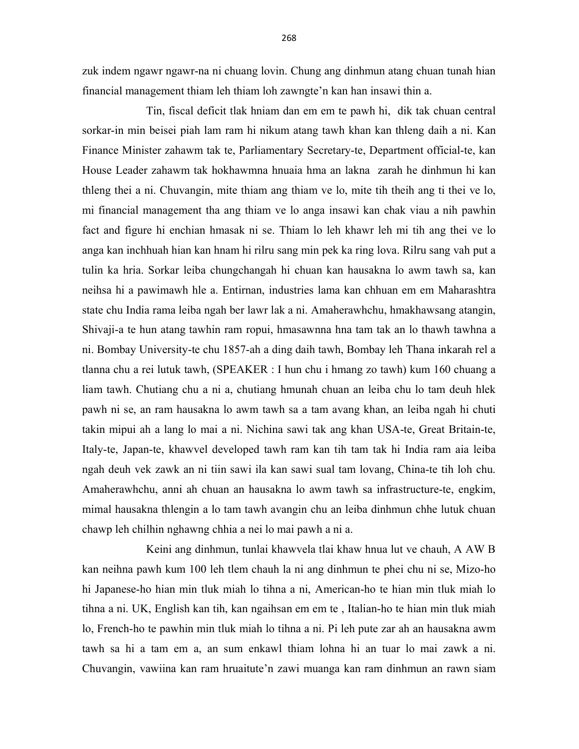zuk indem ngawr ngawr-na ni chuang lovin. Chung ang dinhmun atang chuan tunah hian financial management thiam leh thiam loh zawngte'n kan han insawi thin a.

 Tin, fiscal deficit tlak hniam dan em em te pawh hi, dik tak chuan central sorkar-in min beisei piah lam ram hi nikum atang tawh khan kan thleng daih a ni. Kan Finance Minister zahawm tak te, Parliamentary Secretary-te, Department official-te, kan House Leader zahawm tak hokhawmna hnuaia hma an lakna zarah he dinhmun hi kan thleng thei a ni. Chuvangin, mite thiam ang thiam ve lo, mite tih theih ang ti thei ve lo, mi financial management tha ang thiam ve lo anga insawi kan chak viau a nih pawhin fact and figure hi enchian hmasak ni se. Thiam lo leh khawr leh mi tih ang thei ve lo anga kan inchhuah hian kan hnam hi rilru sang min pek ka ring lova. Rilru sang vah put a tulin ka hria. Sorkar leiba chungchangah hi chuan kan hausakna lo awm tawh sa, kan neihsa hi a pawimawh hle a. Entirnan, industries lama kan chhuan em em Maharashtra state chu India rama leiba ngah ber lawr lak a ni. Amaherawhchu, hmakhawsang atangin, Shivaji-a te hun atang tawhin ram ropui, hmasawnna hna tam tak an lo thawh tawhna a ni. Bombay University-te chu 1857-ah a ding daih tawh, Bombay leh Thana inkarah rel a tlanna chu a rei lutuk tawh, (SPEAKER : I hun chu i hmang zo tawh) kum 160 chuang a liam tawh. Chutiang chu a ni a, chutiang hmunah chuan an leiba chu lo tam deuh hlek pawh ni se, an ram hausakna lo awm tawh sa a tam avang khan, an leiba ngah hi chuti takin mipui ah a lang lo mai a ni. Nichina sawi tak ang khan USA-te, Great Britain-te, Italy-te, Japan-te, khawvel developed tawh ram kan tih tam tak hi India ram aia leiba ngah deuh vek zawk an ni tiin sawi ila kan sawi sual tam lovang, China-te tih loh chu. Amaherawhchu, anni ah chuan an hausakna lo awm tawh sa infrastructure-te, engkim, mimal hausakna thlengin a lo tam tawh avangin chu an leiba dinhmun chhe lutuk chuan chawp leh chilhin nghawng chhia a nei lo mai pawh a ni a.

 Keini ang dinhmun, tunlai khawvela tlai khaw hnua lut ve chauh, A AW B kan neihna pawh kum 100 leh tlem chauh la ni ang dinhmun te phei chu ni se, Mizo-ho hi Japanese-ho hian min tluk miah lo tihna a ni, American-ho te hian min tluk miah lo tihna a ni. UK, English kan tih, kan ngaihsan em em te , Italian-ho te hian min tluk miah lo, French-ho te pawhin min tluk miah lo tihna a ni. Pi leh pute zar ah an hausakna awm tawh sa hi a tam em a, an sum enkawl thiam lohna hi an tuar lo mai zawk a ni. Chuvangin, vawiina kan ram hruaitute'n zawi muanga kan ram dinhmun an rawn siam